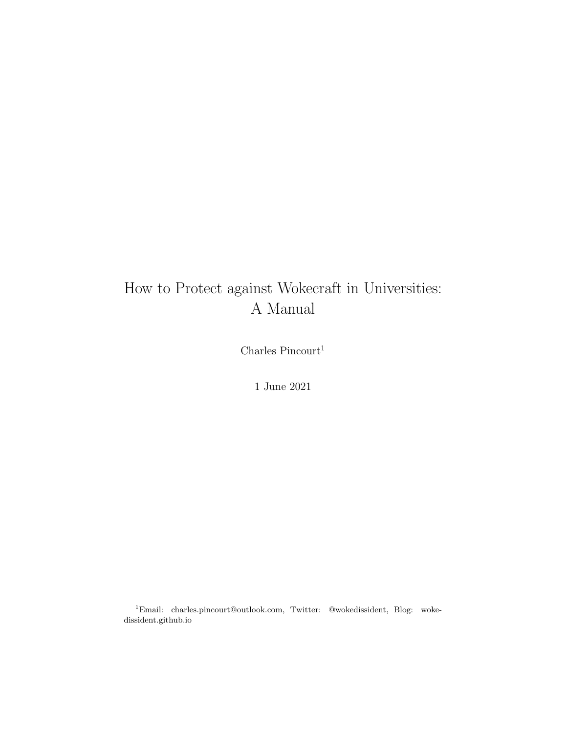## How to Protect against Wokecraft in Universities: A Manual

Charles  $\ensuremath{\mathsf{P}\mathrm{in} \mathrm{court}}^1$ 

1 June 2021

<sup>1</sup>Email: charles.pincourt@outlook.com, Twitter: @wokedissident, Blog: wokedissident.github.io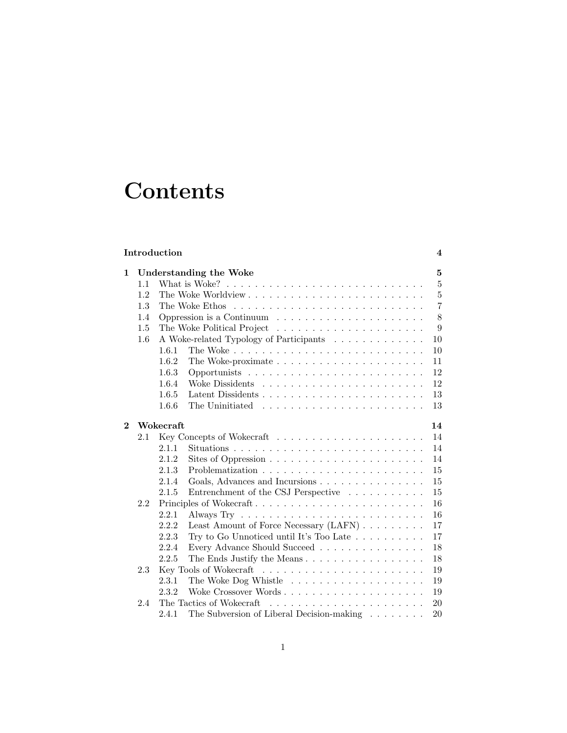# **Contents**

| Introduction<br>$\overline{\mathbf{4}}$ |                        |                 |                                                                                |                |  |  |
|-----------------------------------------|------------------------|-----------------|--------------------------------------------------------------------------------|----------------|--|--|
| 1                                       | Understanding the Woke |                 |                                                                                |                |  |  |
|                                         | 1.1                    |                 | What is Woke? $\ldots \ldots \ldots \ldots \ldots \ldots \ldots \ldots \ldots$ | $\overline{5}$ |  |  |
|                                         | 1.2                    |                 |                                                                                | $\overline{5}$ |  |  |
|                                         | 1.3                    |                 |                                                                                | $\overline{7}$ |  |  |
|                                         | 1.4                    |                 | Oppression is a Continuum $\ldots \ldots \ldots \ldots \ldots \ldots$          | 8              |  |  |
|                                         | 1.5                    |                 |                                                                                |                |  |  |
|                                         | 1.6                    |                 | A Woke-related Typology of Participants                                        |                |  |  |
|                                         |                        | 1.6.1           |                                                                                | 10             |  |  |
|                                         |                        | 1.6.2           |                                                                                | 11             |  |  |
|                                         |                        | 1.6.3           |                                                                                | 12             |  |  |
|                                         |                        | 1.6.4           |                                                                                | 12             |  |  |
|                                         |                        | 1.6.5           |                                                                                | 13             |  |  |
|                                         |                        | 1.6.6           | The Uninitiated $\ldots \ldots \ldots \ldots \ldots \ldots \ldots$             | 13             |  |  |
| $\overline{2}$                          |                        | Wokecraft<br>14 |                                                                                |                |  |  |
|                                         | 2.1                    |                 |                                                                                | 14             |  |  |
|                                         |                        | 2.1.1           |                                                                                | 14             |  |  |
|                                         |                        | 2.1.2           |                                                                                | 14             |  |  |
|                                         |                        | 2.1.3           |                                                                                | 15             |  |  |
|                                         |                        | 2.1.4           | Goals, Advances and Incursions                                                 | 15             |  |  |
|                                         |                        | 2.1.5           | Entrenchment of the CSJ Perspective                                            | 15             |  |  |
|                                         | 2.2                    |                 | Principles of Wokecraft                                                        | 16             |  |  |
|                                         |                        | 2.2.1           |                                                                                | 16             |  |  |
|                                         |                        | 2.2.2           | Least Amount of Force Necessary (LAFN)                                         | 17             |  |  |
|                                         |                        | 2.2.3           | Try to Go Unnoticed until It's Too Late $\ldots \ldots \ldots$                 | 17             |  |  |
|                                         |                        | 2.2.4           | Every Advance Should Succeed                                                   | 18             |  |  |
|                                         |                        | 2.2.5           | The Ends Justify the Means                                                     | 18             |  |  |
|                                         | 2.3                    |                 |                                                                                | 19             |  |  |
|                                         |                        | 2.3.1           |                                                                                | 19             |  |  |
|                                         |                        | 2.3.2           | Woke Crossover Words                                                           | 19             |  |  |
|                                         | 2.4                    |                 | The Tactics of Wokecraft                                                       | 20             |  |  |
|                                         |                        | 2.4.1           | The Subversion of Liberal Decision-making $\ldots \ldots$                      | 20             |  |  |
|                                         |                        |                 |                                                                                |                |  |  |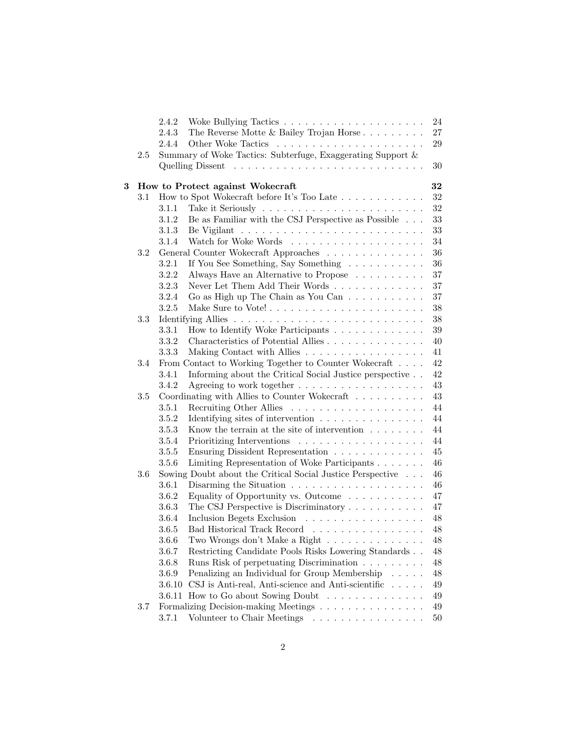|     |         | 2.4.2                            |                                                                                               | 24       |
|-----|---------|----------------------------------|-----------------------------------------------------------------------------------------------|----------|
|     |         | 2.4.3                            | The Reverse Motte $\&$ Bailey Trojan Horse                                                    | 27       |
|     |         | 2.4.4                            |                                                                                               | 29       |
| 2.5 |         |                                  | Summary of Woke Tactics: Subterfuge, Exaggerating Support $\&$                                |          |
|     |         |                                  |                                                                                               | 30       |
|     |         |                                  |                                                                                               |          |
| 3   |         | How to Protect against Wokecraft | 32                                                                                            |          |
|     | 3.1     |                                  | How to Spot Wokecraft before It's Too Late                                                    | 32       |
|     |         | 3.1.1                            |                                                                                               | 32       |
|     |         | 3.1.2                            | Be as Familiar with the CSJ Perspective as Possible $\ldots$                                  | 33       |
|     |         | 3.1.3                            |                                                                                               | 33       |
|     |         | 3.1.4                            |                                                                                               | 34       |
|     | 3.2     |                                  | General Counter Wokecraft Approaches                                                          | 36       |
|     |         | 3.2.1                            | If You See Something, Say Something                                                           | 36       |
|     |         | 3.2.2                            | Always Have an Alternative to Propose                                                         | $37\,$   |
|     |         | 3.2.3                            |                                                                                               | $37\,$   |
|     |         | 3.2.4                            | Go as High up The Chain as You Can                                                            | $37\,$   |
|     |         | 3.2.5                            |                                                                                               | $38\,$   |
|     | 3.3     |                                  |                                                                                               | 38       |
|     |         | 3.3.1                            | How to Identify Woke Participants                                                             | $39\,$   |
|     |         | 3.3.2                            | Characteristics of Potential Allies                                                           | $40\,$   |
|     |         | 3.3.3                            | Making Contact with Allies                                                                    | 41       |
|     | 3.4     |                                  | From Contact to Working Together to Counter Wokecraft                                         | 42       |
|     |         | 3.4.1                            | Informing about the Critical Social Justice perspective                                       | 42       |
|     |         | 3.4.2                            | Agreeing to work together                                                                     | 43       |
|     | $3.5\,$ |                                  | Coordinating with Allies to Counter Wokecraft                                                 | 43       |
|     |         | 3.5.1                            |                                                                                               | 44       |
|     |         | 3.5.2                            | Identifying sites of intervention $\ldots \ldots \ldots \ldots \ldots$                        | 44       |
|     |         | 3.5.3                            | Know the terrain at the site of intervention $\ldots \ldots \ldots$                           | 44       |
|     |         | 3.5.4                            |                                                                                               | 44       |
|     |         | 3.5.5                            | Ensuring Dissident Representation                                                             | $45\,$   |
|     |         | 3.5.6                            | Limiting Representation of Woke Participants                                                  | 46       |
|     | 3.6     |                                  | Sowing Doubt about the Critical Social Justice Perspective                                    | 46       |
|     |         | 3.6.1                            | Disarming the Situation $\ldots \ldots \ldots \ldots \ldots \ldots$                           | 46       |
|     |         | 3.6.2                            | Equality of Opportunity vs. Outcome                                                           | 47       |
|     |         | 3.6.3                            | The CSJ Perspective is Discriminatory                                                         | 47       |
|     |         | 3.6.4                            | Inclusion Begets Exclusion                                                                    | 48       |
|     |         | 3.6.5                            | Bad Historical Track Record                                                                   | $48\,$   |
|     |         | 3.6.6<br>3.6.7                   | Two Wrongs don't Make a Right<br>Restricting Candidate Pools Risks Lowering Standards         | 48<br>48 |
|     |         |                                  |                                                                                               |          |
|     |         | 3.6.8                            | Runs Risk of perpetuating Discrimination                                                      | $48\,$   |
|     |         | 3.6.9                            | Penalizing an Individual for Group Membership                                                 | 48       |
|     |         | 3.6.10                           | CSJ is Anti-real, Anti-science and Anti-scientific $\ldots$ .<br>How to Go about Sowing Doubt | $49\,$   |
|     |         | 3.6.11                           |                                                                                               | 49       |
|     | 3.7     |                                  | Formalizing Decision-making Meetings                                                          | 49       |
|     |         | 3.7.1                            | Volunteer to Chair Meetings                                                                   | $50\,$   |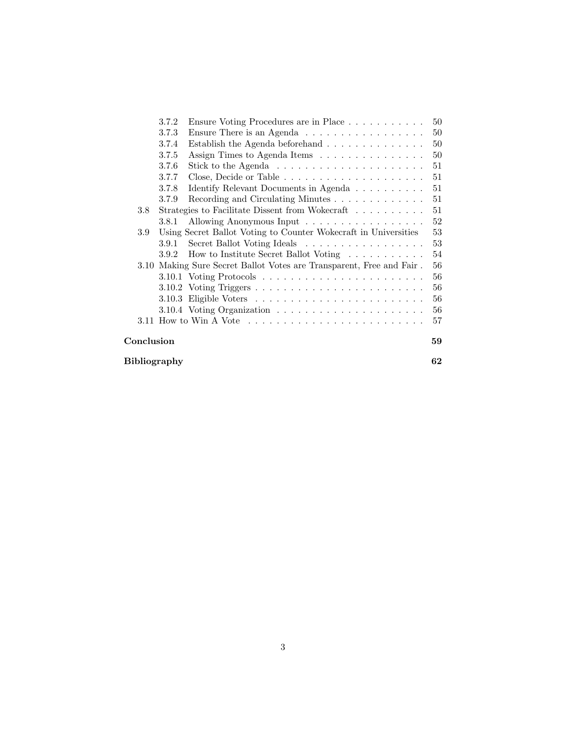|              | 3.7.2                                                                | Ensure Voting Procedures are in Place                                                      | 50     |  |  |  |  |  |
|--------------|----------------------------------------------------------------------|--------------------------------------------------------------------------------------------|--------|--|--|--|--|--|
|              | 3.7.3                                                                | Ensure There is an Agenda                                                                  | 50     |  |  |  |  |  |
|              | 3.7.4                                                                | Establish the Agenda beforehand $\ldots \ldots \ldots \ldots$                              | 50     |  |  |  |  |  |
|              | 3.7.5                                                                | Assign Times to Agenda Items                                                               | 50     |  |  |  |  |  |
|              | 3.7.6                                                                | Stick to the Agenda $\ldots \ldots \ldots \ldots \ldots \ldots \ldots$                     | 51     |  |  |  |  |  |
|              | 3.7.7                                                                |                                                                                            | 51     |  |  |  |  |  |
|              | 3.7.8                                                                | Identify Relevant Documents in Agenda                                                      | 51     |  |  |  |  |  |
|              | 3.7.9                                                                | Recording and Circulating Minutes                                                          | 51     |  |  |  |  |  |
| $3.8\,$      |                                                                      | Strategies to Facilitate Dissent from Wokecraft                                            | 51     |  |  |  |  |  |
|              | 3.8.1                                                                | Allowing Anonymous Input                                                                   | 52     |  |  |  |  |  |
| 3.9          |                                                                      | Using Secret Ballot Voting to Counter Wokecraft in Universities                            | $53\,$ |  |  |  |  |  |
|              | 3.9.1                                                                | Secret Ballot Voting Ideals                                                                | 53     |  |  |  |  |  |
|              | 3.9.2                                                                | How to Institute Secret Ballot Voting                                                      | 54     |  |  |  |  |  |
|              | 3.10 Making Sure Secret Ballot Votes are Transparent, Free and Fair. |                                                                                            |        |  |  |  |  |  |
|              |                                                                      |                                                                                            | 56     |  |  |  |  |  |
|              |                                                                      |                                                                                            | 56     |  |  |  |  |  |
|              |                                                                      |                                                                                            | 56     |  |  |  |  |  |
|              |                                                                      |                                                                                            | 56     |  |  |  |  |  |
|              |                                                                      | 3.11 How to Win A Vote $\dots \dots \dots \dots \dots \dots \dots \dots \dots \dots \dots$ | 57     |  |  |  |  |  |
| Conclusion   |                                                                      |                                                                                            |        |  |  |  |  |  |
| Bibliography |                                                                      |                                                                                            |        |  |  |  |  |  |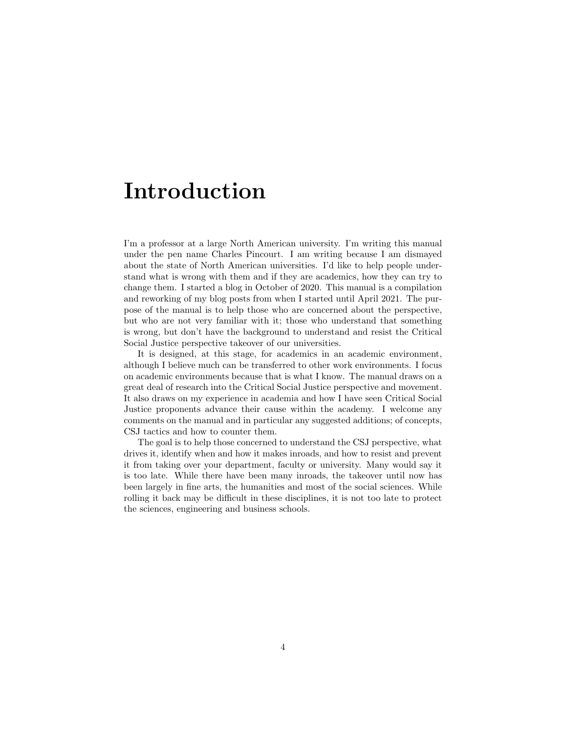# <span id="page-4-0"></span>Introduction

I'm a professor at a large North American university. I'm writing this manual under the pen name Charles Pincourt. I am writing because I am dismayed about the state of North American universities. I'd like to help people understand what is wrong with them and if they are academics, how they can try to change them. I started a blog in October of 2020. This manual is a compilation and reworking of my blog posts from when I started until April 2021. The purpose of the manual is to help those who are concerned about the perspective, but who are not very familiar with it; those who understand that something is wrong, but don't have the background to understand and resist the Critical Social Justice perspective takeover of our universities.

It is designed, at this stage, for academics in an academic environment, although I believe much can be transferred to other work environments. I focus on academic environments because that is what I know. The manual draws on a great deal of research into the Critical Social Justice perspective and movement. It also draws on my experience in academia and how I have seen Critical Social Justice proponents advance their cause within the academy. I welcome any comments on the manual and in particular any suggested additions; of concepts, CSJ tactics and how to counter them.

The goal is to help those concerned to understand the CSJ perspective, what drives it, identify when and how it makes inroads, and how to resist and prevent it from taking over your department, faculty or university. Many would say it is too late. While there have been many inroads, the takeover until now has been largely in fine arts, the humanities and most of the social sciences. While rolling it back may be difficult in these disciplines, it is not too late to protect the sciences, engineering and business schools.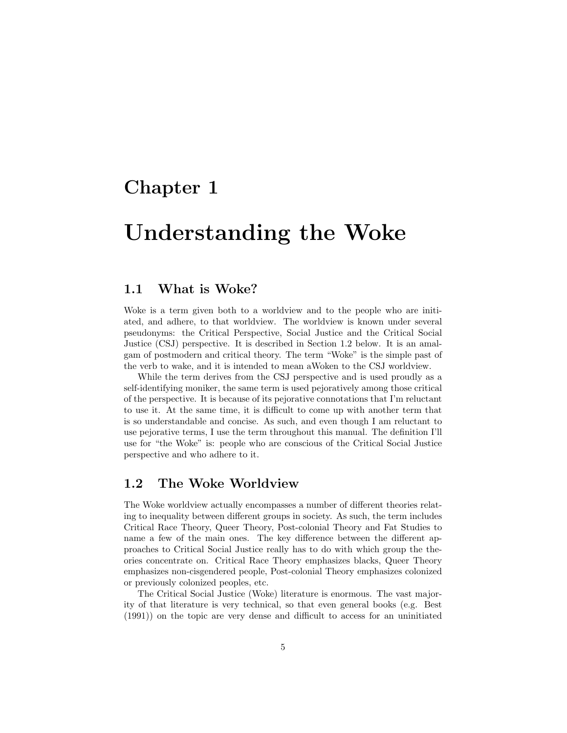## <span id="page-5-0"></span>Chapter 1

# Understanding the Woke

## <span id="page-5-1"></span>1.1 What is Woke?

Woke is a term given both to a worldview and to the people who are initiated, and adhere, to that worldview. The worldview is known under several pseudonyms: the Critical Perspective, Social Justice and the Critical Social Justice (CSJ) perspective. It is described in Section [1.2](#page-5-2) below. It is an amalgam of postmodern and critical theory. The term "Woke" is the simple past of the verb to wake, and it is intended to mean aWoken to the CSJ worldview.

While the term derives from the CSJ perspective and is used proudly as a self-identifying moniker, the same term is used pejoratively among those critical of the perspective. It is because of its pejorative connotations that I'm reluctant to use it. At the same time, it is difficult to come up with another term that is so understandable and concise. As such, and even though I am reluctant to use pejorative terms, I use the term throughout this manual. The definition I'll use for "the Woke" is: people who are conscious of the Critical Social Justice perspective and who adhere to it.

## <span id="page-5-2"></span>1.2 The Woke Worldview

The Woke worldview actually encompasses a number of different theories relating to inequality between different groups in society. As such, the term includes Critical Race Theory, Queer Theory, Post-colonial Theory and Fat Studies to name a few of the main ones. The key difference between the different approaches to Critical Social Justice really has to do with which group the theories concentrate on. Critical Race Theory emphasizes blacks, Queer Theory emphasizes non-cisgendered people, Post-colonial Theory emphasizes colonized or previously colonized peoples, etc.

The Critical Social Justice (Woke) literature is enormous. The vast majority of that literature is very technical, so that even general books (e.g. [Best](#page-61-1) [\(1991\)](#page-61-1)) on the topic are very dense and difficult to access for an uninitiated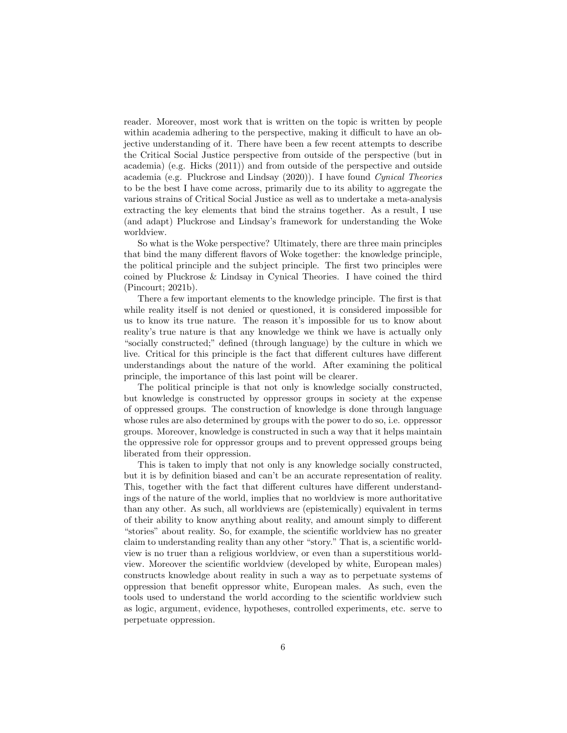reader. Moreover, most work that is written on the topic is written by people within academia adhering to the perspective, making it difficult to have an objective understanding of it. There have been a few recent attempts to describe the Critical Social Justice perspective from outside of the perspective (but in academia) (e.g. [Hicks](#page-61-2) [\(2011\)](#page-61-2)) and from outside of the perspective and outside academia (e.g. [Pluckrose and Lindsay](#page-62-0) [\(2020\)](#page-62-0)). I have found Cynical Theories to be the best I have come across, primarily due to its ability to aggregate the various strains of Critical Social Justice as well as to undertake a meta-analysis extracting the key elements that bind the strains together. As a result, I use (and adapt) Pluckrose and Lindsay's framework for understanding the Woke worldview.

So what is the Woke perspective? Ultimately, there are three main principles that bind the many different flavors of Woke together: the knowledge principle, the political principle and the subject principle. The first two principles were coined by Pluckrose & Lindsay in Cynical Theories. I have coined the third [\(Pincourt;](#page-62-1) [2021b\)](#page-62-1).

There a few important elements to the knowledge principle. The first is that while reality itself is not denied or questioned, it is considered impossible for us to know its true nature. The reason it's impossible for us to know about reality's true nature is that any knowledge we think we have is actually only "socially constructed;" defined (through language) by the culture in which we live. Critical for this principle is the fact that different cultures have different understandings about the nature of the world. After examining the political principle, the importance of this last point will be clearer.

The political principle is that not only is knowledge socially constructed, but knowledge is constructed by oppressor groups in society at the expense of oppressed groups. The construction of knowledge is done through language whose rules are also determined by groups with the power to do so, i.e. oppressor groups. Moreover, knowledge is constructed in such a way that it helps maintain the oppressive role for oppressor groups and to prevent oppressed groups being liberated from their oppression.

This is taken to imply that not only is any knowledge socially constructed, but it is by definition biased and can't be an accurate representation of reality. This, together with the fact that different cultures have different understandings of the nature of the world, implies that no worldview is more authoritative than any other. As such, all worldviews are (epistemically) equivalent in terms of their ability to know anything about reality, and amount simply to different "stories" about reality. So, for example, the scientific worldview has no greater claim to understanding reality than any other "story." That is, a scientific worldview is no truer than a religious worldview, or even than a superstitious worldview. Moreover the scientific worldview (developed by white, European males) constructs knowledge about reality in such a way as to perpetuate systems of oppression that benefit oppressor white, European males. As such, even the tools used to understand the world according to the scientific worldview such as logic, argument, evidence, hypotheses, controlled experiments, etc. serve to perpetuate oppression.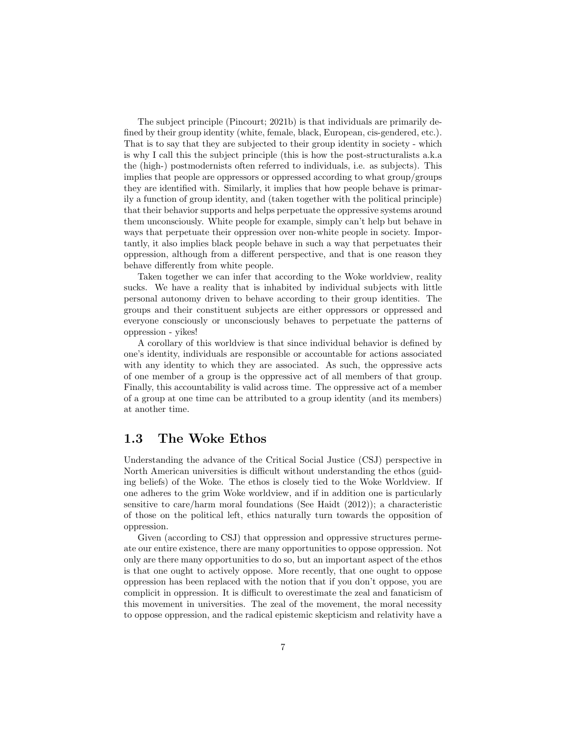The subject principle [\(Pincourt;](#page-62-1) [2021b\)](#page-62-1) is that individuals are primarily defined by their group identity (white, female, black, European, cis-gendered, etc.). That is to say that they are subjected to their group identity in society - which is why I call this the subject principle (this is how the post-structuralists a.k.a the (high-) postmodernists often referred to individuals, i.e. as subjects). This implies that people are oppressors or oppressed according to what group/groups they are identified with. Similarly, it implies that how people behave is primarily a function of group identity, and (taken together with the political principle) that their behavior supports and helps perpetuate the oppressive systems around them unconsciously. White people for example, simply can't help but behave in ways that perpetuate their oppression over non-white people in society. Importantly, it also implies black people behave in such a way that perpetuates their oppression, although from a different perspective, and that is one reason they behave differently from white people.

Taken together we can infer that according to the Woke worldview, reality sucks. We have a reality that is inhabited by individual subjects with little personal autonomy driven to behave according to their group identities. The groups and their constituent subjects are either oppressors or oppressed and everyone consciously or unconsciously behaves to perpetuate the patterns of oppression - yikes!

A corollary of this worldview is that since individual behavior is defined by one's identity, individuals are responsible or accountable for actions associated with any identity to which they are associated. As such, the oppressive acts of one member of a group is the oppressive act of all members of that group. Finally, this accountability is valid across time. The oppressive act of a member of a group at one time can be attributed to a group identity (and its members) at another time.

## <span id="page-7-0"></span>1.3 The Woke Ethos

Understanding the advance of the Critical Social Justice (CSJ) perspective in North American universities is difficult without understanding the ethos (guiding beliefs) of the Woke. The ethos is closely tied to the Woke Worldview. If one adheres to the grim Woke worldview, and if in addition one is particularly sensitive to care/harm moral foundations (See [Haidt](#page-61-3) [\(2012\)](#page-61-3)); a characteristic of those on the political left, ethics naturally turn towards the opposition of oppression.

Given (according to CSJ) that oppression and oppressive structures permeate our entire existence, there are many opportunities to oppose oppression. Not only are there many opportunities to do so, but an important aspect of the ethos is that one ought to actively oppose. More recently, that one ought to oppose oppression has been replaced with the notion that if you don't oppose, you are complicit in oppression. It is difficult to overestimate the zeal and fanaticism of this movement in universities. The zeal of the movement, the moral necessity to oppose oppression, and the radical epistemic skepticism and relativity have a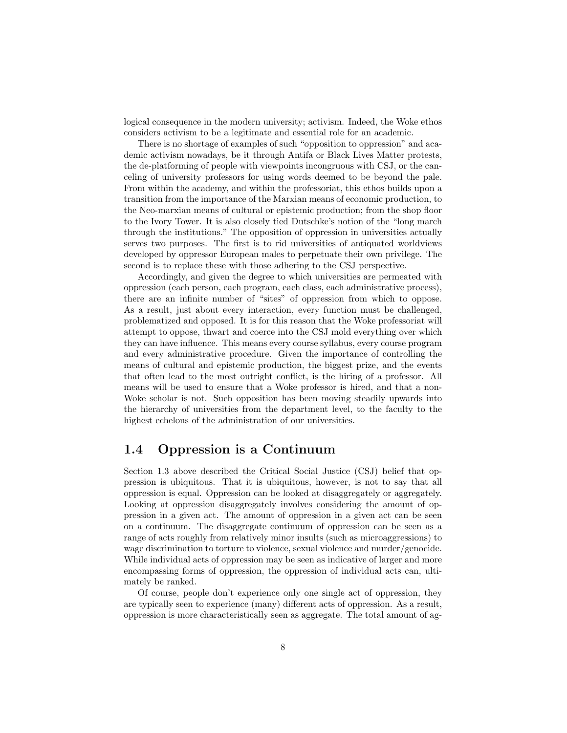logical consequence in the modern university; activism. Indeed, the Woke ethos considers activism to be a legitimate and essential role for an academic.

There is no shortage of examples of such "opposition to oppression" and academic activism nowadays, be it through Antifa or Black Lives Matter protests, the de-platforming of people with viewpoints incongruous with CSJ, or the canceling of university professors for using words deemed to be beyond the pale. From within the academy, and within the professoriat, this ethos builds upon a transition from the importance of the Marxian means of economic production, to the Neo-marxian means of cultural or epistemic production; from the shop floor to the Ivory Tower. It is also closely tied Dutschke's notion of the "long march through the institutions." The opposition of oppression in universities actually serves two purposes. The first is to rid universities of antiquated worldviews developed by oppressor European males to perpetuate their own privilege. The second is to replace these with those adhering to the CSJ perspective.

Accordingly, and given the degree to which universities are permeated with oppression (each person, each program, each class, each administrative process), there are an infinite number of "sites" of oppression from which to oppose. As a result, just about every interaction, every function must be challenged, problematized and opposed. It is for this reason that the Woke professoriat will attempt to oppose, thwart and coerce into the CSJ mold everything over which they can have influence. This means every course syllabus, every course program and every administrative procedure. Given the importance of controlling the means of cultural and epistemic production, the biggest prize, and the events that often lead to the most outright conflict, is the hiring of a professor. All means will be used to ensure that a Woke professor is hired, and that a non-Woke scholar is not. Such opposition has been moving steadily upwards into the hierarchy of universities from the department level, to the faculty to the highest echelons of the administration of our universities.

### <span id="page-8-0"></span>1.4 Oppression is a Continuum

Section [1.3](#page-7-0) above described the Critical Social Justice (CSJ) belief that oppression is ubiquitous. That it is ubiquitous, however, is not to say that all oppression is equal. Oppression can be looked at disaggregately or aggregately. Looking at oppression disaggregately involves considering the amount of oppression in a given act. The amount of oppression in a given act can be seen on a continuum. The disaggregate continuum of oppression can be seen as a range of acts roughly from relatively minor insults (such as microaggressions) to wage discrimination to torture to violence, sexual violence and murder/genocide. While individual acts of oppression may be seen as indicative of larger and more encompassing forms of oppression, the oppression of individual acts can, ultimately be ranked.

Of course, people don't experience only one single act of oppression, they are typically seen to experience (many) different acts of oppression. As a result, oppression is more characteristically seen as aggregate. The total amount of ag-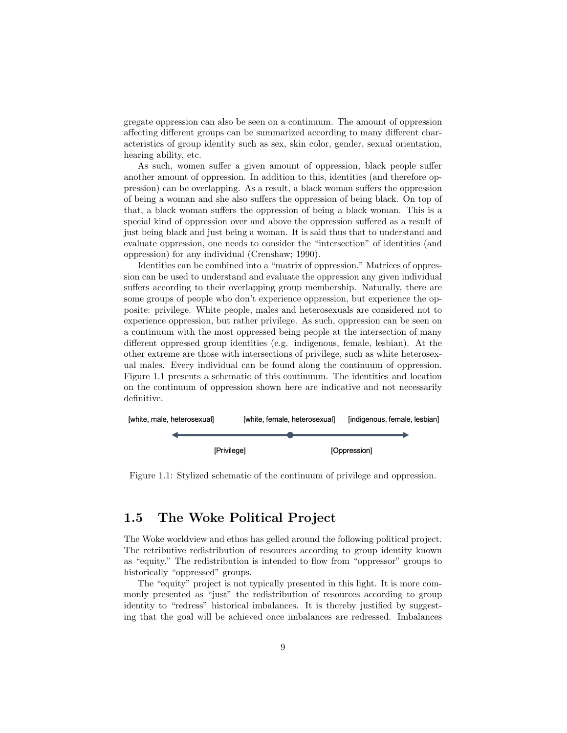gregate oppression can also be seen on a continuum. The amount of oppression affecting different groups can be summarized according to many different characteristics of group identity such as sex, skin color, gender, sexual orientation, hearing ability, etc.

As such, women suffer a given amount of oppression, black people suffer another amount of oppression. In addition to this, identities (and therefore oppression) can be overlapping. As a result, a black woman suffers the oppression of being a woman and she also suffers the oppression of being black. On top of that, a black woman suffers the oppression of being a black woman. This is a special kind of oppression over and above the oppression suffered as a result of just being black and just being a woman. It is said thus that to understand and evaluate oppression, one needs to consider the "intersection" of identities (and oppression) for any individual [\(Crenshaw;](#page-61-4) [1990\)](#page-61-4).

Identities can be combined into a "matrix of oppression." Matrices of oppression can be used to understand and evaluate the oppression any given individual suffers according to their overlapping group membership. Naturally, there are some groups of people who don't experience oppression, but experience the opposite: privilege. White people, males and heterosexuals are considered not to experience oppression, but rather privilege. As such, oppression can be seen on a continuum with the most oppressed being people at the intersection of many different oppressed group identities (e.g. indigenous, female, lesbian). At the other extreme are those with intersections of privilege, such as white heterosexual males. Every individual can be found along the continuum of oppression. Figure [1.1](#page-9-1) presents a schematic of this continuum. The identities and location on the continuum of oppression shown here are indicative and not necessarily definitive.



<span id="page-9-1"></span>Figure 1.1: Stylized schematic of the continuum of privilege and oppression.

## <span id="page-9-0"></span>1.5 The Woke Political Project

The Woke worldview and ethos has gelled around the following political project. The retributive redistribution of resources according to group identity known as "equity." The redistribution is intended to flow from "oppressor" groups to historically "oppressed" groups.

The "equity" project is not typically presented in this light. It is more commonly presented as "just" the redistribution of resources according to group identity to "redress" historical imbalances. It is thereby justified by suggesting that the goal will be achieved once imbalances are redressed. Imbalances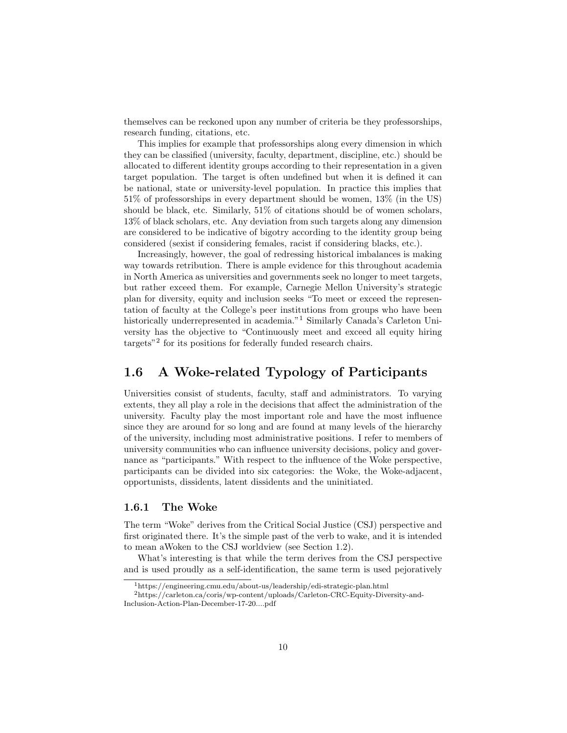themselves can be reckoned upon any number of criteria be they professorships, research funding, citations, etc.

This implies for example that professorships along every dimension in which they can be classified (university, faculty, department, discipline, etc.) should be allocated to different identity groups according to their representation in a given target population. The target is often undefined but when it is defined it can be national, state or university-level population. In practice this implies that 51% of professorships in every department should be women, 13% (in the US) should be black, etc. Similarly, 51% of citations should be of women scholars, 13% of black scholars, etc. Any deviation from such targets along any dimension are considered to be indicative of bigotry according to the identity group being considered (sexist if considering females, racist if considering blacks, etc.).

Increasingly, however, the goal of redressing historical imbalances is making way towards retribution. There is ample evidence for this throughout academia in North America as universities and governments seek no longer to meet targets, but rather exceed them. For example, Carnegie Mellon University's strategic plan for diversity, equity and inclusion seeks "To meet or exceed the representation of faculty at the College's peer institutions from groups who have been historically underrepresented in academia."<sup>[1](#page-10-2)</sup> Similarly Canada's Carleton University has the objective to "Continuously meet and exceed all equity hiring targets"[2](#page-10-3) for its positions for federally funded research chairs.

## <span id="page-10-0"></span>1.6 A Woke-related Typology of Participants

Universities consist of students, faculty, staff and administrators. To varying extents, they all play a role in the decisions that affect the administration of the university. Faculty play the most important role and have the most influence since they are around for so long and are found at many levels of the hierarchy of the university, including most administrative positions. I refer to members of university communities who can influence university decisions, policy and governance as "participants." With respect to the influence of the Woke perspective, participants can be divided into six categories: the Woke, the Woke-adjacent, opportunists, dissidents, latent dissidents and the uninitiated.

#### <span id="page-10-1"></span>1.6.1 The Woke

The term "Woke" derives from the Critical Social Justice (CSJ) perspective and first originated there. It's the simple past of the verb to wake, and it is intended to mean aWoken to the CSJ worldview (see Section [1.2\)](#page-5-2).

What's interesting is that while the term derives from the CSJ perspective and is used proudly as a self-identification, the same term is used pejoratively

<span id="page-10-3"></span><span id="page-10-2"></span><sup>1</sup>https://engineering.cmu.edu/about-us/leadership/edi-strategic-plan.html

 $^2$ https://carleton.ca/coris/wp-content/uploads/Carleton-CRC-Equity-Diversity-and-Inclusion-Action-Plan-December-17-20....pdf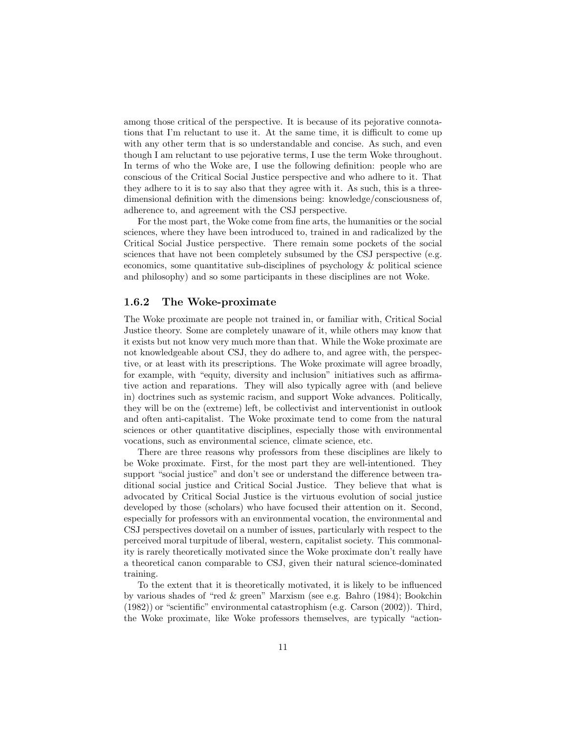among those critical of the perspective. It is because of its pejorative connotations that I'm reluctant to use it. At the same time, it is difficult to come up with any other term that is so understandable and concise. As such, and even though I am reluctant to use pejorative terms, I use the term Woke throughout. In terms of who the Woke are, I use the following definition: people who are conscious of the Critical Social Justice perspective and who adhere to it. That they adhere to it is to say also that they agree with it. As such, this is a threedimensional definition with the dimensions being: knowledge/consciousness of, adherence to, and agreement with the CSJ perspective.

For the most part, the Woke come from fine arts, the humanities or the social sciences, where they have been introduced to, trained in and radicalized by the Critical Social Justice perspective. There remain some pockets of the social sciences that have not been completely subsumed by the CSJ perspective (e.g. economics, some quantitative sub-disciplines of psychology & political science and philosophy) and so some participants in these disciplines are not Woke.

#### <span id="page-11-0"></span>1.6.2 The Woke-proximate

The Woke proximate are people not trained in, or familiar with, Critical Social Justice theory. Some are completely unaware of it, while others may know that it exists but not know very much more than that. While the Woke proximate are not knowledgeable about CSJ, they do adhere to, and agree with, the perspective, or at least with its prescriptions. The Woke proximate will agree broadly, for example, with "equity, diversity and inclusion" initiatives such as affirmative action and reparations. They will also typically agree with (and believe in) doctrines such as systemic racism, and support Woke advances. Politically, they will be on the (extreme) left, be collectivist and interventionist in outlook and often anti-capitalist. The Woke proximate tend to come from the natural sciences or other quantitative disciplines, especially those with environmental vocations, such as environmental science, climate science, etc.

There are three reasons why professors from these disciplines are likely to be Woke proximate. First, for the most part they are well-intentioned. They support "social justice" and don't see or understand the difference between traditional social justice and Critical Social Justice. They believe that what is advocated by Critical Social Justice is the virtuous evolution of social justice developed by those (scholars) who have focused their attention on it. Second, especially for professors with an environmental vocation, the environmental and CSJ perspectives dovetail on a number of issues, particularly with respect to the perceived moral turpitude of liberal, western, capitalist society. This commonality is rarely theoretically motivated since the Woke proximate don't really have a theoretical canon comparable to CSJ, given their natural science-dominated training.

To the extent that it is theoretically motivated, it is likely to be influenced by various shades of "red & green" Marxism (see e.g. [Bahro](#page-61-5) [\(1984\)](#page-61-5); [Bookchin](#page-61-6) [\(1982\)](#page-61-6)) or "scientific" environmental catastrophism (e.g. [Carson](#page-61-7) [\(2002\)](#page-61-7)). Third, the Woke proximate, like Woke professors themselves, are typically "action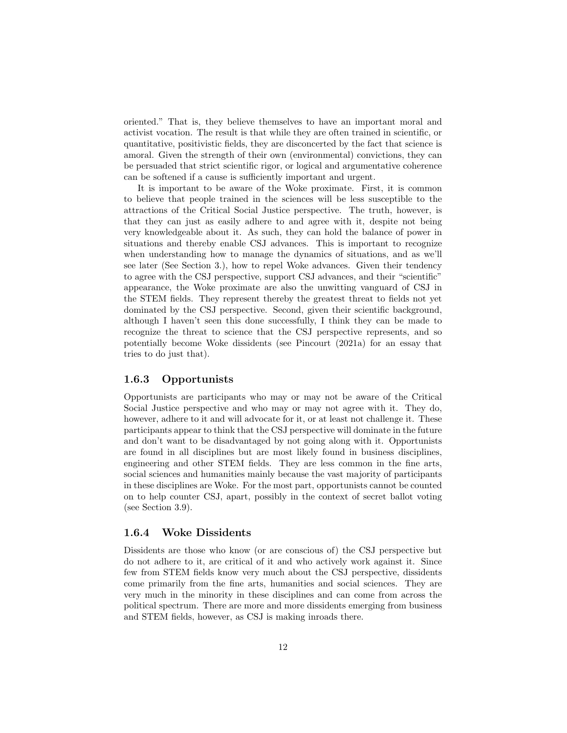oriented." That is, they believe themselves to have an important moral and activist vocation. The result is that while they are often trained in scientific, or quantitative, positivistic fields, they are disconcerted by the fact that science is amoral. Given the strength of their own (environmental) convictions, they can be persuaded that strict scientific rigor, or logical and argumentative coherence can be softened if a cause is sufficiently important and urgent.

It is important to be aware of the Woke proximate. First, it is common to believe that people trained in the sciences will be less susceptible to the attractions of the Critical Social Justice perspective. The truth, however, is that they can just as easily adhere to and agree with it, despite not being very knowledgeable about it. As such, they can hold the balance of power in situations and thereby enable CSJ advances. This is important to recognize when understanding how to manage the dynamics of situations, and as we'll see later (See Section [3.](#page-32-0)), how to repel Woke advances. Given their tendency to agree with the CSJ perspective, support CSJ advances, and their "scientific" appearance, the Woke proximate are also the unwitting vanguard of CSJ in the STEM fields. They represent thereby the greatest threat to fields not yet dominated by the CSJ perspective. Second, given their scientific background, although I haven't seen this done successfully, I think they can be made to recognize the threat to science that the CSJ perspective represents, and so potentially become Woke dissidents (see [Pincourt](#page-62-2) [\(2021a\)](#page-62-2) for an essay that tries to do just that).

#### <span id="page-12-0"></span>1.6.3 Opportunists

Opportunists are participants who may or may not be aware of the Critical Social Justice perspective and who may or may not agree with it. They do, however, adhere to it and will advocate for it, or at least not challenge it. These participants appear to think that the CSJ perspective will dominate in the future and don't want to be disadvantaged by not going along with it. Opportunists are found in all disciplines but are most likely found in business disciplines, engineering and other STEM fields. They are less common in the fine arts, social sciences and humanities mainly because the vast majority of participants in these disciplines are Woke. For the most part, opportunists cannot be counted on to help counter CSJ, apart, possibly in the context of secret ballot voting (see Section [3.9\)](#page-53-0).

#### <span id="page-12-1"></span>1.6.4 Woke Dissidents

Dissidents are those who know (or are conscious of) the CSJ perspective but do not adhere to it, are critical of it and who actively work against it. Since few from STEM fields know very much about the CSJ perspective, dissidents come primarily from the fine arts, humanities and social sciences. They are very much in the minority in these disciplines and can come from across the political spectrum. There are more and more dissidents emerging from business and STEM fields, however, as CSJ is making inroads there.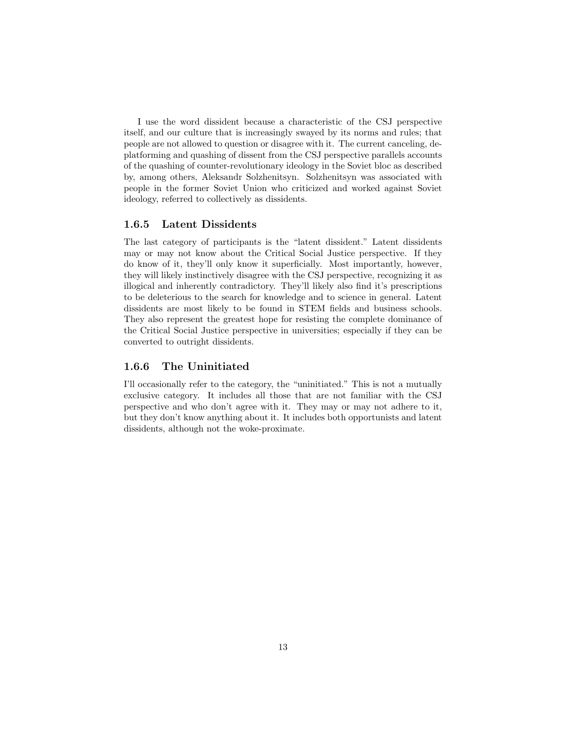I use the word dissident because a characteristic of the CSJ perspective itself, and our culture that is increasingly swayed by its norms and rules; that people are not allowed to question or disagree with it. The current canceling, deplatforming and quashing of dissent from the CSJ perspective parallels accounts of the quashing of counter-revolutionary ideology in the Soviet bloc as described by, among others, Aleksandr Solzhenitsyn. Solzhenitsyn was associated with people in the former Soviet Union who criticized and worked against Soviet ideology, referred to collectively as dissidents.

#### <span id="page-13-0"></span>1.6.5 Latent Dissidents

The last category of participants is the "latent dissident." Latent dissidents may or may not know about the Critical Social Justice perspective. If they do know of it, they'll only know it superficially. Most importantly, however, they will likely instinctively disagree with the CSJ perspective, recognizing it as illogical and inherently contradictory. They'll likely also find it's prescriptions to be deleterious to the search for knowledge and to science in general. Latent dissidents are most likely to be found in STEM fields and business schools. They also represent the greatest hope for resisting the complete dominance of the Critical Social Justice perspective in universities; especially if they can be converted to outright dissidents.

#### <span id="page-13-1"></span>1.6.6 The Uninitiated

I'll occasionally refer to the category, the "uninitiated." This is not a mutually exclusive category. It includes all those that are not familiar with the CSJ perspective and who don't agree with it. They may or may not adhere to it, but they don't know anything about it. It includes both opportunists and latent dissidents, although not the woke-proximate.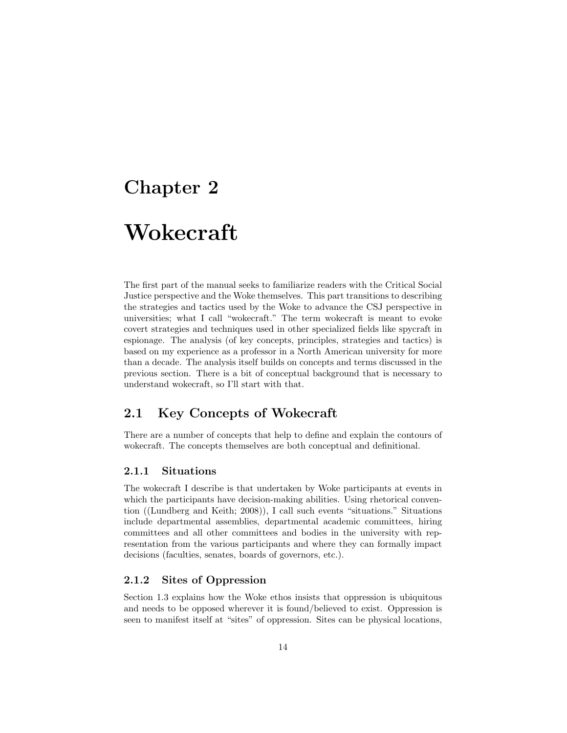## <span id="page-14-0"></span>Chapter 2

# Wokecraft

The first part of the manual seeks to familiarize readers with the Critical Social Justice perspective and the Woke themselves. This part transitions to describing the strategies and tactics used by the Woke to advance the CSJ perspective in universities; what I call "wokecraft." The term wokecraft is meant to evoke covert strategies and techniques used in other specialized fields like spycraft in espionage. The analysis (of key concepts, principles, strategies and tactics) is based on my experience as a professor in a North American university for more than a decade. The analysis itself builds on concepts and terms discussed in the previous section. There is a bit of conceptual background that is necessary to understand wokecraft, so I'll start with that.

## <span id="page-14-1"></span>2.1 Key Concepts of Wokecraft

There are a number of concepts that help to define and explain the contours of wokecraft. The concepts themselves are both conceptual and definitional.

#### <span id="page-14-2"></span>2.1.1 Situations

The wokecraft I describe is that undertaken by Woke participants at events in which the participants have decision-making abilities. Using rhetorical convention ([\(Lundberg and Keith;](#page-62-3) [2008\)](#page-62-3)), I call such events "situations." Situations include departmental assemblies, departmental academic committees, hiring committees and all other committees and bodies in the university with representation from the various participants and where they can formally impact decisions (faculties, senates, boards of governors, etc.).

## <span id="page-14-3"></span>2.1.2 Sites of Oppression

Section [1.3](#page-7-0) explains how the Woke ethos insists that oppression is ubiquitous and needs to be opposed wherever it is found/believed to exist. Oppression is seen to manifest itself at "sites" of oppression. Sites can be physical locations,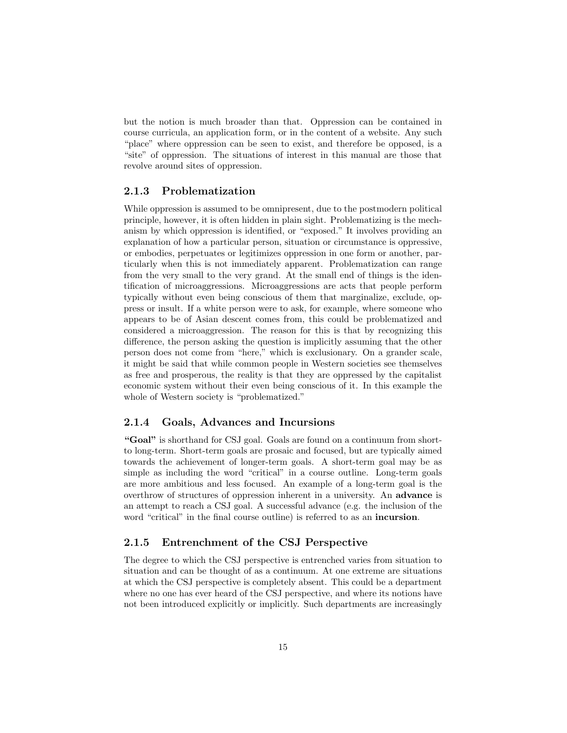but the notion is much broader than that. Oppression can be contained in course curricula, an application form, or in the content of a website. Any such "place" where oppression can be seen to exist, and therefore be opposed, is a "site" of oppression. The situations of interest in this manual are those that revolve around sites of oppression.

#### <span id="page-15-0"></span>2.1.3 Problematization

While oppression is assumed to be omnipresent, due to the postmodern political principle, however, it is often hidden in plain sight. Problematizing is the mechanism by which oppression is identified, or "exposed." It involves providing an explanation of how a particular person, situation or circumstance is oppressive, or embodies, perpetuates or legitimizes oppression in one form or another, particularly when this is not immediately apparent. Problematization can range from the very small to the very grand. At the small end of things is the identification of microaggressions. Microaggressions are acts that people perform typically without even being conscious of them that marginalize, exclude, oppress or insult. If a white person were to ask, for example, where someone who appears to be of Asian descent comes from, this could be problematized and considered a microaggression. The reason for this is that by recognizing this difference, the person asking the question is implicitly assuming that the other person does not come from "here," which is exclusionary. On a grander scale, it might be said that while common people in Western societies see themselves as free and prosperous, the reality is that they are oppressed by the capitalist economic system without their even being conscious of it. In this example the whole of Western society is "problematized."

#### <span id="page-15-1"></span>2.1.4 Goals, Advances and Incursions

"Goal" is shorthand for CSJ goal. Goals are found on a continuum from shortto long-term. Short-term goals are prosaic and focused, but are typically aimed towards the achievement of longer-term goals. A short-term goal may be as simple as including the word "critical" in a course outline. Long-term goals are more ambitious and less focused. An example of a long-term goal is the overthrow of structures of oppression inherent in a university. An advance is an attempt to reach a CSJ goal. A successful advance (e.g. the inclusion of the word "critical" in the final course outline) is referred to as an incursion.

#### <span id="page-15-2"></span>2.1.5 Entrenchment of the CSJ Perspective

The degree to which the CSJ perspective is entrenched varies from situation to situation and can be thought of as a continuum. At one extreme are situations at which the CSJ perspective is completely absent. This could be a department where no one has ever heard of the CSJ perspective, and where its notions have not been introduced explicitly or implicitly. Such departments are increasingly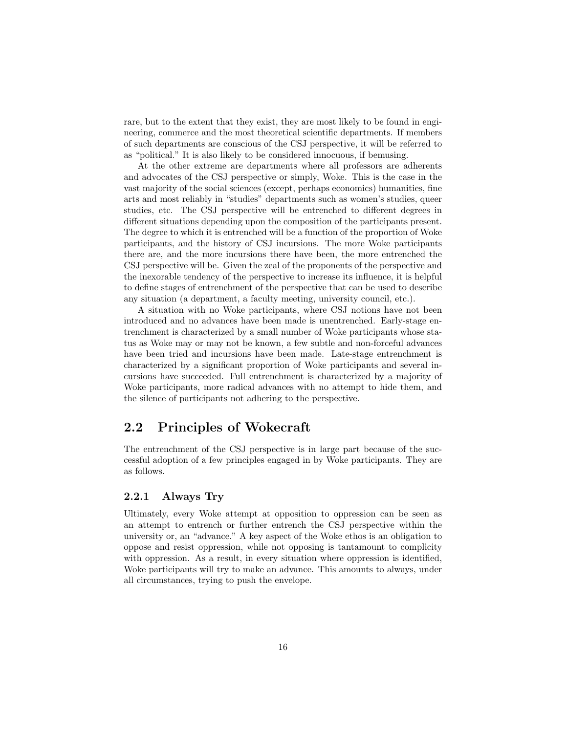rare, but to the extent that they exist, they are most likely to be found in engineering, commerce and the most theoretical scientific departments. If members of such departments are conscious of the CSJ perspective, it will be referred to as "political." It is also likely to be considered innocuous, if bemusing.

At the other extreme are departments where all professors are adherents and advocates of the CSJ perspective or simply, Woke. This is the case in the vast majority of the social sciences (except, perhaps economics) humanities, fine arts and most reliably in "studies" departments such as women's studies, queer studies, etc. The CSJ perspective will be entrenched to different degrees in different situations depending upon the composition of the participants present. The degree to which it is entrenched will be a function of the proportion of Woke participants, and the history of CSJ incursions. The more Woke participants there are, and the more incursions there have been, the more entrenched the CSJ perspective will be. Given the zeal of the proponents of the perspective and the inexorable tendency of the perspective to increase its influence, it is helpful to define stages of entrenchment of the perspective that can be used to describe any situation (a department, a faculty meeting, university council, etc.).

A situation with no Woke participants, where CSJ notions have not been introduced and no advances have been made is unentrenched. Early-stage entrenchment is characterized by a small number of Woke participants whose status as Woke may or may not be known, a few subtle and non-forceful advances have been tried and incursions have been made. Late-stage entrenchment is characterized by a significant proportion of Woke participants and several incursions have succeeded. Full entrenchment is characterized by a majority of Woke participants, more radical advances with no attempt to hide them, and the silence of participants not adhering to the perspective.

## <span id="page-16-0"></span>2.2 Principles of Wokecraft

The entrenchment of the CSJ perspective is in large part because of the successful adoption of a few principles engaged in by Woke participants. They are as follows.

#### <span id="page-16-1"></span>2.2.1 Always Try

Ultimately, every Woke attempt at opposition to oppression can be seen as an attempt to entrench or further entrench the CSJ perspective within the university or, an "advance." A key aspect of the Woke ethos is an obligation to oppose and resist oppression, while not opposing is tantamount to complicity with oppression. As a result, in every situation where oppression is identified, Woke participants will try to make an advance. This amounts to always, under all circumstances, trying to push the envelope.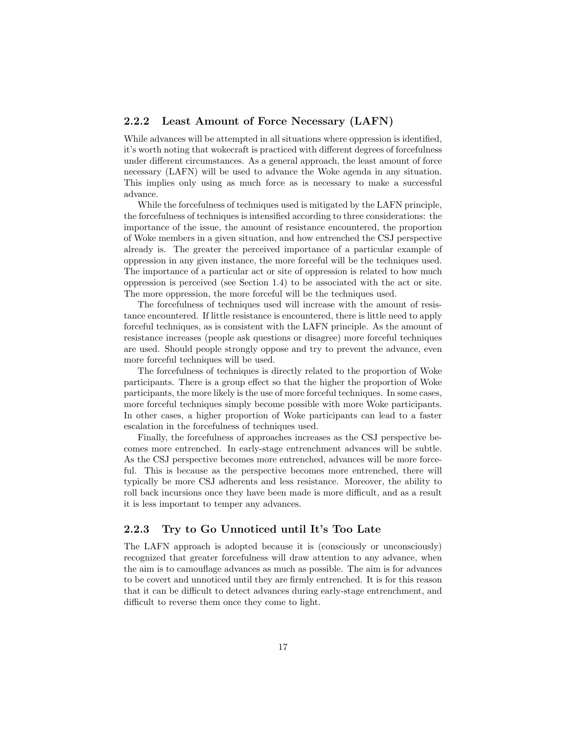#### <span id="page-17-0"></span>2.2.2 Least Amount of Force Necessary (LAFN)

While advances will be attempted in all situations where oppression is identified, it's worth noting that wokecraft is practiced with different degrees of forcefulness under different circumstances. As a general approach, the least amount of force necessary (LAFN) will be used to advance the Woke agenda in any situation. This implies only using as much force as is necessary to make a successful advance.

While the forcefulness of techniques used is mitigated by the LAFN principle, the forcefulness of techniques is intensified according to three considerations: the importance of the issue, the amount of resistance encountered, the proportion of Woke members in a given situation, and how entrenched the CSJ perspective already is. The greater the perceived importance of a particular example of oppression in any given instance, the more forceful will be the techniques used. The importance of a particular act or site of oppression is related to how much oppression is perceived (see Section [1.4\)](#page-8-0) to be associated with the act or site. The more oppression, the more forceful will be the techniques used.

The forcefulness of techniques used will increase with the amount of resistance encountered. If little resistance is encountered, there is little need to apply forceful techniques, as is consistent with the LAFN principle. As the amount of resistance increases (people ask questions or disagree) more forceful techniques are used. Should people strongly oppose and try to prevent the advance, even more forceful techniques will be used.

The forcefulness of techniques is directly related to the proportion of Woke participants. There is a group effect so that the higher the proportion of Woke participants, the more likely is the use of more forceful techniques. In some cases, more forceful techniques simply become possible with more Woke participants. In other cases, a higher proportion of Woke participants can lead to a faster escalation in the forcefulness of techniques used.

Finally, the forcefulness of approaches increases as the CSJ perspective becomes more entrenched. In early-stage entrenchment advances will be subtle. As the CSJ perspective becomes more entrenched, advances will be more forceful. This is because as the perspective becomes more entrenched, there will typically be more CSJ adherents and less resistance. Moreover, the ability to roll back incursions once they have been made is more difficult, and as a result it is less important to temper any advances.

#### <span id="page-17-1"></span>2.2.3 Try to Go Unnoticed until It's Too Late

The LAFN approach is adopted because it is (consciously or unconsciously) recognized that greater forcefulness will draw attention to any advance, when the aim is to camouflage advances as much as possible. The aim is for advances to be covert and unnoticed until they are firmly entrenched. It is for this reason that it can be difficult to detect advances during early-stage entrenchment, and difficult to reverse them once they come to light.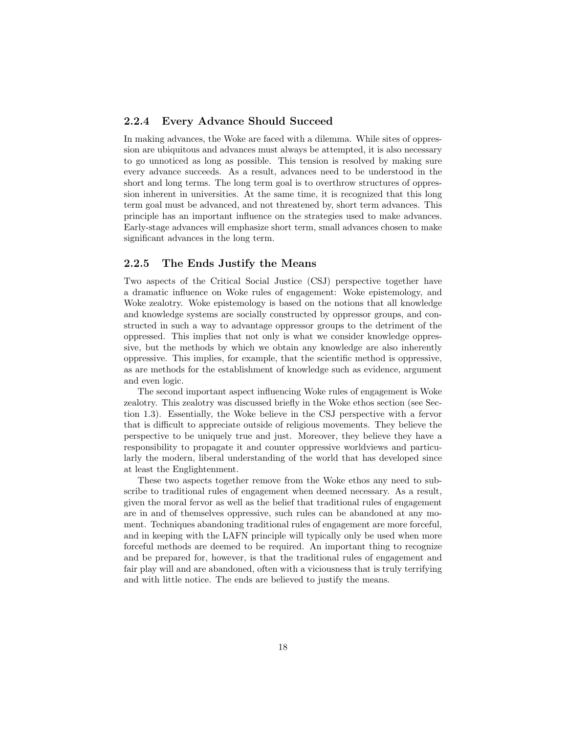#### <span id="page-18-0"></span>2.2.4 Every Advance Should Succeed

In making advances, the Woke are faced with a dilemma. While sites of oppression are ubiquitous and advances must always be attempted, it is also necessary to go unnoticed as long as possible. This tension is resolved by making sure every advance succeeds. As a result, advances need to be understood in the short and long terms. The long term goal is to overthrow structures of oppression inherent in universities. At the same time, it is recognized that this long term goal must be advanced, and not threatened by, short term advances. This principle has an important influence on the strategies used to make advances. Early-stage advances will emphasize short term, small advances chosen to make significant advances in the long term.

#### <span id="page-18-1"></span>2.2.5 The Ends Justify the Means

Two aspects of the Critical Social Justice (CSJ) perspective together have a dramatic influence on Woke rules of engagement: Woke epistemology, and Woke zealotry. Woke epistemology is based on the notions that all knowledge and knowledge systems are socially constructed by oppressor groups, and constructed in such a way to advantage oppressor groups to the detriment of the oppressed. This implies that not only is what we consider knowledge oppressive, but the methods by which we obtain any knowledge are also inherently oppressive. This implies, for example, that the scientific method is oppressive, as are methods for the establishment of knowledge such as evidence, argument and even logic.

The second important aspect influencing Woke rules of engagement is Woke zealotry. This zealotry was discussed briefly in the Woke ethos section (see Section [1.3\)](#page-7-0). Essentially, the Woke believe in the CSJ perspective with a fervor that is difficult to appreciate outside of religious movements. They believe the perspective to be uniquely true and just. Moreover, they believe they have a responsibility to propagate it and counter oppressive worldviews and particularly the modern, liberal understanding of the world that has developed since at least the Englightenment.

These two aspects together remove from the Woke ethos any need to subscribe to traditional rules of engagement when deemed necessary. As a result, given the moral fervor as well as the belief that traditional rules of engagement are in and of themselves oppressive, such rules can be abandoned at any moment. Techniques abandoning traditional rules of engagement are more forceful, and in keeping with the LAFN principle will typically only be used when more forceful methods are deemed to be required. An important thing to recognize and be prepared for, however, is that the traditional rules of engagement and fair play will and are abandoned, often with a viciousness that is truly terrifying and with little notice. The ends are believed to justify the means.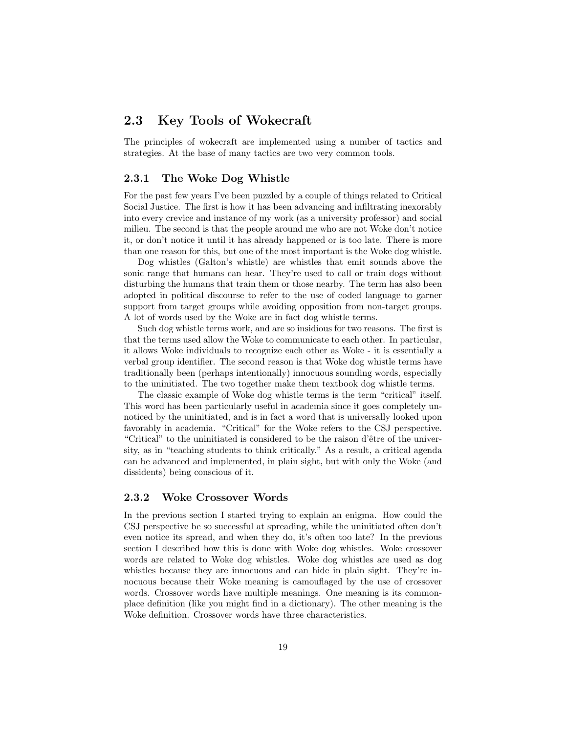## <span id="page-19-0"></span>2.3 Key Tools of Wokecraft

The principles of wokecraft are implemented using a number of tactics and strategies. At the base of many tactics are two very common tools.

#### <span id="page-19-1"></span>2.3.1 The Woke Dog Whistle

For the past few years I've been puzzled by a couple of things related to Critical Social Justice. The first is how it has been advancing and infiltrating inexorably into every crevice and instance of my work (as a university professor) and social milieu. The second is that the people around me who are not Woke don't notice it, or don't notice it until it has already happened or is too late. There is more than one reason for this, but one of the most important is the Woke dog whistle.

Dog whistles (Galton's whistle) are whistles that emit sounds above the sonic range that humans can hear. They're used to call or train dogs without disturbing the humans that train them or those nearby. The term has also been adopted in political discourse to refer to the use of coded language to garner support from target groups while avoiding opposition from non-target groups. A lot of words used by the Woke are in fact dog whistle terms.

Such dog whistle terms work, and are so insidious for two reasons. The first is that the terms used allow the Woke to communicate to each other. In particular, it allows Woke individuals to recognize each other as Woke - it is essentially a verbal group identifier. The second reason is that Woke dog whistle terms have traditionally been (perhaps intentionally) innocuous sounding words, especially to the uninitiated. The two together make them textbook dog whistle terms.

The classic example of Woke dog whistle terms is the term "critical" itself. This word has been particularly useful in academia since it goes completely unnoticed by the uninitiated, and is in fact a word that is universally looked upon favorably in academia. "Critical" for the Woke refers to the CSJ perspective. "Critical" to the uninitiated is considered to be the raison d'être of the university, as in "teaching students to think critically." As a result, a critical agenda can be advanced and implemented, in plain sight, but with only the Woke (and dissidents) being conscious of it.

#### <span id="page-19-2"></span>2.3.2 Woke Crossover Words

In the previous section I started trying to explain an enigma. How could the CSJ perspective be so successful at spreading, while the uninitiated often don't even notice its spread, and when they do, it's often too late? In the previous section I described how this is done with Woke dog whistles. Woke crossover words are related to Woke dog whistles. Woke dog whistles are used as dog whistles because they are innocuous and can hide in plain sight. They're innocuous because their Woke meaning is camouflaged by the use of crossover words. Crossover words have multiple meanings. One meaning is its commonplace definition (like you might find in a dictionary). The other meaning is the Woke definition. Crossover words have three characteristics.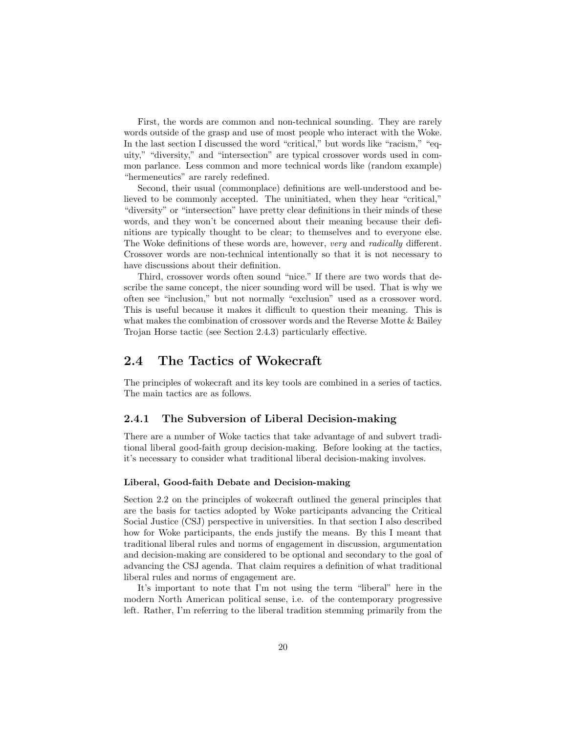First, the words are common and non-technical sounding. They are rarely words outside of the grasp and use of most people who interact with the Woke. In the last section I discussed the word "critical," but words like "racism," "equity," "diversity," and "intersection" are typical crossover words used in common parlance. Less common and more technical words like (random example) "hermeneutics" are rarely redefined.

Second, their usual (commonplace) definitions are well-understood and believed to be commonly accepted. The uninitiated, when they hear "critical," "diversity" or "intersection" have pretty clear definitions in their minds of these words, and they won't be concerned about their meaning because their definitions are typically thought to be clear; to themselves and to everyone else. The Woke definitions of these words are, however, very and radically different. Crossover words are non-technical intentionally so that it is not necessary to have discussions about their definition.

Third, crossover words often sound "nice." If there are two words that describe the same concept, the nicer sounding word will be used. That is why we often see "inclusion," but not normally "exclusion" used as a crossover word. This is useful because it makes it difficult to question their meaning. This is what makes the combination of crossover words and the Reverse Motte & Bailey Trojan Horse tactic (see Section [2.4.3\)](#page-27-0) particularly effective.

## <span id="page-20-0"></span>2.4 The Tactics of Wokecraft

The principles of wokecraft and its key tools are combined in a series of tactics. The main tactics are as follows.

#### <span id="page-20-1"></span>2.4.1 The Subversion of Liberal Decision-making

There are a number of Woke tactics that take advantage of and subvert traditional liberal good-faith group decision-making. Before looking at the tactics, it's necessary to consider what traditional liberal decision-making involves.

#### Liberal, Good-faith Debate and Decision-making

Section [2.2](#page-16-0) on the principles of wokecraft outlined the general principles that are the basis for tactics adopted by Woke participants advancing the Critical Social Justice (CSJ) perspective in universities. In that section I also described how for Woke participants, the ends justify the means. By this I meant that traditional liberal rules and norms of engagement in discussion, argumentation and decision-making are considered to be optional and secondary to the goal of advancing the CSJ agenda. That claim requires a definition of what traditional liberal rules and norms of engagement are.

It's important to note that I'm not using the term "liberal" here in the modern North American political sense, i.e. of the contemporary progressive left. Rather, I'm referring to the liberal tradition stemming primarily from the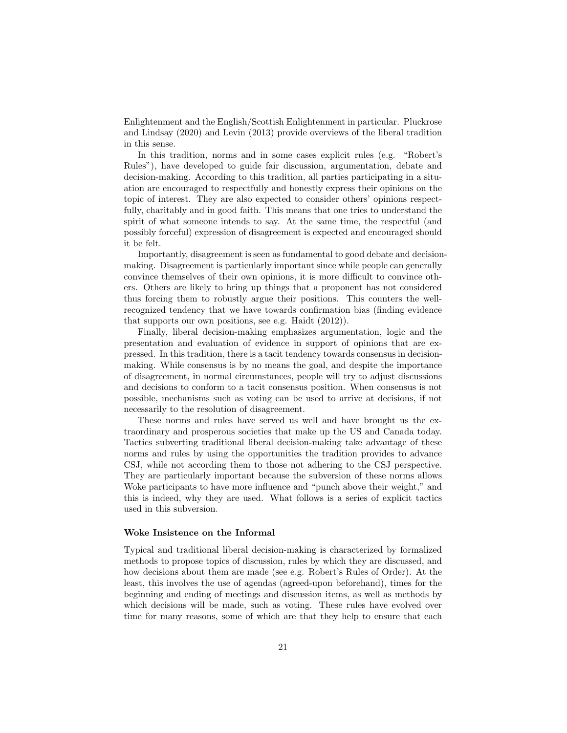Enlightenment and the English/Scottish Enlightenment in particular. [Pluckrose](#page-62-0) [and Lindsay](#page-62-0) [\(2020\)](#page-62-0) and [Levin](#page-62-4) [\(2013\)](#page-62-4) provide overviews of the liberal tradition in this sense.

In this tradition, norms and in some cases explicit rules (e.g. "Robert's Rules"), have developed to guide fair discussion, argumentation, debate and decision-making. According to this tradition, all parties participating in a situation are encouraged to respectfully and honestly express their opinions on the topic of interest. They are also expected to consider others' opinions respectfully, charitably and in good faith. This means that one tries to understand the spirit of what someone intends to say. At the same time, the respectful (and possibly forceful) expression of disagreement is expected and encouraged should it be felt.

Importantly, disagreement is seen as fundamental to good debate and decisionmaking. Disagreement is particularly important since while people can generally convince themselves of their own opinions, it is more difficult to convince others. Others are likely to bring up things that a proponent has not considered thus forcing them to robustly argue their positions. This counters the wellrecognized tendency that we have towards confirmation bias (finding evidence that supports our own positions, see e.g. [Haidt](#page-61-3) [\(2012\)](#page-61-3)).

Finally, liberal decision-making emphasizes argumentation, logic and the presentation and evaluation of evidence in support of opinions that are expressed. In this tradition, there is a tacit tendency towards consensus in decisionmaking. While consensus is by no means the goal, and despite the importance of disagreement, in normal circumstances, people will try to adjust discussions and decisions to conform to a tacit consensus position. When consensus is not possible, mechanisms such as voting can be used to arrive at decisions, if not necessarily to the resolution of disagreement.

These norms and rules have served us well and have brought us the extraordinary and prosperous societies that make up the US and Canada today. Tactics subverting traditional liberal decision-making take advantage of these norms and rules by using the opportunities the tradition provides to advance CSJ, while not according them to those not adhering to the CSJ perspective. They are particularly important because the subversion of these norms allows Woke participants to have more influence and "punch above their weight," and this is indeed, why they are used. What follows is a series of explicit tactics used in this subversion.

#### <span id="page-21-0"></span>Woke Insistence on the Informal

Typical and traditional liberal decision-making is characterized by formalized methods to propose topics of discussion, rules by which they are discussed, and how decisions about them are made (see e.g. Robert's Rules of Order). At the least, this involves the use of agendas (agreed-upon beforehand), times for the beginning and ending of meetings and discussion items, as well as methods by which decisions will be made, such as voting. These rules have evolved over time for many reasons, some of which are that they help to ensure that each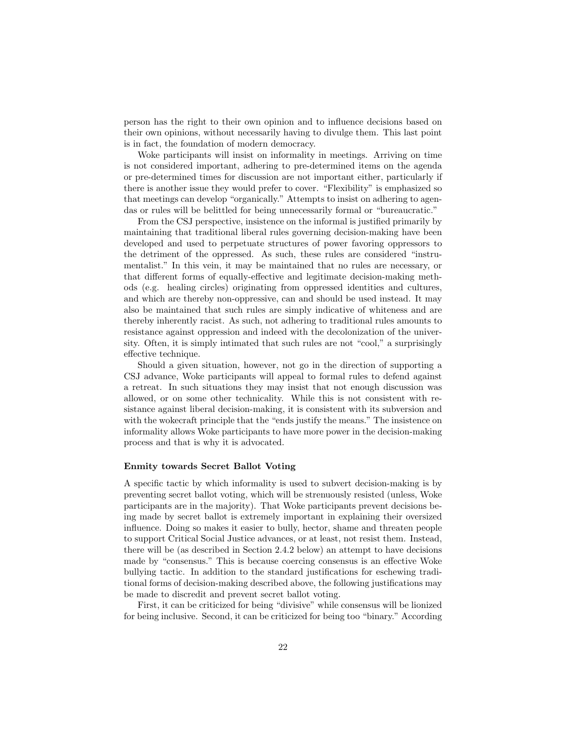person has the right to their own opinion and to influence decisions based on their own opinions, without necessarily having to divulge them. This last point is in fact, the foundation of modern democracy.

Woke participants will insist on informality in meetings. Arriving on time is not considered important, adhering to pre-determined items on the agenda or pre-determined times for discussion are not important either, particularly if there is another issue they would prefer to cover. "Flexibility" is emphasized so that meetings can develop "organically." Attempts to insist on adhering to agendas or rules will be belittled for being unnecessarily formal or "bureaucratic."

From the CSJ perspective, insistence on the informal is justified primarily by maintaining that traditional liberal rules governing decision-making have been developed and used to perpetuate structures of power favoring oppressors to the detriment of the oppressed. As such, these rules are considered "instrumentalist." In this vein, it may be maintained that no rules are necessary, or that different forms of equally-effective and legitimate decision-making methods (e.g. healing circles) originating from oppressed identities and cultures, and which are thereby non-oppressive, can and should be used instead. It may also be maintained that such rules are simply indicative of whiteness and are thereby inherently racist. As such, not adhering to traditional rules amounts to resistance against oppression and indeed with the decolonization of the university. Often, it is simply intimated that such rules are not "cool," a surprisingly effective technique.

Should a given situation, however, not go in the direction of supporting a CSJ advance, Woke participants will appeal to formal rules to defend against a retreat. In such situations they may insist that not enough discussion was allowed, or on some other technicality. While this is not consistent with resistance against liberal decision-making, it is consistent with its subversion and with the wokecraft principle that the "ends justify the means." The insistence on informality allows Woke participants to have more power in the decision-making process and that is why it is advocated.

#### Enmity towards Secret Ballot Voting

A specific tactic by which informality is used to subvert decision-making is by preventing secret ballot voting, which will be strenuously resisted (unless, Woke participants are in the majority). That Woke participants prevent decisions being made by secret ballot is extremely important in explaining their oversized influence. Doing so makes it easier to bully, hector, shame and threaten people to support Critical Social Justice advances, or at least, not resist them. Instead, there will be (as described in Section [2.4.2](#page-24-0) below) an attempt to have decisions made by "consensus." This is because coercing consensus is an effective Woke bullying tactic. In addition to the standard justifications for eschewing traditional forms of decision-making described above, the following justifications may be made to discredit and prevent secret ballot voting.

First, it can be criticized for being "divisive" while consensus will be lionized for being inclusive. Second, it can be criticized for being too "binary." According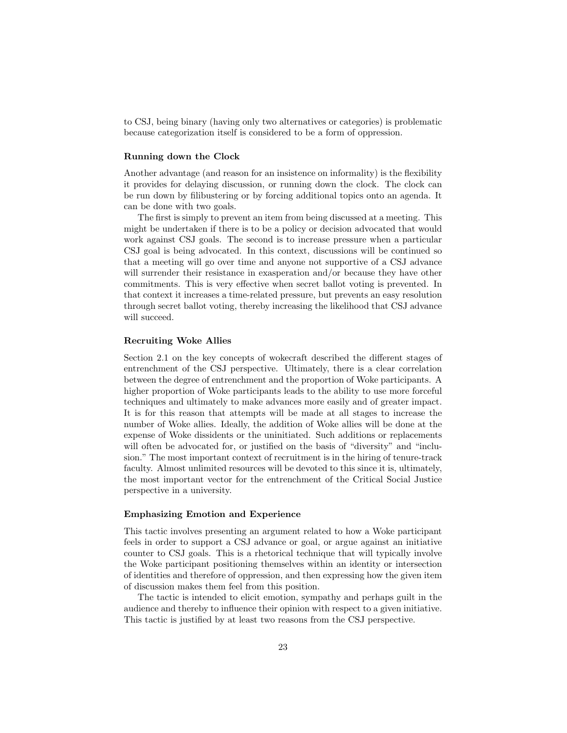to CSJ, being binary (having only two alternatives or categories) is problematic because categorization itself is considered to be a form of oppression.

#### Running down the Clock

Another advantage (and reason for an insistence on informality) is the flexibility it provides for delaying discussion, or running down the clock. The clock can be run down by filibustering or by forcing additional topics onto an agenda. It can be done with two goals.

The first is simply to prevent an item from being discussed at a meeting. This might be undertaken if there is to be a policy or decision advocated that would work against CSJ goals. The second is to increase pressure when a particular CSJ goal is being advocated. In this context, discussions will be continued so that a meeting will go over time and anyone not supportive of a CSJ advance will surrender their resistance in exasperation and/or because they have other commitments. This is very effective when secret ballot voting is prevented. In that context it increases a time-related pressure, but prevents an easy resolution through secret ballot voting, thereby increasing the likelihood that CSJ advance will succeed.

#### Recruiting Woke Allies

Section [2.1](#page-14-1) on the key concepts of wokecraft described the different stages of entrenchment of the CSJ perspective. Ultimately, there is a clear correlation between the degree of entrenchment and the proportion of Woke participants. A higher proportion of Woke participants leads to the ability to use more forceful techniques and ultimately to make advances more easily and of greater impact. It is for this reason that attempts will be made at all stages to increase the number of Woke allies. Ideally, the addition of Woke allies will be done at the expense of Woke dissidents or the uninitiated. Such additions or replacements will often be advocated for, or justified on the basis of "diversity" and "inclusion." The most important context of recruitment is in the hiring of tenure-track faculty. Almost unlimited resources will be devoted to this since it is, ultimately, the most important vector for the entrenchment of the Critical Social Justice perspective in a university.

#### Emphasizing Emotion and Experience

This tactic involves presenting an argument related to how a Woke participant feels in order to support a CSJ advance or goal, or argue against an initiative counter to CSJ goals. This is a rhetorical technique that will typically involve the Woke participant positioning themselves within an identity or intersection of identities and therefore of oppression, and then expressing how the given item of discussion makes them feel from this position.

The tactic is intended to elicit emotion, sympathy and perhaps guilt in the audience and thereby to influence their opinion with respect to a given initiative. This tactic is justified by at least two reasons from the CSJ perspective.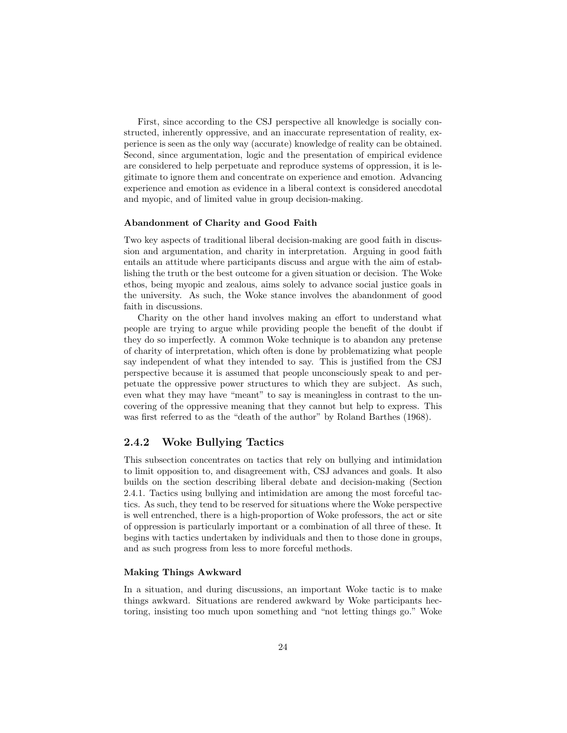First, since according to the CSJ perspective all knowledge is socially constructed, inherently oppressive, and an inaccurate representation of reality, experience is seen as the only way (accurate) knowledge of reality can be obtained. Second, since argumentation, logic and the presentation of empirical evidence are considered to help perpetuate and reproduce systems of oppression, it is legitimate to ignore them and concentrate on experience and emotion. Advancing experience and emotion as evidence in a liberal context is considered anecdotal and myopic, and of limited value in group decision-making.

#### Abandonment of Charity and Good Faith

Two key aspects of traditional liberal decision-making are good faith in discussion and argumentation, and charity in interpretation. Arguing in good faith entails an attitude where participants discuss and argue with the aim of establishing the truth or the best outcome for a given situation or decision. The Woke ethos, being myopic and zealous, aims solely to advance social justice goals in the university. As such, the Woke stance involves the abandonment of good faith in discussions.

Charity on the other hand involves making an effort to understand what people are trying to argue while providing people the benefit of the doubt if they do so imperfectly. A common Woke technique is to abandon any pretense of charity of interpretation, which often is done by problematizing what people say independent of what they intended to say. This is justified from the CSJ perspective because it is assumed that people unconsciously speak to and perpetuate the oppressive power structures to which they are subject. As such, even what they may have "meant" to say is meaningless in contrast to the uncovering of the oppressive meaning that they cannot but help to express. This was first referred to as the "death of the author" by Roland [Barthes](#page-61-8) [\(1968\)](#page-61-8).

#### <span id="page-24-0"></span>2.4.2 Woke Bullying Tactics

This subsection concentrates on tactics that rely on bullying and intimidation to limit opposition to, and disagreement with, CSJ advances and goals. It also builds on the section describing liberal debate and decision-making (Section [2.4.1.](#page-20-1) Tactics using bullying and intimidation are among the most forceful tactics. As such, they tend to be reserved for situations where the Woke perspective is well entrenched, there is a high-proportion of Woke professors, the act or site of oppression is particularly important or a combination of all three of these. It begins with tactics undertaken by individuals and then to those done in groups, and as such progress from less to more forceful methods.

#### Making Things Awkward

In a situation, and during discussions, an important Woke tactic is to make things awkward. Situations are rendered awkward by Woke participants hectoring, insisting too much upon something and "not letting things go." Woke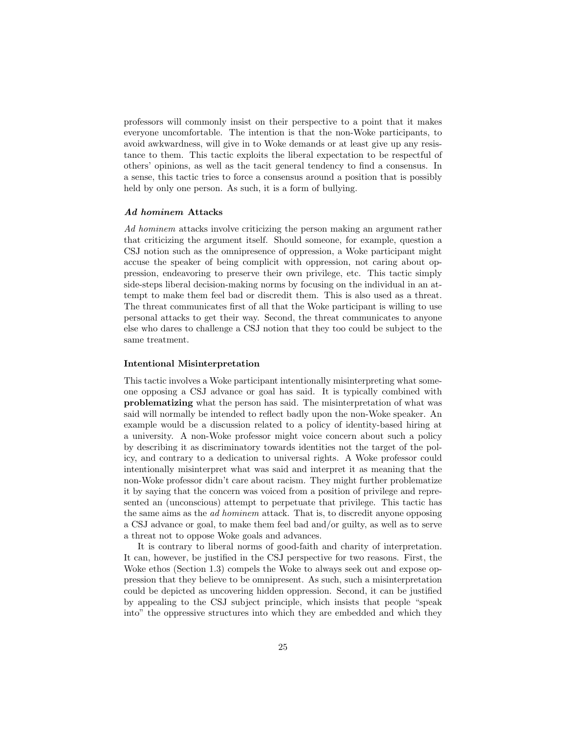professors will commonly insist on their perspective to a point that it makes everyone uncomfortable. The intention is that the non-Woke participants, to avoid awkwardness, will give in to Woke demands or at least give up any resistance to them. This tactic exploits the liberal expectation to be respectful of others' opinions, as well as the tacit general tendency to find a consensus. In a sense, this tactic tries to force a consensus around a position that is possibly held by only one person. As such, it is a form of bullying.

#### Ad hominem Attacks

Ad hominem attacks involve criticizing the person making an argument rather that criticizing the argument itself. Should someone, for example, question a CSJ notion such as the omnipresence of oppression, a Woke participant might accuse the speaker of being complicit with oppression, not caring about oppression, endeavoring to preserve their own privilege, etc. This tactic simply side-steps liberal decision-making norms by focusing on the individual in an attempt to make them feel bad or discredit them. This is also used as a threat. The threat communicates first of all that the Woke participant is willing to use personal attacks to get their way. Second, the threat communicates to anyone else who dares to challenge a CSJ notion that they too could be subject to the same treatment.

#### Intentional Misinterpretation

This tactic involves a Woke participant intentionally misinterpreting what someone opposing a CSJ advance or goal has said. It is typically combined with problematizing what the person has said. The misinterpretation of what was said will normally be intended to reflect badly upon the non-Woke speaker. An example would be a discussion related to a policy of identity-based hiring at a university. A non-Woke professor might voice concern about such a policy by describing it as discriminatory towards identities not the target of the policy, and contrary to a dedication to universal rights. A Woke professor could intentionally misinterpret what was said and interpret it as meaning that the non-Woke professor didn't care about racism. They might further problematize it by saying that the concern was voiced from a position of privilege and represented an (unconscious) attempt to perpetuate that privilege. This tactic has the same aims as the ad hominem attack. That is, to discredit anyone opposing a CSJ advance or goal, to make them feel bad and/or guilty, as well as to serve a threat not to oppose Woke goals and advances.

It is contrary to liberal norms of good-faith and charity of interpretation. It can, however, be justified in the CSJ perspective for two reasons. First, the Woke ethos (Section [1.3\)](#page-7-0) compels the Woke to always seek out and expose oppression that they believe to be omnipresent. As such, such a misinterpretation could be depicted as uncovering hidden oppression. Second, it can be justified by appealing to the CSJ subject principle, which insists that people "speak into" the oppressive structures into which they are embedded and which they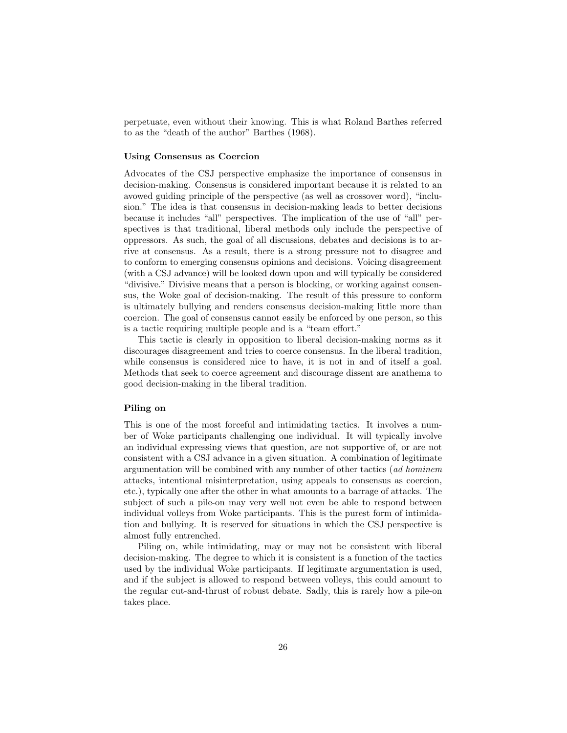perpetuate, even without their knowing. This is what Roland Barthes referred to as the "death of the author" [Barthes](#page-61-8) [\(1968\)](#page-61-8).

#### Using Consensus as Coercion

Advocates of the CSJ perspective emphasize the importance of consensus in decision-making. Consensus is considered important because it is related to an avowed guiding principle of the perspective (as well as crossover word), "inclusion." The idea is that consensus in decision-making leads to better decisions because it includes "all" perspectives. The implication of the use of "all" perspectives is that traditional, liberal methods only include the perspective of oppressors. As such, the goal of all discussions, debates and decisions is to arrive at consensus. As a result, there is a strong pressure not to disagree and to conform to emerging consensus opinions and decisions. Voicing disagreement (with a CSJ advance) will be looked down upon and will typically be considered "divisive." Divisive means that a person is blocking, or working against consensus, the Woke goal of decision-making. The result of this pressure to conform is ultimately bullying and renders consensus decision-making little more than coercion. The goal of consensus cannot easily be enforced by one person, so this is a tactic requiring multiple people and is a "team effort."

This tactic is clearly in opposition to liberal decision-making norms as it discourages disagreement and tries to coerce consensus. In the liberal tradition, while consensus is considered nice to have, it is not in and of itself a goal. Methods that seek to coerce agreement and discourage dissent are anathema to good decision-making in the liberal tradition.

#### Piling on

This is one of the most forceful and intimidating tactics. It involves a number of Woke participants challenging one individual. It will typically involve an individual expressing views that question, are not supportive of, or are not consistent with a CSJ advance in a given situation. A combination of legitimate argumentation will be combined with any number of other tactics (ad hominem attacks, intentional misinterpretation, using appeals to consensus as coercion, etc.), typically one after the other in what amounts to a barrage of attacks. The subject of such a pile-on may very well not even be able to respond between individual volleys from Woke participants. This is the purest form of intimidation and bullying. It is reserved for situations in which the CSJ perspective is almost fully entrenched.

Piling on, while intimidating, may or may not be consistent with liberal decision-making. The degree to which it is consistent is a function of the tactics used by the individual Woke participants. If legitimate argumentation is used, and if the subject is allowed to respond between volleys, this could amount to the regular cut-and-thrust of robust debate. Sadly, this is rarely how a pile-on takes place.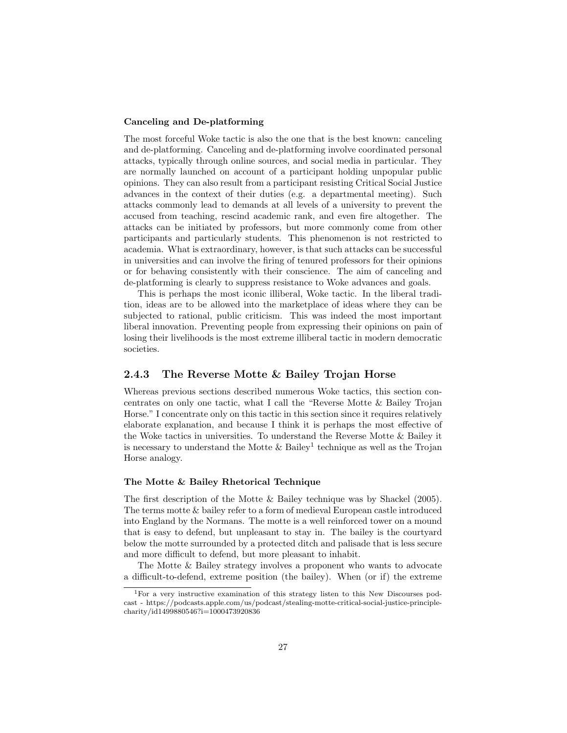#### Canceling and De-platforming

The most forceful Woke tactic is also the one that is the best known: canceling and de-platforming. Canceling and de-platforming involve coordinated personal attacks, typically through online sources, and social media in particular. They are normally launched on account of a participant holding unpopular public opinions. They can also result from a participant resisting Critical Social Justice advances in the context of their duties (e.g. a departmental meeting). Such attacks commonly lead to demands at all levels of a university to prevent the accused from teaching, rescind academic rank, and even fire altogether. The attacks can be initiated by professors, but more commonly come from other participants and particularly students. This phenomenon is not restricted to academia. What is extraordinary, however, is that such attacks can be successful in universities and can involve the firing of tenured professors for their opinions or for behaving consistently with their conscience. The aim of canceling and de-platforming is clearly to suppress resistance to Woke advances and goals.

This is perhaps the most iconic illiberal, Woke tactic. In the liberal tradition, ideas are to be allowed into the marketplace of ideas where they can be subjected to rational, public criticism. This was indeed the most important liberal innovation. Preventing people from expressing their opinions on pain of losing their livelihoods is the most extreme illiberal tactic in modern democratic societies.

#### <span id="page-27-0"></span>2.4.3 The Reverse Motte & Bailey Trojan Horse

Whereas previous sections described numerous Woke tactics, this section concentrates on only one tactic, what I call the "Reverse Motte & Bailey Trojan Horse." I concentrate only on this tactic in this section since it requires relatively elaborate explanation, and because I think it is perhaps the most effective of the Woke tactics in universities. To understand the Reverse Motte & Bailey it is necessary to understand the Motte  $\&$  Bailey<sup>[1](#page-27-1)</sup> technique as well as the Trojan Horse analogy.

#### The Motte & Bailey Rhetorical Technique

The first description of the Motte & Bailey technique was by [Shackel](#page-62-5) [\(2005\)](#page-62-5). The terms motte & bailey refer to a form of medieval European castle introduced into England by the Normans. The motte is a well reinforced tower on a mound that is easy to defend, but unpleasant to stay in. The bailey is the courtyard below the motte surrounded by a protected ditch and palisade that is less secure and more difficult to defend, but more pleasant to inhabit.

The Motte & Bailey strategy involves a proponent who wants to advocate a difficult-to-defend, extreme position (the bailey). When (or if) the extreme

<span id="page-27-1"></span><sup>1</sup>For a very instructive examination of this strategy listen to this New Discourses podcast - https://podcasts.apple.com/us/podcast/stealing-motte-critical-social-justice-principlecharity/id1499880546?i=1000473920836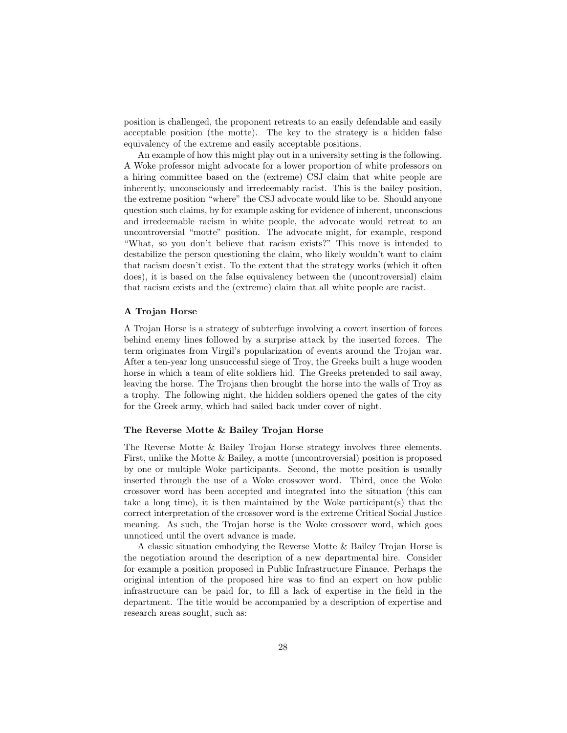position is challenged, the proponent retreats to an easily defendable and easily acceptable position (the motte). The key to the strategy is a hidden false equivalency of the extreme and easily acceptable positions.

An example of how this might play out in a university setting is the following. A Woke professor might advocate for a lower proportion of white professors on a hiring committee based on the (extreme) CSJ claim that white people are inherently, unconsciously and irredeemably racist. This is the bailey position, the extreme position "where" the CSJ advocate would like to be. Should anyone question such claims, by for example asking for evidence of inherent, unconscious and irredeemable racism in white people, the advocate would retreat to an uncontroversial "motte" position. The advocate might, for example, respond "What, so you don't believe that racism exists?" This move is intended to destabilize the person questioning the claim, who likely wouldn't want to claim that racism doesn't exist. To the extent that the strategy works (which it often does), it is based on the false equivalency between the (uncontroversial) claim that racism exists and the (extreme) claim that all white people are racist.

#### A Trojan Horse

A Trojan Horse is a strategy of subterfuge involving a covert insertion of forces behind enemy lines followed by a surprise attack by the inserted forces. The term originates from Virgil's popularization of events around the Trojan war. After a ten-year long unsuccessful siege of Troy, the Greeks built a huge wooden horse in which a team of elite soldiers hid. The Greeks pretended to sail away, leaving the horse. The Trojans then brought the horse into the walls of Troy as a trophy. The following night, the hidden soldiers opened the gates of the city for the Greek army, which had sailed back under cover of night.

#### <span id="page-28-0"></span>The Reverse Motte & Bailey Trojan Horse

The Reverse Motte & Bailey Trojan Horse strategy involves three elements. First, unlike the Motte & Bailey, a motte (uncontroversial) position is proposed by one or multiple Woke participants. Second, the motte position is usually inserted through the use of a Woke crossover word. Third, once the Woke crossover word has been accepted and integrated into the situation (this can take a long time), it is then maintained by the Woke participant(s) that the correct interpretation of the crossover word is the extreme Critical Social Justice meaning. As such, the Trojan horse is the Woke crossover word, which goes unnoticed until the overt advance is made.

A classic situation embodying the Reverse Motte & Bailey Trojan Horse is the negotiation around the description of a new departmental hire. Consider for example a position proposed in Public Infrastructure Finance. Perhaps the original intention of the proposed hire was to find an expert on how public infrastructure can be paid for, to fill a lack of expertise in the field in the department. The title would be accompanied by a description of expertise and research areas sought, such as: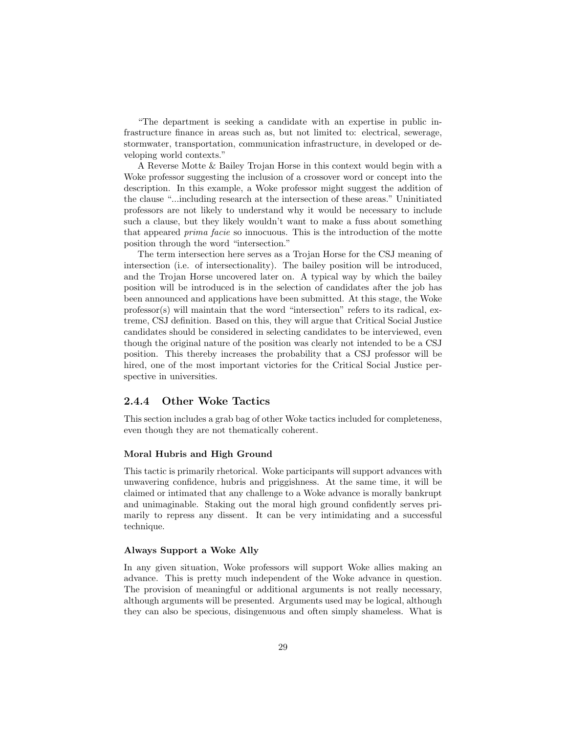"The department is seeking a candidate with an expertise in public infrastructure finance in areas such as, but not limited to: electrical, sewerage, stormwater, transportation, communication infrastructure, in developed or developing world contexts."

A Reverse Motte & Bailey Trojan Horse in this context would begin with a Woke professor suggesting the inclusion of a crossover word or concept into the description. In this example, a Woke professor might suggest the addition of the clause "...including research at the intersection of these areas." Uninitiated professors are not likely to understand why it would be necessary to include such a clause, but they likely wouldn't want to make a fuss about something that appeared prima facie so innocuous. This is the introduction of the motte position through the word "intersection."

The term intersection here serves as a Trojan Horse for the CSJ meaning of intersection (i.e. of intersectionality). The bailey position will be introduced, and the Trojan Horse uncovered later on. A typical way by which the bailey position will be introduced is in the selection of candidates after the job has been announced and applications have been submitted. At this stage, the Woke professor(s) will maintain that the word "intersection" refers to its radical, extreme, CSJ definition. Based on this, they will argue that Critical Social Justice candidates should be considered in selecting candidates to be interviewed, even though the original nature of the position was clearly not intended to be a CSJ position. This thereby increases the probability that a CSJ professor will be hired, one of the most important victories for the Critical Social Justice perspective in universities.

#### <span id="page-29-0"></span>2.4.4 Other Woke Tactics

This section includes a grab bag of other Woke tactics included for completeness, even though they are not thematically coherent.

#### Moral Hubris and High Ground

This tactic is primarily rhetorical. Woke participants will support advances with unwavering confidence, hubris and priggishness. At the same time, it will be claimed or intimated that any challenge to a Woke advance is morally bankrupt and unimaginable. Staking out the moral high ground confidently serves primarily to repress any dissent. It can be very intimidating and a successful technique.

#### Always Support a Woke Ally

In any given situation, Woke professors will support Woke allies making an advance. This is pretty much independent of the Woke advance in question. The provision of meaningful or additional arguments is not really necessary, although arguments will be presented. Arguments used may be logical, although they can also be specious, disingenuous and often simply shameless. What is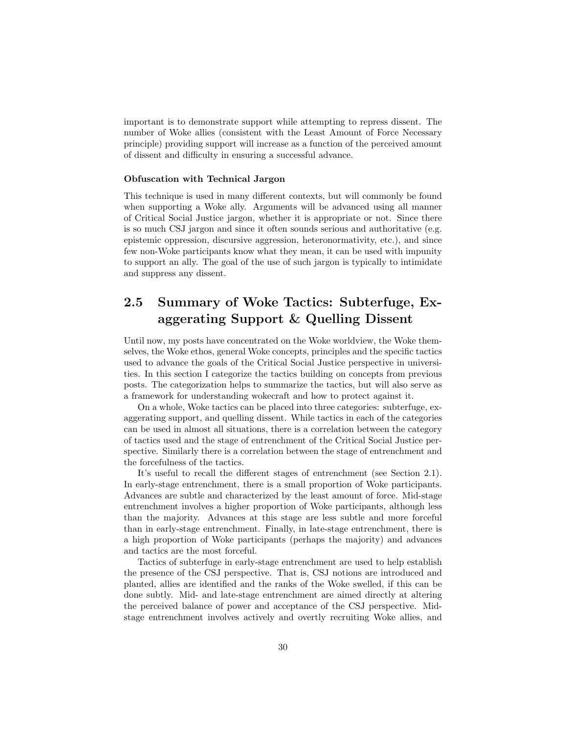important is to demonstrate support while attempting to repress dissent. The number of Woke allies (consistent with the Least Amount of Force Necessary principle) providing support will increase as a function of the perceived amount of dissent and difficulty in ensuring a successful advance.

#### Obfuscation with Technical Jargon

This technique is used in many different contexts, but will commonly be found when supporting a Woke ally. Arguments will be advanced using all manner of Critical Social Justice jargon, whether it is appropriate or not. Since there is so much CSJ jargon and since it often sounds serious and authoritative (e.g. epistemic oppression, discursive aggression, heteronormativity, etc.), and since few non-Woke participants know what they mean, it can be used with impunity to support an ally. The goal of the use of such jargon is typically to intimidate and suppress any dissent.

## <span id="page-30-0"></span>2.5 Summary of Woke Tactics: Subterfuge, Exaggerating Support & Quelling Dissent

Until now, my posts have concentrated on the Woke worldview, the Woke themselves, the Woke ethos, general Woke concepts, principles and the specific tactics used to advance the goals of the Critical Social Justice perspective in universities. In this section I categorize the tactics building on concepts from previous posts. The categorization helps to summarize the tactics, but will also serve as a framework for understanding wokecraft and how to protect against it.

On a whole, Woke tactics can be placed into three categories: subterfuge, exaggerating support, and quelling dissent. While tactics in each of the categories can be used in almost all situations, there is a correlation between the category of tactics used and the stage of entrenchment of the Critical Social Justice perspective. Similarly there is a correlation between the stage of entrenchment and the forcefulness of the tactics.

It's useful to recall the different stages of entrenchment (see Section [2.1\)](#page-14-1). In early-stage entrenchment, there is a small proportion of Woke participants. Advances are subtle and characterized by the least amount of force. Mid-stage entrenchment involves a higher proportion of Woke participants, although less than the majority. Advances at this stage are less subtle and more forceful than in early-stage entrenchment. Finally, in late-stage entrenchment, there is a high proportion of Woke participants (perhaps the majority) and advances and tactics are the most forceful.

Tactics of subterfuge in early-stage entrenchment are used to help establish the presence of the CSJ perspective. That is, CSJ notions are introduced and planted, allies are identified and the ranks of the Woke swelled, if this can be done subtly. Mid- and late-stage entrenchment are aimed directly at altering the perceived balance of power and acceptance of the CSJ perspective. Midstage entrenchment involves actively and overtly recruiting Woke allies, and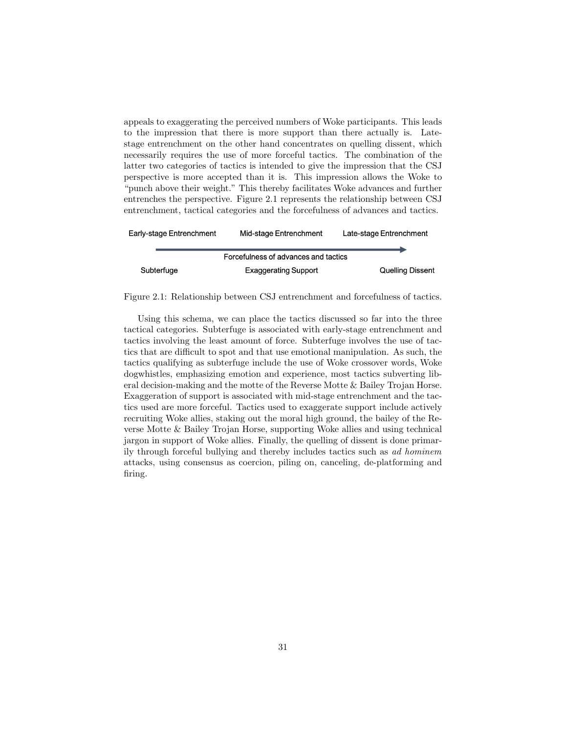appeals to exaggerating the perceived numbers of Woke participants. This leads to the impression that there is more support than there actually is. Latestage entrenchment on the other hand concentrates on quelling dissent, which necessarily requires the use of more forceful tactics. The combination of the latter two categories of tactics is intended to give the impression that the CSJ perspective is more accepted than it is. This impression allows the Woke to "punch above their weight." This thereby facilitates Woke advances and further entrenches the perspective. Figure [2.1](#page-31-0) represents the relationship between CSJ entrenchment, tactical categories and the forcefulness of advances and tactics.

| Early-stage Entrenchment | Mid-stage Entrenchment               | Late-stage Entrenchment |  |
|--------------------------|--------------------------------------|-------------------------|--|
|                          |                                      |                         |  |
|                          | Forcefulness of advances and tactics |                         |  |
| Subterfuge               | <b>Exaggerating Support</b>          | <b>Quelling Dissent</b> |  |

<span id="page-31-0"></span>Figure 2.1: Relationship between CSJ entrenchment and forcefulness of tactics.

Using this schema, we can place the tactics discussed so far into the three tactical categories. Subterfuge is associated with early-stage entrenchment and tactics involving the least amount of force. Subterfuge involves the use of tactics that are difficult to spot and that use emotional manipulation. As such, the tactics qualifying as subterfuge include the use of Woke crossover words, Woke dogwhistles, emphasizing emotion and experience, most tactics subverting liberal decision-making and the motte of the Reverse Motte & Bailey Trojan Horse. Exaggeration of support is associated with mid-stage entrenchment and the tactics used are more forceful. Tactics used to exaggerate support include actively recruiting Woke allies, staking out the moral high ground, the bailey of the Reverse Motte & Bailey Trojan Horse, supporting Woke allies and using technical jargon in support of Woke allies. Finally, the quelling of dissent is done primarily through forceful bullying and thereby includes tactics such as ad hominem attacks, using consensus as coercion, piling on, canceling, de-platforming and firing.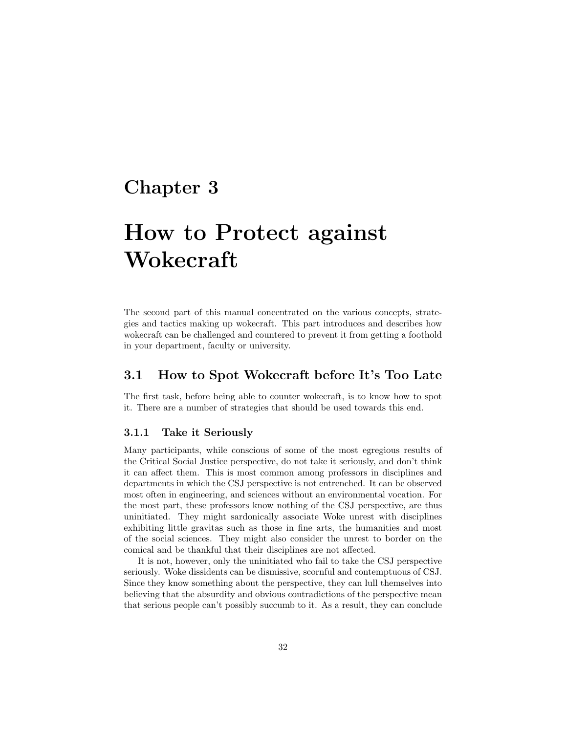## <span id="page-32-0"></span>Chapter 3

# How to Protect against Wokecraft

The second part of this manual concentrated on the various concepts, strategies and tactics making up wokecraft. This part introduces and describes how wokecraft can be challenged and countered to prevent it from getting a foothold in your department, faculty or university.

## <span id="page-32-1"></span>3.1 How to Spot Wokecraft before It's Too Late

The first task, before being able to counter wokecraft, is to know how to spot it. There are a number of strategies that should be used towards this end.

#### <span id="page-32-2"></span>3.1.1 Take it Seriously

Many participants, while conscious of some of the most egregious results of the Critical Social Justice perspective, do not take it seriously, and don't think it can affect them. This is most common among professors in disciplines and departments in which the CSJ perspective is not entrenched. It can be observed most often in engineering, and sciences without an environmental vocation. For the most part, these professors know nothing of the CSJ perspective, are thus uninitiated. They might sardonically associate Woke unrest with disciplines exhibiting little gravitas such as those in fine arts, the humanities and most of the social sciences. They might also consider the unrest to border on the comical and be thankful that their disciplines are not affected.

It is not, however, only the uninitiated who fail to take the CSJ perspective seriously. Woke dissidents can be dismissive, scornful and contemptuous of CSJ. Since they know something about the perspective, they can lull themselves into believing that the absurdity and obvious contradictions of the perspective mean that serious people can't possibly succumb to it. As a result, they can conclude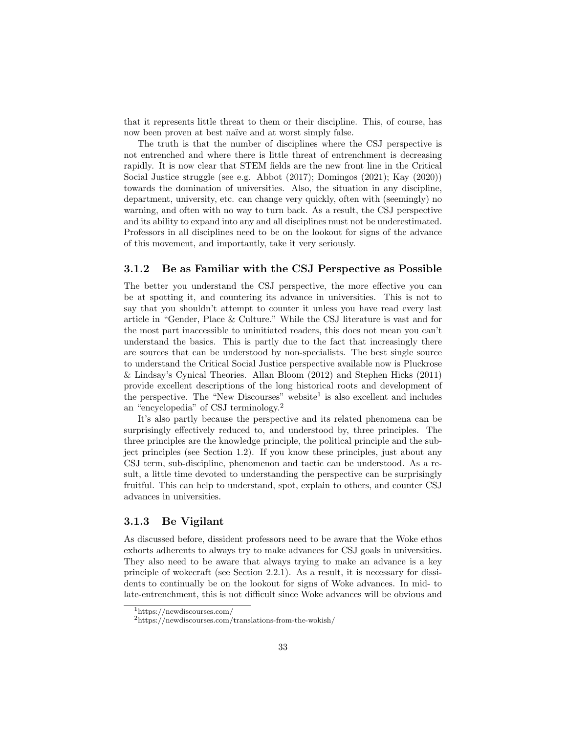that it represents little threat to them or their discipline. This, of course, has now been proven at best naïve and at worst simply false.

The truth is that the number of disciplines where the CSJ perspective is not entrenched and where there is little threat of entrenchment is decreasing rapidly. It is now clear that STEM fields are the new front line in the Critical Social Justice struggle (see e.g. [Abbot](#page-61-9) [\(2017\)](#page-61-9); [Domingos](#page-61-10) [\(2021\)](#page-61-10); [Kay](#page-61-11) [\(2020\)](#page-61-11)) towards the domination of universities. Also, the situation in any discipline, department, university, etc. can change very quickly, often with (seemingly) no warning, and often with no way to turn back. As a result, the CSJ perspective and its ability to expand into any and all disciplines must not be underestimated. Professors in all disciplines need to be on the lookout for signs of the advance of this movement, and importantly, take it very seriously.

#### <span id="page-33-0"></span>3.1.2 Be as Familiar with the CSJ Perspective as Possible

The better you understand the CSJ perspective, the more effective you can be at spotting it, and countering its advance in universities. This is not to say that you shouldn't attempt to counter it unless you have read every last article in "Gender, Place & Culture." While the CSJ literature is vast and for the most part inaccessible to uninitiated readers, this does not mean you can't understand the basics. This is partly due to the fact that increasingly there are sources that can be understood by non-specialists. The best single source to understand the Critical Social Justice perspective available now is Pluckrose & Lindsay's Cynical Theories. Allan [Bloom](#page-61-12) [\(2012\)](#page-61-12) and Stephen [Hicks](#page-61-2) [\(2011\)](#page-61-2) provide excellent descriptions of the long historical roots and development of the perspective. The "New Discourses" website<sup>[1](#page-33-2)</sup> is also excellent and includes an "encyclopedia" of CSJ terminology.[2](#page-33-3)

It's also partly because the perspective and its related phenomena can be surprisingly effectively reduced to, and understood by, three principles. The three principles are the knowledge principle, the political principle and the subject principles (see Section [1.2\)](#page-5-2). If you know these principles, just about any CSJ term, sub-discipline, phenomenon and tactic can be understood. As a result, a little time devoted to understanding the perspective can be surprisingly fruitful. This can help to understand, spot, explain to others, and counter CSJ advances in universities.

#### <span id="page-33-1"></span>3.1.3 Be Vigilant

As discussed before, dissident professors need to be aware that the Woke ethos exhorts adherents to always try to make advances for CSJ goals in universities. They also need to be aware that always trying to make an advance is a key principle of wokecraft (see Section [2.2.1\)](#page-16-1). As a result, it is necessary for dissidents to continually be on the lookout for signs of Woke advances. In mid- to late-entrenchment, this is not difficult since Woke advances will be obvious and

<span id="page-33-2"></span><sup>1</sup>https://newdiscourses.com/

<span id="page-33-3"></span><sup>2</sup>https://newdiscourses.com/translations-from-the-wokish/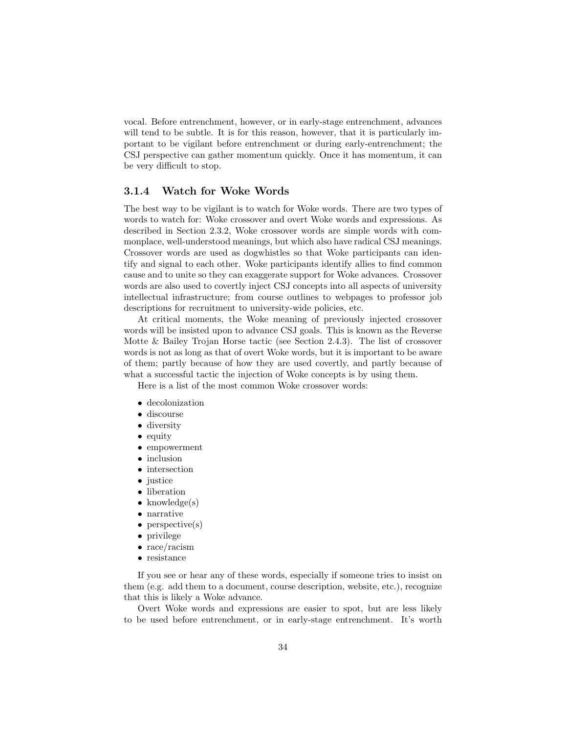vocal. Before entrenchment, however, or in early-stage entrenchment, advances will tend to be subtle. It is for this reason, however, that it is particularly important to be vigilant before entrenchment or during early-entrenchment; the CSJ perspective can gather momentum quickly. Once it has momentum, it can be very difficult to stop.

#### <span id="page-34-0"></span>3.1.4 Watch for Woke Words

The best way to be vigilant is to watch for Woke words. There are two types of words to watch for: Woke crossover and overt Woke words and expressions. As described in Section [2.3.2,](#page-19-2) Woke crossover words are simple words with commonplace, well-understood meanings, but which also have radical CSJ meanings. Crossover words are used as dogwhistles so that Woke participants can identify and signal to each other. Woke participants identify allies to find common cause and to unite so they can exaggerate support for Woke advances. Crossover words are also used to covertly inject CSJ concepts into all aspects of university intellectual infrastructure; from course outlines to webpages to professor job descriptions for recruitment to university-wide policies, etc.

At critical moments, the Woke meaning of previously injected crossover words will be insisted upon to advance CSJ goals. This is known as the Reverse Motte & Bailey Trojan Horse tactic (see Section [2.4.3\)](#page-27-0). The list of crossover words is not as long as that of overt Woke words, but it is important to be aware of them; partly because of how they are used covertly, and partly because of what a successful tactic the injection of Woke concepts is by using them.

Here is a list of the most common Woke crossover words:

- decolonization
- discourse
- diversity
- equity
- empowerment
- inclusion
- intersection
- justice
- liberation
- $\bullet$  knowledge(s)
- narrative
- perspective(s)
- privilege
- race/racism
- resistance

If you see or hear any of these words, especially if someone tries to insist on them (e.g. add them to a document, course description, website, etc.), recognize that this is likely a Woke advance.

Overt Woke words and expressions are easier to spot, but are less likely to be used before entrenchment, or in early-stage entrenchment. It's worth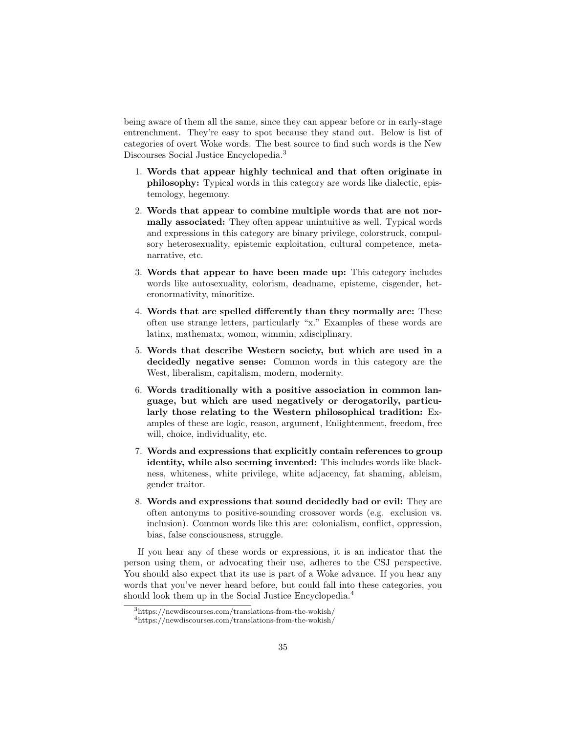being aware of them all the same, since they can appear before or in early-stage entrenchment. They're easy to spot because they stand out. Below is list of categories of overt Woke words. The best source to find such words is the New Discourses Social Justice Encyclopedia.[3](#page-35-0)

- 1. Words that appear highly technical and that often originate in philosophy: Typical words in this category are words like dialectic, epistemology, hegemony.
- 2. Words that appear to combine multiple words that are not normally associated: They often appear unintuitive as well. Typical words and expressions in this category are binary privilege, colorstruck, compulsory heterosexuality, epistemic exploitation, cultural competence, metanarrative, etc.
- 3. Words that appear to have been made up: This category includes words like autosexuality, colorism, deadname, episteme, cisgender, heteronormativity, minoritize.
- 4. Words that are spelled differently than they normally are: These often use strange letters, particularly "x." Examples of these words are latinx, mathematx, womon, wimmin, xdisciplinary.
- 5. Words that describe Western society, but which are used in a decidedly negative sense: Common words in this category are the West, liberalism, capitalism, modern, modernity.
- 6. Words traditionally with a positive association in common language, but which are used negatively or derogatorily, particularly those relating to the Western philosophical tradition: Examples of these are logic, reason, argument, Enlightenment, freedom, free will, choice, individuality, etc.
- 7. Words and expressions that explicitly contain references to group identity, while also seeming invented: This includes words like blackness, whiteness, white privilege, white adjacency, fat shaming, ableism, gender traitor.
- 8. Words and expressions that sound decidedly bad or evil: They are often antonyms to positive-sounding crossover words (e.g. exclusion vs. inclusion). Common words like this are: colonialism, conflict, oppression, bias, false consciousness, struggle.

If you hear any of these words or expressions, it is an indicator that the person using them, or advocating their use, adheres to the CSJ perspective. You should also expect that its use is part of a Woke advance. If you hear any words that you've never heard before, but could fall into these categories, you should look them up in the Social Justice Encyclopedia.<sup>[4](#page-35-1)</sup>

<span id="page-35-0"></span><sup>3</sup>https://newdiscourses.com/translations-from-the-wokish/

<span id="page-35-1"></span><sup>4</sup>https://newdiscourses.com/translations-from-the-wokish/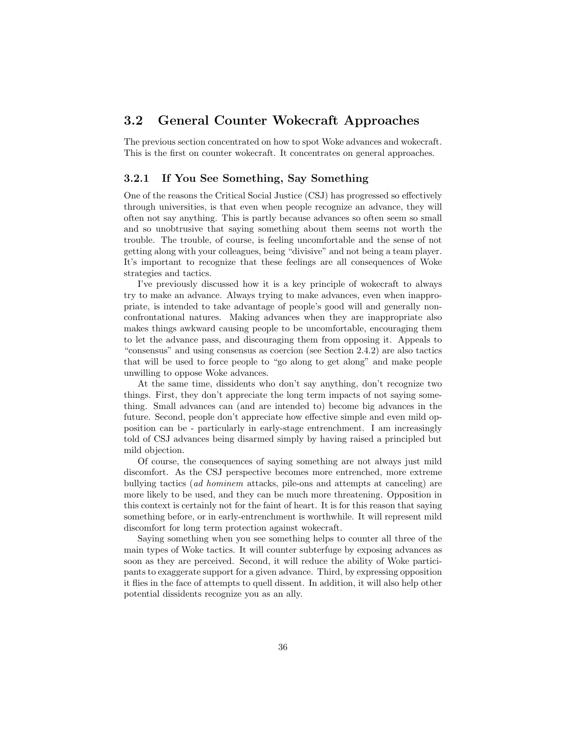## <span id="page-36-0"></span>3.2 General Counter Wokecraft Approaches

The previous section concentrated on how to spot Woke advances and wokecraft. This is the first on counter wokecraft. It concentrates on general approaches.

#### <span id="page-36-1"></span>3.2.1 If You See Something, Say Something

One of the reasons the Critical Social Justice (CSJ) has progressed so effectively through universities, is that even when people recognize an advance, they will often not say anything. This is partly because advances so often seem so small and so unobtrusive that saying something about them seems not worth the trouble. The trouble, of course, is feeling uncomfortable and the sense of not getting along with your colleagues, being "divisive" and not being a team player. It's important to recognize that these feelings are all consequences of Woke strategies and tactics.

I've previously discussed how it is a key principle of wokecraft to always try to make an advance. Always trying to make advances, even when inappropriate, is intended to take advantage of people's good will and generally nonconfrontational natures. Making advances when they are inappropriate also makes things awkward causing people to be uncomfortable, encouraging them to let the advance pass, and discouraging them from opposing it. Appeals to "consensus" and using consensus as coercion (see Section [2.4.2\)](#page-24-0) are also tactics that will be used to force people to "go along to get along" and make people unwilling to oppose Woke advances.

At the same time, dissidents who don't say anything, don't recognize two things. First, they don't appreciate the long term impacts of not saying something. Small advances can (and are intended to) become big advances in the future. Second, people don't appreciate how effective simple and even mild opposition can be - particularly in early-stage entrenchment. I am increasingly told of CSJ advances being disarmed simply by having raised a principled but mild objection.

Of course, the consequences of saying something are not always just mild discomfort. As the CSJ perspective becomes more entrenched, more extreme bullying tactics (ad hominem attacks, pile-ons and attempts at canceling) are more likely to be used, and they can be much more threatening. Opposition in this context is certainly not for the faint of heart. It is for this reason that saying something before, or in early-entrenchment is worthwhile. It will represent mild discomfort for long term protection against wokecraft.

Saying something when you see something helps to counter all three of the main types of Woke tactics. It will counter subterfuge by exposing advances as soon as they are perceived. Second, it will reduce the ability of Woke participants to exaggerate support for a given advance. Third, by expressing opposition it flies in the face of attempts to quell dissent. In addition, it will also help other potential dissidents recognize you as an ally.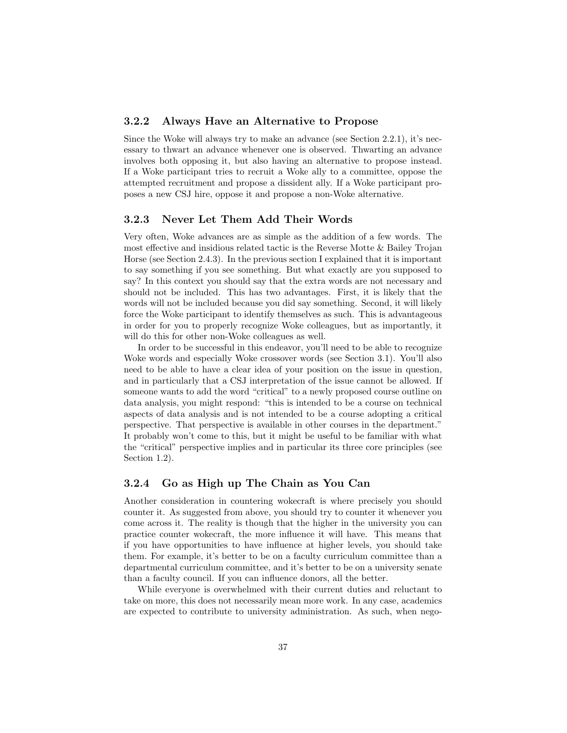#### <span id="page-37-0"></span>3.2.2 Always Have an Alternative to Propose

Since the Woke will always try to make an advance (see Section [2.2.1\)](#page-16-1), it's necessary to thwart an advance whenever one is observed. Thwarting an advance involves both opposing it, but also having an alternative to propose instead. If a Woke participant tries to recruit a Woke ally to a committee, oppose the attempted recruitment and propose a dissident ally. If a Woke participant proposes a new CSJ hire, oppose it and propose a non-Woke alternative.

#### <span id="page-37-1"></span>3.2.3 Never Let Them Add Their Words

Very often, Woke advances are as simple as the addition of a few words. The most effective and insidious related tactic is the Reverse Motte & Bailey Trojan Horse (see Section [2.4.3\)](#page-28-0). In the previous section I explained that it is important to say something if you see something. But what exactly are you supposed to say? In this context you should say that the extra words are not necessary and should not be included. This has two advantages. First, it is likely that the words will not be included because you did say something. Second, it will likely force the Woke participant to identify themselves as such. This is advantageous in order for you to properly recognize Woke colleagues, but as importantly, it will do this for other non-Woke colleagues as well.

In order to be successful in this endeavor, you'll need to be able to recognize Woke words and especially Woke crossover words (see Section [3.1\)](#page-32-1). You'll also need to be able to have a clear idea of your position on the issue in question, and in particularly that a CSJ interpretation of the issue cannot be allowed. If someone wants to add the word "critical" to a newly proposed course outline on data analysis, you might respond: "this is intended to be a course on technical aspects of data analysis and is not intended to be a course adopting a critical perspective. That perspective is available in other courses in the department." It probably won't come to this, but it might be useful to be familiar with what the "critical" perspective implies and in particular its three core principles (see Section [1.2\)](#page-5-2).

#### <span id="page-37-2"></span>3.2.4 Go as High up The Chain as You Can

Another consideration in countering wokecraft is where precisely you should counter it. As suggested from above, you should try to counter it whenever you come across it. The reality is though that the higher in the university you can practice counter wokecraft, the more influence it will have. This means that if you have opportunities to have influence at higher levels, you should take them. For example, it's better to be on a faculty curriculum committee than a departmental curriculum committee, and it's better to be on a university senate than a faculty council. If you can influence donors, all the better.

While everyone is overwhelmed with their current duties and reluctant to take on more, this does not necessarily mean more work. In any case, academics are expected to contribute to university administration. As such, when nego-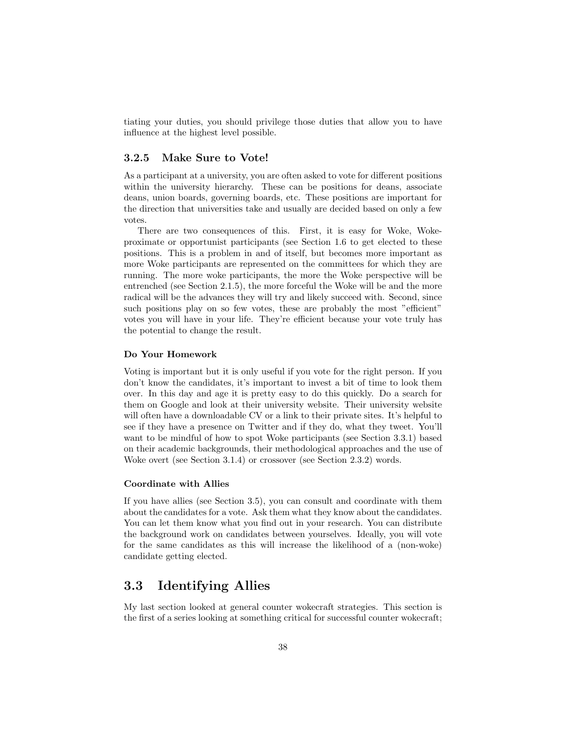tiating your duties, you should privilege those duties that allow you to have influence at the highest level possible.

#### <span id="page-38-0"></span>3.2.5 Make Sure to Vote!

As a participant at a university, you are often asked to vote for different positions within the university hierarchy. These can be positions for deans, associate deans, union boards, governing boards, etc. These positions are important for the direction that universities take and usually are decided based on only a few votes.

There are two consequences of this. First, it is easy for Woke, Wokeproximate or opportunist participants (see Section [1.6](#page-10-0) to get elected to these positions. This is a problem in and of itself, but becomes more important as more Woke participants are represented on the committees for which they are running. The more woke participants, the more the Woke perspective will be entrenched (see Section [2.1.5\)](#page-15-2), the more forceful the Woke will be and the more radical will be the advances they will try and likely succeed with. Second, since such positions play on so few votes, these are probably the most "efficient" votes you will have in your life. They're efficient because your vote truly has the potential to change the result.

#### Do Your Homework

Voting is important but it is only useful if you vote for the right person. If you don't know the candidates, it's important to invest a bit of time to look them over. In this day and age it is pretty easy to do this quickly. Do a search for them on Google and look at their university website. Their university website will often have a downloadable CV or a link to their private sites. It's helpful to see if they have a presence on Twitter and if they do, what they tweet. You'll want to be mindful of how to spot Woke participants (see Section [3.3.1\)](#page-39-0) based on their academic backgrounds, their methodological approaches and the use of Woke overt (see Section [3.1.4\)](#page-34-0) or crossover (see Section [2.3.2\)](#page-19-2) words.

#### Coordinate with Allies

If you have allies (see Section [3.5\)](#page-43-1), you can consult and coordinate with them about the candidates for a vote. Ask them what they know about the candidates. You can let them know what you find out in your research. You can distribute the background work on candidates between yourselves. Ideally, you will vote for the same candidates as this will increase the likelihood of a (non-woke) candidate getting elected.

## <span id="page-38-1"></span>3.3 Identifying Allies

My last section looked at general counter wokecraft strategies. This section is the first of a series looking at something critical for successful counter wokecraft;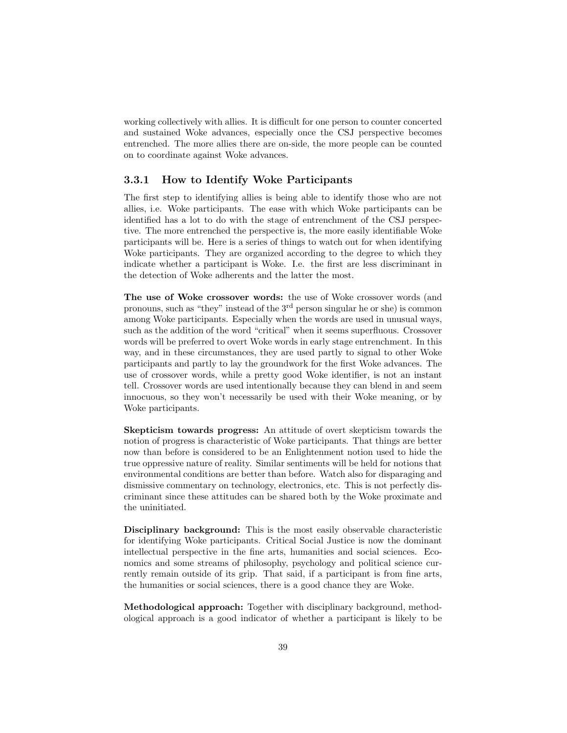working collectively with allies. It is difficult for one person to counter concerted and sustained Woke advances, especially once the CSJ perspective becomes entrenched. The more allies there are on-side, the more people can be counted on to coordinate against Woke advances.

#### <span id="page-39-0"></span>3.3.1 How to Identify Woke Participants

The first step to identifying allies is being able to identify those who are not allies, i.e. Woke participants. The ease with which Woke participants can be identified has a lot to do with the stage of entrenchment of the CSJ perspective. The more entrenched the perspective is, the more easily identifiable Woke participants will be. Here is a series of things to watch out for when identifying Woke participants. They are organized according to the degree to which they indicate whether a participant is Woke. I.e. the first are less discriminant in the detection of Woke adherents and the latter the most.

The use of Woke crossover words: the use of Woke crossover words (and pronouns, such as "they" instead of the 3rd person singular he or she) is common among Woke participants. Especially when the words are used in unusual ways, such as the addition of the word "critical" when it seems superfluous. Crossover words will be preferred to overt Woke words in early stage entrenchment. In this way, and in these circumstances, they are used partly to signal to other Woke participants and partly to lay the groundwork for the first Woke advances. The use of crossover words, while a pretty good Woke identifier, is not an instant tell. Crossover words are used intentionally because they can blend in and seem innocuous, so they won't necessarily be used with their Woke meaning, or by Woke participants.

Skepticism towards progress: An attitude of overt skepticism towards the notion of progress is characteristic of Woke participants. That things are better now than before is considered to be an Enlightenment notion used to hide the true oppressive nature of reality. Similar sentiments will be held for notions that environmental conditions are better than before. Watch also for disparaging and dismissive commentary on technology, electronics, etc. This is not perfectly discriminant since these attitudes can be shared both by the Woke proximate and the uninitiated.

Disciplinary background: This is the most easily observable characteristic for identifying Woke participants. Critical Social Justice is now the dominant intellectual perspective in the fine arts, humanities and social sciences. Economics and some streams of philosophy, psychology and political science currently remain outside of its grip. That said, if a participant is from fine arts, the humanities or social sciences, there is a good chance they are Woke.

Methodological approach: Together with disciplinary background, methodological approach is a good indicator of whether a participant is likely to be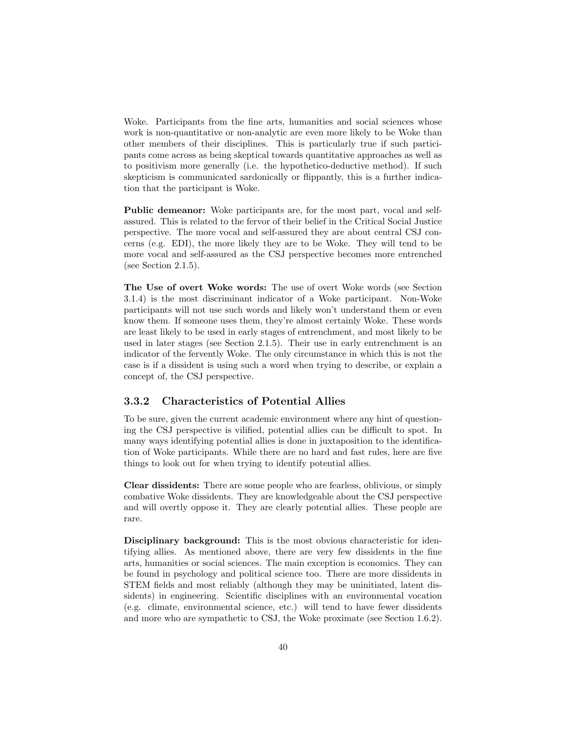Woke. Participants from the fine arts, humanities and social sciences whose work is non-quantitative or non-analytic are even more likely to be Woke than other members of their disciplines. This is particularly true if such participants come across as being skeptical towards quantitative approaches as well as to positivism more generally (i.e. the hypothetico-deductive method). If such skepticism is communicated sardonically or flippantly, this is a further indication that the participant is Woke.

Public demeanor: Woke participants are, for the most part, vocal and selfassured. This is related to the fervor of their belief in the Critical Social Justice perspective. The more vocal and self-assured they are about central CSJ concerns (e.g. EDI), the more likely they are to be Woke. They will tend to be more vocal and self-assured as the CSJ perspective becomes more entrenched (see Section [2.1.5\)](#page-15-2).

The Use of overt Woke words: The use of overt Woke words (see Section [3.1.4\)](#page-34-0) is the most discriminant indicator of a Woke participant. Non-Woke participants will not use such words and likely won't understand them or even know them. If someone uses them, they're almost certainly Woke. These words are least likely to be used in early stages of entrenchment, and most likely to be used in later stages (see Section [2.1.5\)](#page-15-2). Their use in early entrenchment is an indicator of the fervently Woke. The only circumstance in which this is not the case is if a dissident is using such a word when trying to describe, or explain a concept of, the CSJ perspective.

#### <span id="page-40-0"></span>3.3.2 Characteristics of Potential Allies

To be sure, given the current academic environment where any hint of questioning the CSJ perspective is vilified, potential allies can be difficult to spot. In many ways identifying potential allies is done in juxtaposition to the identification of Woke participants. While there are no hard and fast rules, here are five things to look out for when trying to identify potential allies.

Clear dissidents: There are some people who are fearless, oblivious, or simply combative Woke dissidents. They are knowledgeable about the CSJ perspective and will overtly oppose it. They are clearly potential allies. These people are rare.

Disciplinary background: This is the most obvious characteristic for identifying allies. As mentioned above, there are very few dissidents in the fine arts, humanities or social sciences. The main exception is economics. They can be found in psychology and political science too. There are more dissidents in STEM fields and most reliably (although they may be uninitiated, latent dissidents) in engineering. Scientific disciplines with an environmental vocation (e.g. climate, environmental science, etc.) will tend to have fewer dissidents and more who are sympathetic to CSJ, the Woke proximate (see Section [1.6.2\)](#page-11-0).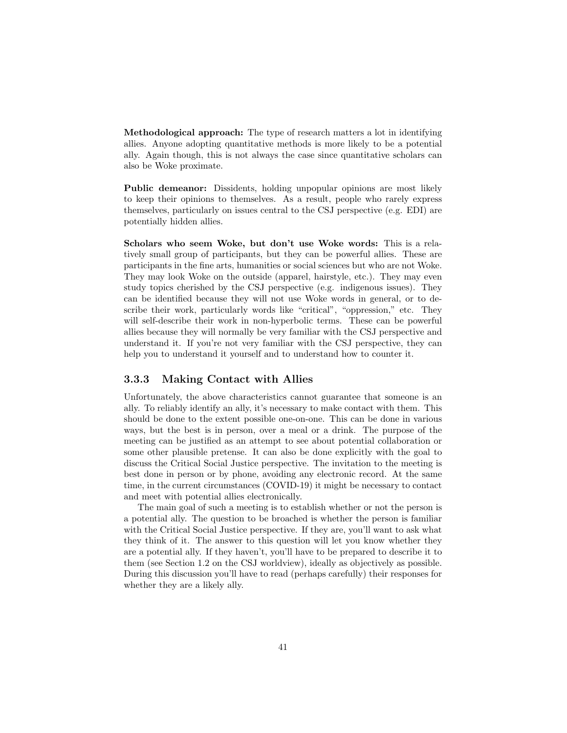Methodological approach: The type of research matters a lot in identifying allies. Anyone adopting quantitative methods is more likely to be a potential ally. Again though, this is not always the case since quantitative scholars can also be Woke proximate.

Public demeanor: Dissidents, holding unpopular opinions are most likely to keep their opinions to themselves. As a result, people who rarely express themselves, particularly on issues central to the CSJ perspective (e.g. EDI) are potentially hidden allies.

Scholars who seem Woke, but don't use Woke words: This is a relatively small group of participants, but they can be powerful allies. These are participants in the fine arts, humanities or social sciences but who are not Woke. They may look Woke on the outside (apparel, hairstyle, etc.). They may even study topics cherished by the CSJ perspective (e.g. indigenous issues). They can be identified because they will not use Woke words in general, or to describe their work, particularly words like "critical", "oppression," etc. They will self-describe their work in non-hyperbolic terms. These can be powerful allies because they will normally be very familiar with the CSJ perspective and understand it. If you're not very familiar with the CSJ perspective, they can help you to understand it yourself and to understand how to counter it.

#### <span id="page-41-0"></span>3.3.3 Making Contact with Allies

Unfortunately, the above characteristics cannot guarantee that someone is an ally. To reliably identify an ally, it's necessary to make contact with them. This should be done to the extent possible one-on-one. This can be done in various ways, but the best is in person, over a meal or a drink. The purpose of the meeting can be justified as an attempt to see about potential collaboration or some other plausible pretense. It can also be done explicitly with the goal to discuss the Critical Social Justice perspective. The invitation to the meeting is best done in person or by phone, avoiding any electronic record. At the same time, in the current circumstances (COVID-19) it might be necessary to contact and meet with potential allies electronically.

The main goal of such a meeting is to establish whether or not the person is a potential ally. The question to be broached is whether the person is familiar with the Critical Social Justice perspective. If they are, you'll want to ask what they think of it. The answer to this question will let you know whether they are a potential ally. If they haven't, you'll have to be prepared to describe it to them (see Section [1.2](#page-5-2) on the CSJ worldview), ideally as objectively as possible. During this discussion you'll have to read (perhaps carefully) their responses for whether they are a likely ally.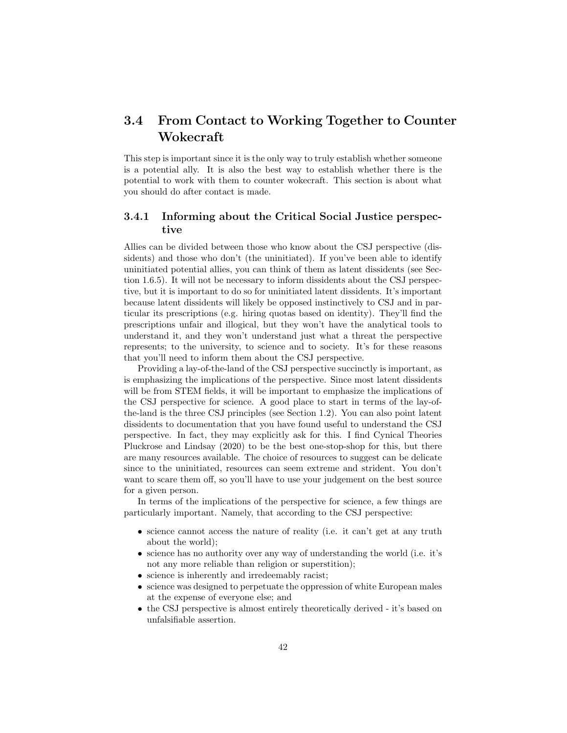## <span id="page-42-0"></span>3.4 From Contact to Working Together to Counter Wokecraft

This step is important since it is the only way to truly establish whether someone is a potential ally. It is also the best way to establish whether there is the potential to work with them to counter wokecraft. This section is about what you should do after contact is made.

### <span id="page-42-1"></span>3.4.1 Informing about the Critical Social Justice perspective

Allies can be divided between those who know about the CSJ perspective (dissidents) and those who don't (the uninitiated). If you've been able to identify uninitiated potential allies, you can think of them as latent dissidents (see Section [1.6.5\)](#page-13-0). It will not be necessary to inform dissidents about the CSJ perspective, but it is important to do so for uninitiated latent dissidents. It's important because latent dissidents will likely be opposed instinctively to CSJ and in particular its prescriptions (e.g. hiring quotas based on identity). They'll find the prescriptions unfair and illogical, but they won't have the analytical tools to understand it, and they won't understand just what a threat the perspective represents; to the university, to science and to society. It's for these reasons that you'll need to inform them about the CSJ perspective.

Providing a lay-of-the-land of the CSJ perspective succinctly is important, as is emphasizing the implications of the perspective. Since most latent dissidents will be from STEM fields, it will be important to emphasize the implications of the CSJ perspective for science. A good place to start in terms of the lay-ofthe-land is the three CSJ principles (see Section [1.2\)](#page-5-2). You can also point latent dissidents to documentation that you have found useful to understand the CSJ perspective. In fact, they may explicitly ask for this. I find Cynical Theories [Pluckrose and Lindsay](#page-62-0) [\(2020\)](#page-62-0) to be the best one-stop-shop for this, but there are many resources available. The choice of resources to suggest can be delicate since to the uninitiated, resources can seem extreme and strident. You don't want to scare them off, so you'll have to use your judgement on the best source for a given person.

In terms of the implications of the perspective for science, a few things are particularly important. Namely, that according to the CSJ perspective:

- science cannot access the nature of reality (i.e. it can't get at any truth about the world);
- science has no authority over any way of understanding the world (i.e. it's not any more reliable than religion or superstition);
- science is inherently and irredeemably racist;
- science was designed to perpetuate the oppression of white European males at the expense of everyone else; and
- the CSJ perspective is almost entirely theoretically derived it's based on unfalsifiable assertion.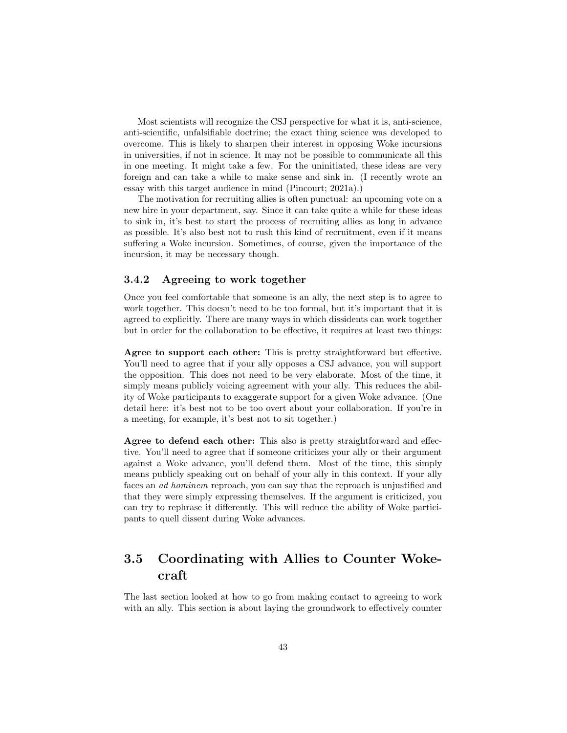Most scientists will recognize the CSJ perspective for what it is, anti-science, anti-scientific, unfalsifiable doctrine; the exact thing science was developed to overcome. This is likely to sharpen their interest in opposing Woke incursions in universities, if not in science. It may not be possible to communicate all this in one meeting. It might take a few. For the uninitiated, these ideas are very foreign and can take a while to make sense and sink in. (I recently wrote an essay with this target audience in mind [\(Pincourt;](#page-62-2) [2021a\)](#page-62-2).)

The motivation for recruiting allies is often punctual: an upcoming vote on a new hire in your department, say. Since it can take quite a while for these ideas to sink in, it's best to start the process of recruiting allies as long in advance as possible. It's also best not to rush this kind of recruitment, even if it means suffering a Woke incursion. Sometimes, of course, given the importance of the incursion, it may be necessary though.

### <span id="page-43-0"></span>3.4.2 Agreeing to work together

Once you feel comfortable that someone is an ally, the next step is to agree to work together. This doesn't need to be too formal, but it's important that it is agreed to explicitly. There are many ways in which dissidents can work together but in order for the collaboration to be effective, it requires at least two things:

Agree to support each other: This is pretty straightforward but effective. You'll need to agree that if your ally opposes a CSJ advance, you will support the opposition. This does not need to be very elaborate. Most of the time, it simply means publicly voicing agreement with your ally. This reduces the ability of Woke participants to exaggerate support for a given Woke advance. (One detail here: it's best not to be too overt about your collaboration. If you're in a meeting, for example, it's best not to sit together.)

Agree to defend each other: This also is pretty straightforward and effective. You'll need to agree that if someone criticizes your ally or their argument against a Woke advance, you'll defend them. Most of the time, this simply means publicly speaking out on behalf of your ally in this context. If your ally faces an ad hominem reproach, you can say that the reproach is unjustified and that they were simply expressing themselves. If the argument is criticized, you can try to rephrase it differently. This will reduce the ability of Woke participants to quell dissent during Woke advances.

## <span id="page-43-1"></span>3.5 Coordinating with Allies to Counter Wokecraft

The last section looked at how to go from making contact to agreeing to work with an ally. This section is about laying the groundwork to effectively counter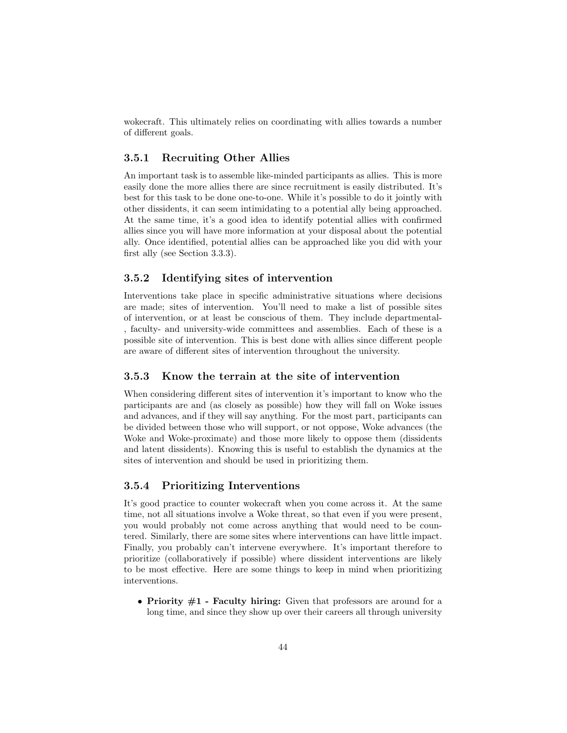wokecraft. This ultimately relies on coordinating with allies towards a number of different goals.

#### <span id="page-44-0"></span>3.5.1 Recruiting Other Allies

An important task is to assemble like-minded participants as allies. This is more easily done the more allies there are since recruitment is easily distributed. It's best for this task to be done one-to-one. While it's possible to do it jointly with other dissidents, it can seem intimidating to a potential ally being approached. At the same time, it's a good idea to identify potential allies with confirmed allies since you will have more information at your disposal about the potential ally. Once identified, potential allies can be approached like you did with your first ally (see Section [3.3.3\)](#page-41-0).

#### <span id="page-44-1"></span>3.5.2 Identifying sites of intervention

Interventions take place in specific administrative situations where decisions are made; sites of intervention. You'll need to make a list of possible sites of intervention, or at least be conscious of them. They include departmental- , faculty- and university-wide committees and assemblies. Each of these is a possible site of intervention. This is best done with allies since different people are aware of different sites of intervention throughout the university.

#### <span id="page-44-2"></span>3.5.3 Know the terrain at the site of intervention

When considering different sites of intervention it's important to know who the participants are and (as closely as possible) how they will fall on Woke issues and advances, and if they will say anything. For the most part, participants can be divided between those who will support, or not oppose, Woke advances (the Woke and Woke-proximate) and those more likely to oppose them (dissidents and latent dissidents). Knowing this is useful to establish the dynamics at the sites of intervention and should be used in prioritizing them.

#### <span id="page-44-3"></span>3.5.4 Prioritizing Interventions

It's good practice to counter wokecraft when you come across it. At the same time, not all situations involve a Woke threat, so that even if you were present, you would probably not come across anything that would need to be countered. Similarly, there are some sites where interventions can have little impact. Finally, you probably can't intervene everywhere. It's important therefore to prioritize (collaboratively if possible) where dissident interventions are likely to be most effective. Here are some things to keep in mind when prioritizing interventions.

• Priority  $#1$  - Faculty hiring: Given that professors are around for a long time, and since they show up over their careers all through university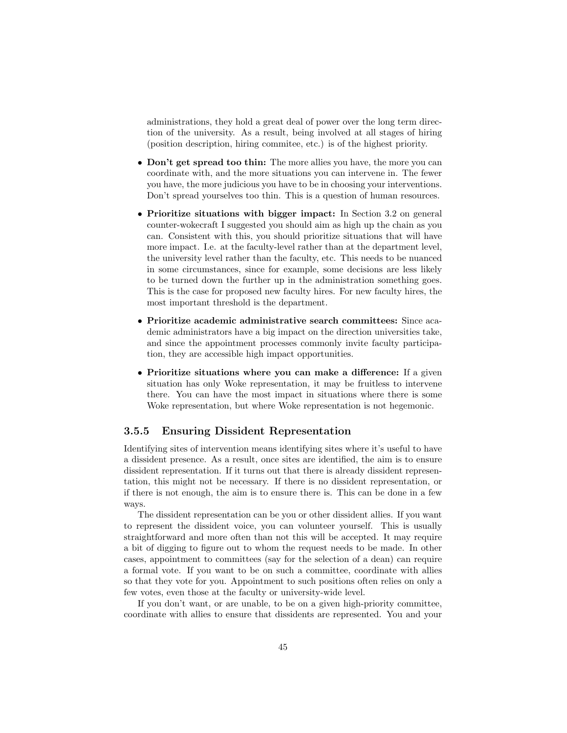administrations, they hold a great deal of power over the long term direction of the university. As a result, being involved at all stages of hiring (position description, hiring commitee, etc.) is of the highest priority.

- Don't get spread too thin: The more allies you have, the more you can coordinate with, and the more situations you can intervene in. The fewer you have, the more judicious you have to be in choosing your interventions. Don't spread yourselves too thin. This is a question of human resources.
- Prioritize situations with bigger impact: In Section [3.2](#page-36-0) on general counter-wokecraft I suggested you should aim as high up the chain as you can. Consistent with this, you should prioritize situations that will have more impact. I.e. at the faculty-level rather than at the department level, the university level rather than the faculty, etc. This needs to be nuanced in some circumstances, since for example, some decisions are less likely to be turned down the further up in the administration something goes. This is the case for proposed new faculty hires. For new faculty hires, the most important threshold is the department.
- Prioritize academic administrative search committees: Since academic administrators have a big impact on the direction universities take, and since the appointment processes commonly invite faculty participation, they are accessible high impact opportunities.
- Prioritize situations where you can make a difference: If a given situation has only Woke representation, it may be fruitless to intervene there. You can have the most impact in situations where there is some Woke representation, but where Woke representation is not hegemonic.

#### <span id="page-45-0"></span>3.5.5 Ensuring Dissident Representation

Identifying sites of intervention means identifying sites where it's useful to have a dissident presence. As a result, once sites are identified, the aim is to ensure dissident representation. If it turns out that there is already dissident representation, this might not be necessary. If there is no dissident representation, or if there is not enough, the aim is to ensure there is. This can be done in a few ways.

The dissident representation can be you or other dissident allies. If you want to represent the dissident voice, you can volunteer yourself. This is usually straightforward and more often than not this will be accepted. It may require a bit of digging to figure out to whom the request needs to be made. In other cases, appointment to committees (say for the selection of a dean) can require a formal vote. If you want to be on such a committee, coordinate with allies so that they vote for you. Appointment to such positions often relies on only a few votes, even those at the faculty or university-wide level.

If you don't want, or are unable, to be on a given high-priority committee, coordinate with allies to ensure that dissidents are represented. You and your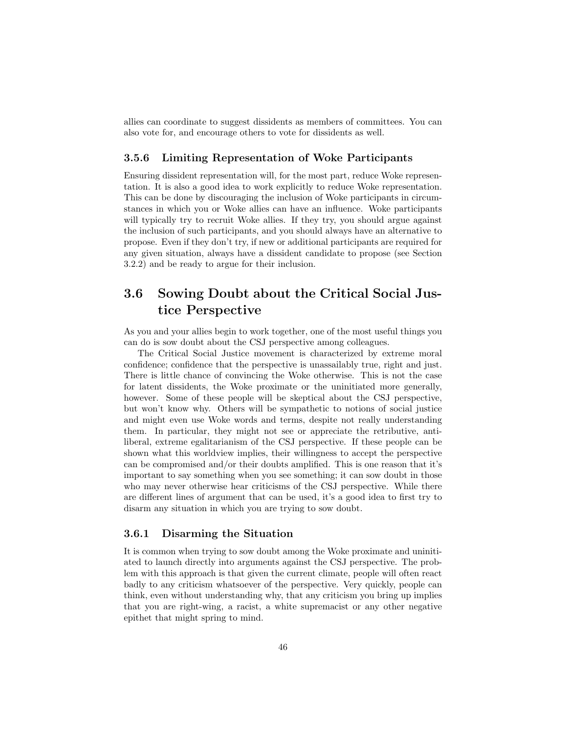allies can coordinate to suggest dissidents as members of committees. You can also vote for, and encourage others to vote for dissidents as well.

#### <span id="page-46-0"></span>3.5.6 Limiting Representation of Woke Participants

Ensuring dissident representation will, for the most part, reduce Woke representation. It is also a good idea to work explicitly to reduce Woke representation. This can be done by discouraging the inclusion of Woke participants in circumstances in which you or Woke allies can have an influence. Woke participants will typically try to recruit Woke allies. If they try, you should argue against the inclusion of such participants, and you should always have an alternative to propose. Even if they don't try, if new or additional participants are required for any given situation, always have a dissident candidate to propose (see Section [3.2.2\)](#page-37-0) and be ready to argue for their inclusion.

## <span id="page-46-1"></span>3.6 Sowing Doubt about the Critical Social Justice Perspective

As you and your allies begin to work together, one of the most useful things you can do is sow doubt about the CSJ perspective among colleagues.

The Critical Social Justice movement is characterized by extreme moral confidence; confidence that the perspective is unassailably true, right and just. There is little chance of convincing the Woke otherwise. This is not the case for latent dissidents, the Woke proximate or the uninitiated more generally, however. Some of these people will be skeptical about the CSJ perspective, but won't know why. Others will be sympathetic to notions of social justice and might even use Woke words and terms, despite not really understanding them. In particular, they might not see or appreciate the retributive, antiliberal, extreme egalitarianism of the CSJ perspective. If these people can be shown what this worldview implies, their willingness to accept the perspective can be compromised and/or their doubts amplified. This is one reason that it's important to say something when you see something; it can sow doubt in those who may never otherwise hear criticisms of the CSJ perspective. While there are different lines of argument that can be used, it's a good idea to first try to disarm any situation in which you are trying to sow doubt.

#### <span id="page-46-2"></span>3.6.1 Disarming the Situation

It is common when trying to sow doubt among the Woke proximate and uninitiated to launch directly into arguments against the CSJ perspective. The problem with this approach is that given the current climate, people will often react badly to any criticism whatsoever of the perspective. Very quickly, people can think, even without understanding why, that any criticism you bring up implies that you are right-wing, a racist, a white supremacist or any other negative epithet that might spring to mind.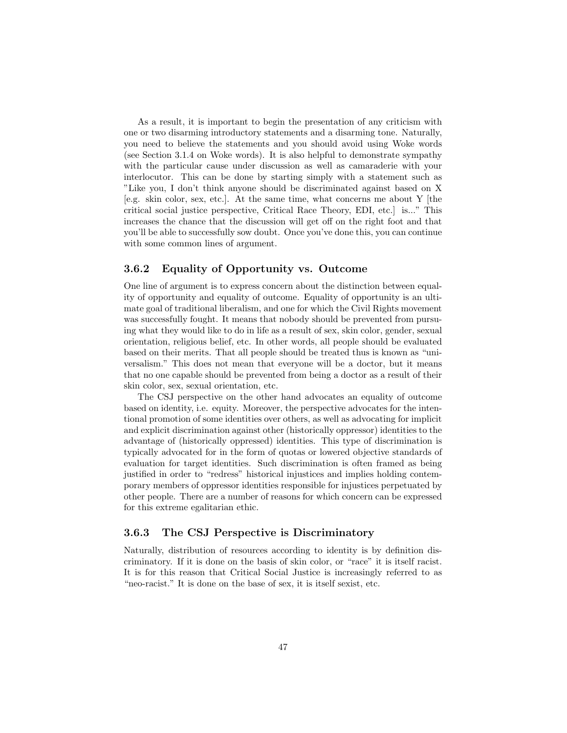As a result, it is important to begin the presentation of any criticism with one or two disarming introductory statements and a disarming tone. Naturally, you need to believe the statements and you should avoid using Woke words (see Section [3.1.4](#page-34-0) on Woke words). It is also helpful to demonstrate sympathy with the particular cause under discussion as well as camaraderie with your interlocutor. This can be done by starting simply with a statement such as "Like you, I don't think anyone should be discriminated against based on X [e.g. skin color, sex, etc.]. At the same time, what concerns me about Y [the critical social justice perspective, Critical Race Theory, EDI, etc.] is..." This increases the chance that the discussion will get off on the right foot and that you'll be able to successfully sow doubt. Once you've done this, you can continue with some common lines of argument.

#### <span id="page-47-0"></span>3.6.2 Equality of Opportunity vs. Outcome

One line of argument is to express concern about the distinction between equality of opportunity and equality of outcome. Equality of opportunity is an ultimate goal of traditional liberalism, and one for which the Civil Rights movement was successfully fought. It means that nobody should be prevented from pursuing what they would like to do in life as a result of sex, skin color, gender, sexual orientation, religious belief, etc. In other words, all people should be evaluated based on their merits. That all people should be treated thus is known as "universalism." This does not mean that everyone will be a doctor, but it means that no one capable should be prevented from being a doctor as a result of their skin color, sex, sexual orientation, etc.

The CSJ perspective on the other hand advocates an equality of outcome based on identity, i.e. equity. Moreover, the perspective advocates for the intentional promotion of some identities over others, as well as advocating for implicit and explicit discrimination against other (historically oppressor) identities to the advantage of (historically oppressed) identities. This type of discrimination is typically advocated for in the form of quotas or lowered objective standards of evaluation for target identities. Such discrimination is often framed as being justified in order to "redress" historical injustices and implies holding contemporary members of oppressor identities responsible for injustices perpetuated by other people. There are a number of reasons for which concern can be expressed for this extreme egalitarian ethic.

#### <span id="page-47-1"></span>3.6.3 The CSJ Perspective is Discriminatory

Naturally, distribution of resources according to identity is by definition discriminatory. If it is done on the basis of skin color, or "race" it is itself racist. It is for this reason that Critical Social Justice is increasingly referred to as "neo-racist." It is done on the base of sex, it is itself sexist, etc.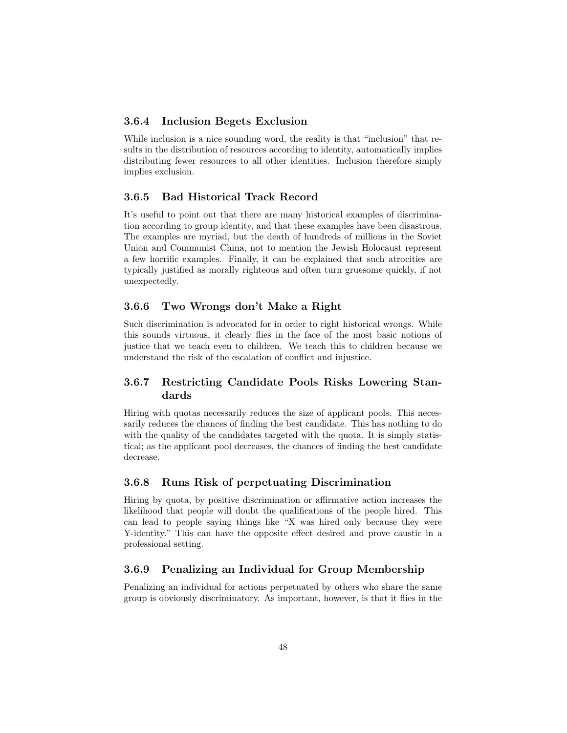#### <span id="page-48-0"></span>3.6.4 Inclusion Begets Exclusion

While inclusion is a nice sounding word, the reality is that "inclusion" that results in the distribution of resources according to identity, automatically implies distributing fewer resources to all other identities. Inclusion therefore simply implies exclusion.

#### <span id="page-48-1"></span>3.6.5 Bad Historical Track Record

It's useful to point out that there are many historical examples of discrimination according to group identity, and that these examples have been disastrous. The examples are myriad, but the death of hundreds of millions in the Soviet Union and Communist China, not to mention the Jewish Holocaust represent a few horrific examples. Finally, it can be explained that such atrocities are typically justified as morally righteous and often turn gruesome quickly, if not unexpectedly.

#### <span id="page-48-2"></span>3.6.6 Two Wrongs don't Make a Right

Such discrimination is advocated for in order to right historical wrongs. While this sounds virtuous, it clearly flies in the face of the most basic notions of justice that we teach even to children. We teach this to children because we understand the risk of the escalation of conflict and injustice.

## <span id="page-48-3"></span>3.6.7 Restricting Candidate Pools Risks Lowering Standards

Hiring with quotas necessarily reduces the size of applicant pools. This necessarily reduces the chances of finding the best candidate. This has nothing to do with the quality of the candidates targeted with the quota. It is simply statistical; as the applicant pool decreases, the chances of finding the best candidate decrease.

#### <span id="page-48-4"></span>3.6.8 Runs Risk of perpetuating Discrimination

Hiring by quota, by positive discrimination or affirmative action increases the likelihood that people will doubt the qualifications of the people hired. This can lead to people saying things like "X was hired only because they were Y-identity." This can have the opposite effect desired and prove caustic in a professional setting.

#### <span id="page-48-5"></span>3.6.9 Penalizing an Individual for Group Membership

Penalizing an individual for actions perpetuated by others who share the same group is obviously discriminatory. As important, however, is that it flies in the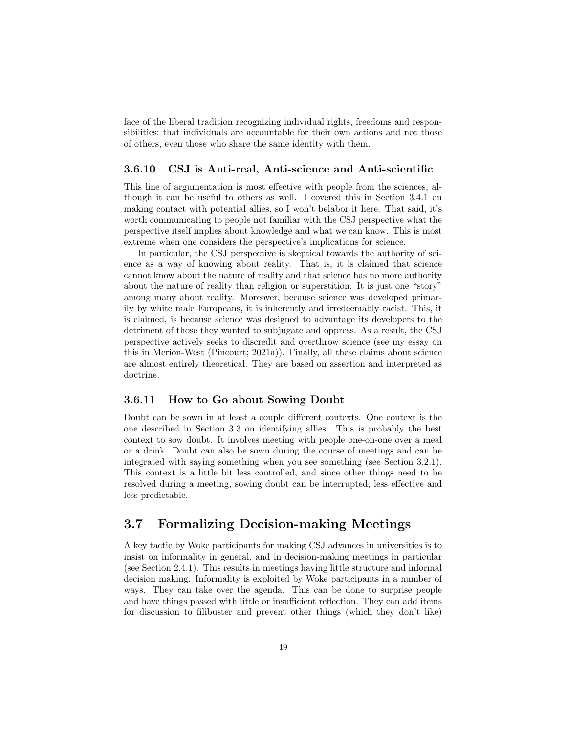face of the liberal tradition recognizing individual rights, freedoms and responsibilities; that individuals are accountable for their own actions and not those of others, even those who share the same identity with them.

#### <span id="page-49-0"></span>3.6.10 CSJ is Anti-real, Anti-science and Anti-scientific

This line of argumentation is most effective with people from the sciences, although it can be useful to others as well. I covered this in Section [3.4.1](#page-42-1) on making contact with potential allies, so I won't belabor it here. That said, it's worth communicating to people not familiar with the CSJ perspective what the perspective itself implies about knowledge and what we can know. This is most extreme when one considers the perspective's implications for science.

In particular, the CSJ perspective is skeptical towards the authority of science as a way of knowing about reality. That is, it is claimed that science cannot know about the nature of reality and that science has no more authority about the nature of reality than religion or superstition. It is just one "story" among many about reality. Moreover, because science was developed primarily by white male Europeans, it is inherently and irredeemably racist. This, it is claimed, is because science was designed to advantage its developers to the detriment of those they wanted to subjugate and oppress. As a result, the CSJ perspective actively seeks to discredit and overthrow science (see my essay on this in Merion-West [\(Pincourt;](#page-62-2) [2021a\)](#page-62-2)). Finally, all these claims about science are almost entirely theoretical. They are based on assertion and interpreted as doctrine.

#### <span id="page-49-1"></span>3.6.11 How to Go about Sowing Doubt

Doubt can be sown in at least a couple different contexts. One context is the one described in Section [3.3](#page-38-1) on identifying allies. This is probably the best context to sow doubt. It involves meeting with people one-on-one over a meal or a drink. Doubt can also be sown during the course of meetings and can be integrated with saying something when you see something (see Section [3.2.1\)](#page-36-1). This context is a little bit less controlled, and since other things need to be resolved during a meeting, sowing doubt can be interrupted, less effective and less predictable.

## <span id="page-49-2"></span>3.7 Formalizing Decision-making Meetings

A key tactic by Woke participants for making CSJ advances in universities is to insist on informality in general, and in decision-making meetings in particular (see Section [2.4.1\)](#page-21-0). This results in meetings having little structure and informal decision making. Informality is exploited by Woke participants in a number of ways. They can take over the agenda. This can be done to surprise people and have things passed with little or insufficient reflection. They can add items for discussion to filibuster and prevent other things (which they don't like)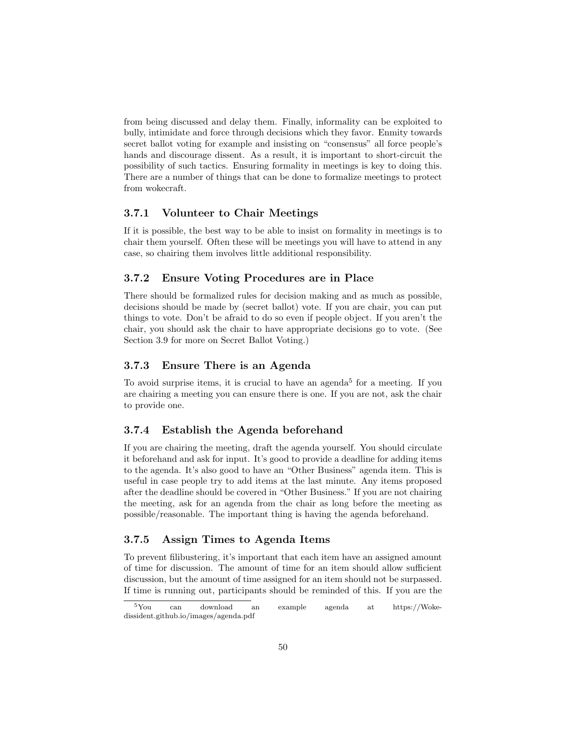from being discussed and delay them. Finally, informality can be exploited to bully, intimidate and force through decisions which they favor. Enmity towards secret ballot voting for example and insisting on "consensus" all force people's hands and discourage dissent. As a result, it is important to short-circuit the possibility of such tactics. Ensuring formality in meetings is key to doing this. There are a number of things that can be done to formalize meetings to protect from wokecraft.

#### <span id="page-50-0"></span>3.7.1 Volunteer to Chair Meetings

If it is possible, the best way to be able to insist on formality in meetings is to chair them yourself. Often these will be meetings you will have to attend in any case, so chairing them involves little additional responsibility.

#### <span id="page-50-1"></span>3.7.2 Ensure Voting Procedures are in Place

There should be formalized rules for decision making and as much as possible, decisions should be made by (secret ballot) vote. If you are chair, you can put things to vote. Don't be afraid to do so even if people object. If you aren't the chair, you should ask the chair to have appropriate decisions go to vote. (See Section [3.9](#page-53-0) for more on Secret Ballot Voting.)

#### <span id="page-50-2"></span>3.7.3 Ensure There is an Agenda

To avoid surprise items, it is crucial to have an agenda<sup>[5](#page-50-5)</sup> for a meeting. If you are chairing a meeting you can ensure there is one. If you are not, ask the chair to provide one.

#### <span id="page-50-3"></span>3.7.4 Establish the Agenda beforehand

If you are chairing the meeting, draft the agenda yourself. You should circulate it beforehand and ask for input. It's good to provide a deadline for adding items to the agenda. It's also good to have an "Other Business" agenda item. This is useful in case people try to add items at the last minute. Any items proposed after the deadline should be covered in "Other Business." If you are not chairing the meeting, ask for an agenda from the chair as long before the meeting as possible/reasonable. The important thing is having the agenda beforehand.

#### <span id="page-50-4"></span>3.7.5 Assign Times to Agenda Items

To prevent filibustering, it's important that each item have an assigned amount of time for discussion. The amount of time for an item should allow sufficient discussion, but the amount of time assigned for an item should not be surpassed. If time is running out, participants should be reminded of this. If you are the

<span id="page-50-5"></span><sup>5</sup>You can download an example agenda at https://Wokedissident.github.io/images/agenda.pdf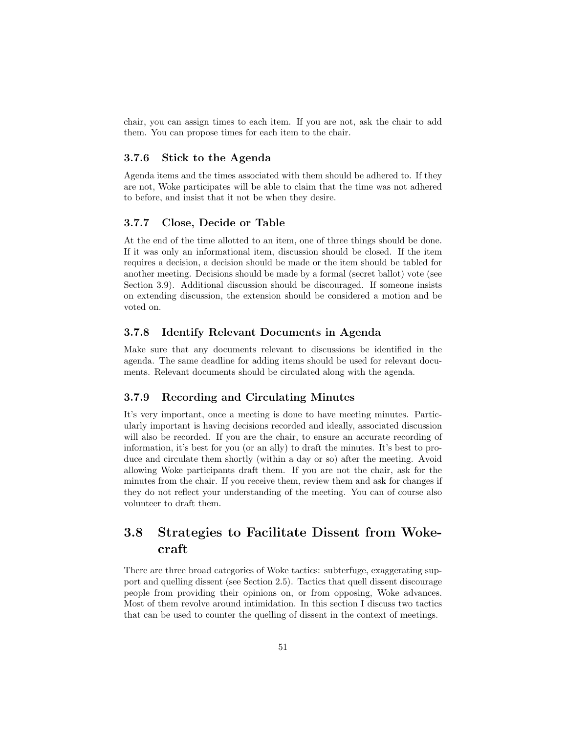chair, you can assign times to each item. If you are not, ask the chair to add them. You can propose times for each item to the chair.

#### <span id="page-51-0"></span>3.7.6 Stick to the Agenda

Agenda items and the times associated with them should be adhered to. If they are not, Woke participates will be able to claim that the time was not adhered to before, and insist that it not be when they desire.

#### <span id="page-51-1"></span>3.7.7 Close, Decide or Table

At the end of the time allotted to an item, one of three things should be done. If it was only an informational item, discussion should be closed. If the item requires a decision, a decision should be made or the item should be tabled for another meeting. Decisions should be made by a formal (secret ballot) vote (see Section [3.9\)](#page-53-0). Additional discussion should be discouraged. If someone insists on extending discussion, the extension should be considered a motion and be voted on.

#### <span id="page-51-2"></span>3.7.8 Identify Relevant Documents in Agenda

Make sure that any documents relevant to discussions be identified in the agenda. The same deadline for adding items should be used for relevant documents. Relevant documents should be circulated along with the agenda.

### <span id="page-51-3"></span>3.7.9 Recording and Circulating Minutes

It's very important, once a meeting is done to have meeting minutes. Particularly important is having decisions recorded and ideally, associated discussion will also be recorded. If you are the chair, to ensure an accurate recording of information, it's best for you (or an ally) to draft the minutes. It's best to produce and circulate them shortly (within a day or so) after the meeting. Avoid allowing Woke participants draft them. If you are not the chair, ask for the minutes from the chair. If you receive them, review them and ask for changes if they do not reflect your understanding of the meeting. You can of course also volunteer to draft them.

## <span id="page-51-4"></span>3.8 Strategies to Facilitate Dissent from Wokecraft

There are three broad categories of Woke tactics: subterfuge, exaggerating support and quelling dissent (see Section [2.5\)](#page-30-0). Tactics that quell dissent discourage people from providing their opinions on, or from opposing, Woke advances. Most of them revolve around intimidation. In this section I discuss two tactics that can be used to counter the quelling of dissent in the context of meetings.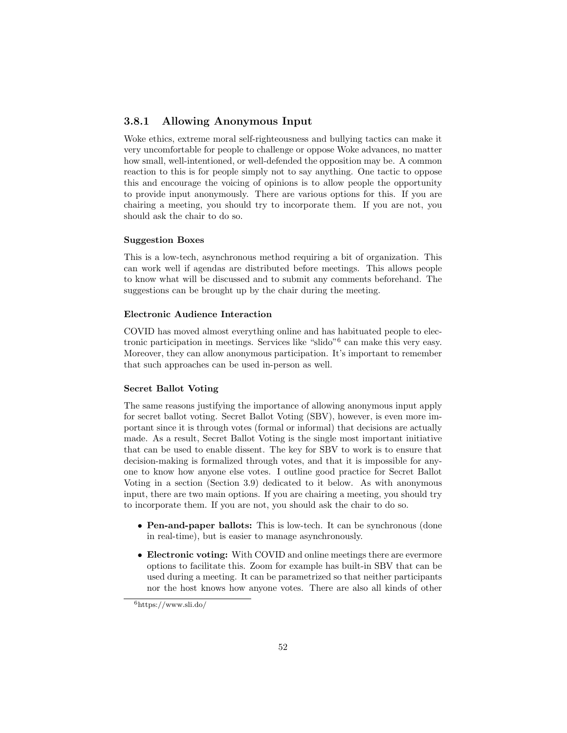#### <span id="page-52-0"></span>3.8.1 Allowing Anonymous Input

Woke ethics, extreme moral self-righteousness and bullying tactics can make it very uncomfortable for people to challenge or oppose Woke advances, no matter how small, well-intentioned, or well-defended the opposition may be. A common reaction to this is for people simply not to say anything. One tactic to oppose this and encourage the voicing of opinions is to allow people the opportunity to provide input anonymously. There are various options for this. If you are chairing a meeting, you should try to incorporate them. If you are not, you should ask the chair to do so.

#### Suggestion Boxes

This is a low-tech, asynchronous method requiring a bit of organization. This can work well if agendas are distributed before meetings. This allows people to know what will be discussed and to submit any comments beforehand. The suggestions can be brought up by the chair during the meeting.

#### Electronic Audience Interaction

COVID has moved almost everything online and has habituated people to elec-tronic participation in meetings. Services like "slido"<sup>[6](#page-52-1)</sup> can make this very easy. Moreover, they can allow anonymous participation. It's important to remember that such approaches can be used in-person as well.

#### Secret Ballot Voting

The same reasons justifying the importance of allowing anonymous input apply for secret ballot voting. Secret Ballot Voting (SBV), however, is even more important since it is through votes (formal or informal) that decisions are actually made. As a result, Secret Ballot Voting is the single most important initiative that can be used to enable dissent. The key for SBV to work is to ensure that decision-making is formalized through votes, and that it is impossible for anyone to know how anyone else votes. I outline good practice for Secret Ballot Voting in a section (Section [3.9\)](#page-53-0) dedicated to it below. As with anonymous input, there are two main options. If you are chairing a meeting, you should try to incorporate them. If you are not, you should ask the chair to do so.

- Pen-and-paper ballots: This is low-tech. It can be synchronous (done in real-time), but is easier to manage asynchronously.
- Electronic voting: With COVID and online meetings there are evermore options to facilitate this. Zoom for example has built-in SBV that can be used during a meeting. It can be parametrized so that neither participants nor the host knows how anyone votes. There are also all kinds of other

<span id="page-52-1"></span><sup>6</sup>https://www.sli.do/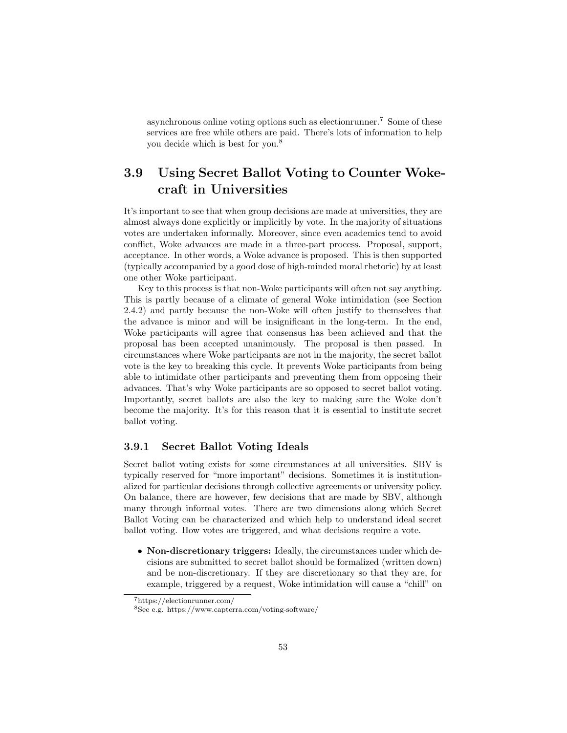asynchronous online voting options such as electionrunner.<sup>[7](#page-53-2)</sup> Some of these services are free while others are paid. There's lots of information to help you decide which is best for you.[8](#page-53-3)

## <span id="page-53-0"></span>3.9 Using Secret Ballot Voting to Counter Wokecraft in Universities

It's important to see that when group decisions are made at universities, they are almost always done explicitly or implicitly by vote. In the majority of situations votes are undertaken informally. Moreover, since even academics tend to avoid conflict, Woke advances are made in a three-part process. Proposal, support, acceptance. In other words, a Woke advance is proposed. This is then supported (typically accompanied by a good dose of high-minded moral rhetoric) by at least one other Woke participant.

Key to this process is that non-Woke participants will often not say anything. This is partly because of a climate of general Woke intimidation (see Section [2.4.2\)](#page-24-0) and partly because the non-Woke will often justify to themselves that the advance is minor and will be insignificant in the long-term. In the end, Woke participants will agree that consensus has been achieved and that the proposal has been accepted unanimously. The proposal is then passed. In circumstances where Woke participants are not in the majority, the secret ballot vote is the key to breaking this cycle. It prevents Woke participants from being able to intimidate other participants and preventing them from opposing their advances. That's why Woke participants are so opposed to secret ballot voting. Importantly, secret ballots are also the key to making sure the Woke don't become the majority. It's for this reason that it is essential to institute secret ballot voting.

#### <span id="page-53-1"></span>3.9.1 Secret Ballot Voting Ideals

Secret ballot voting exists for some circumstances at all universities. SBV is typically reserved for "more important" decisions. Sometimes it is institutionalized for particular decisions through collective agreements or university policy. On balance, there are however, few decisions that are made by SBV, although many through informal votes. There are two dimensions along which Secret Ballot Voting can be characterized and which help to understand ideal secret ballot voting. How votes are triggered, and what decisions require a vote.

• Non-discretionary triggers: Ideally, the circumstances under which decisions are submitted to secret ballot should be formalized (written down) and be non-discretionary. If they are discretionary so that they are, for example, triggered by a request, Woke intimidation will cause a "chill" on

<span id="page-53-2"></span><sup>7</sup>https://electionrunner.com/

<span id="page-53-3"></span> ${}^{8}$  See e.g. https://www.capterra.com/voting-software/  $\,$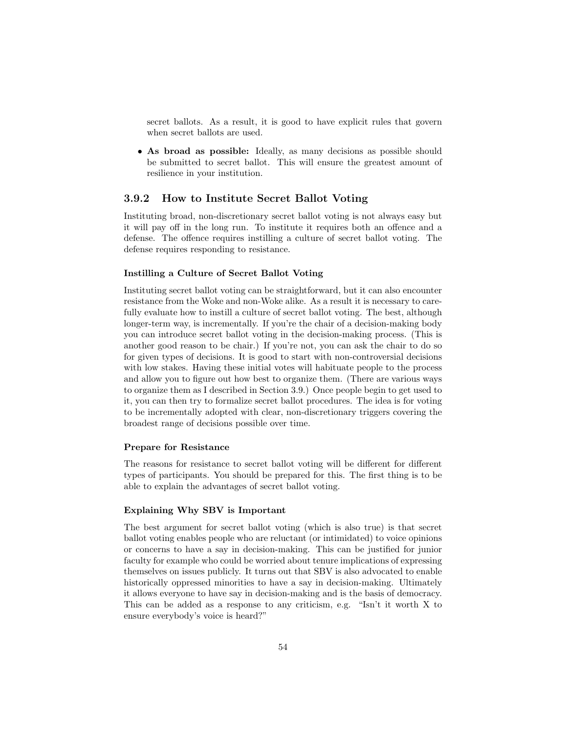secret ballots. As a result, it is good to have explicit rules that govern when secret ballots are used.

• As broad as possible: Ideally, as many decisions as possible should be submitted to secret ballot. This will ensure the greatest amount of resilience in your institution.

#### <span id="page-54-0"></span>3.9.2 How to Institute Secret Ballot Voting

Instituting broad, non-discretionary secret ballot voting is not always easy but it will pay off in the long run. To institute it requires both an offence and a defense. The offence requires instilling a culture of secret ballot voting. The defense requires responding to resistance.

#### Instilling a Culture of Secret Ballot Voting

Instituting secret ballot voting can be straightforward, but it can also encounter resistance from the Woke and non-Woke alike. As a result it is necessary to carefully evaluate how to instill a culture of secret ballot voting. The best, although longer-term way, is incrementally. If you're the chair of a decision-making body you can introduce secret ballot voting in the decision-making process. (This is another good reason to be chair.) If you're not, you can ask the chair to do so for given types of decisions. It is good to start with non-controversial decisions with low stakes. Having these initial votes will habituate people to the process and allow you to figure out how best to organize them. (There are various ways to organize them as I described in Section [3.9.](#page-53-0)) Once people begin to get used to it, you can then try to formalize secret ballot procedures. The idea is for voting to be incrementally adopted with clear, non-discretionary triggers covering the broadest range of decisions possible over time.

#### Prepare for Resistance

The reasons for resistance to secret ballot voting will be different for different types of participants. You should be prepared for this. The first thing is to be able to explain the advantages of secret ballot voting.

#### Explaining Why SBV is Important

The best argument for secret ballot voting (which is also true) is that secret ballot voting enables people who are reluctant (or intimidated) to voice opinions or concerns to have a say in decision-making. This can be justified for junior faculty for example who could be worried about tenure implications of expressing themselves on issues publicly. It turns out that SBV is also advocated to enable historically oppressed minorities to have a say in decision-making. Ultimately it allows everyone to have say in decision-making and is the basis of democracy. This can be added as a response to any criticism, e.g. "Isn't it worth X to ensure everybody's voice is heard?"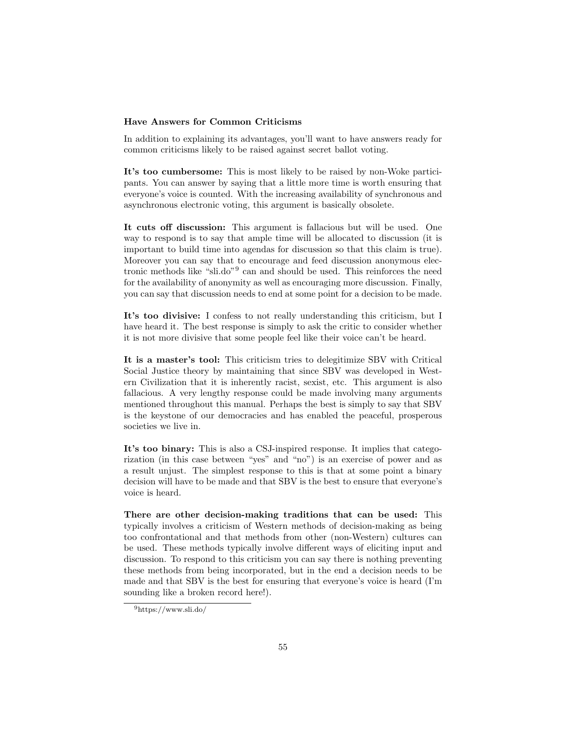#### Have Answers for Common Criticisms

In addition to explaining its advantages, you'll want to have answers ready for common criticisms likely to be raised against secret ballot voting.

It's too cumbersome: This is most likely to be raised by non-Woke participants. You can answer by saying that a little more time is worth ensuring that everyone's voice is counted. With the increasing availability of synchronous and asynchronous electronic voting, this argument is basically obsolete.

It cuts off discussion: This argument is fallacious but will be used. One way to respond is to say that ample time will be allocated to discussion (it is important to build time into agendas for discussion so that this claim is true). Moreover you can say that to encourage and feed discussion anonymous electronic methods like "sli.do"[9](#page-55-0) can and should be used. This reinforces the need for the availability of anonymity as well as encouraging more discussion. Finally, you can say that discussion needs to end at some point for a decision to be made.

It's too divisive: I confess to not really understanding this criticism, but I have heard it. The best response is simply to ask the critic to consider whether it is not more divisive that some people feel like their voice can't be heard.

It is a master's tool: This criticism tries to delegitimize SBV with Critical Social Justice theory by maintaining that since SBV was developed in Western Civilization that it is inherently racist, sexist, etc. This argument is also fallacious. A very lengthy response could be made involving many arguments mentioned throughout this manual. Perhaps the best is simply to say that SBV is the keystone of our democracies and has enabled the peaceful, prosperous societies we live in.

It's too binary: This is also a CSJ-inspired response. It implies that categorization (in this case between "yes" and "no") is an exercise of power and as a result unjust. The simplest response to this is that at some point a binary decision will have to be made and that SBV is the best to ensure that everyone's voice is heard.

There are other decision-making traditions that can be used: This typically involves a criticism of Western methods of decision-making as being too confrontational and that methods from other (non-Western) cultures can be used. These methods typically involve different ways of eliciting input and discussion. To respond to this criticism you can say there is nothing preventing these methods from being incorporated, but in the end a decision needs to be made and that SBV is the best for ensuring that everyone's voice is heard (I'm sounding like a broken record here!).

<span id="page-55-0"></span><sup>9</sup>https://www.sli.do/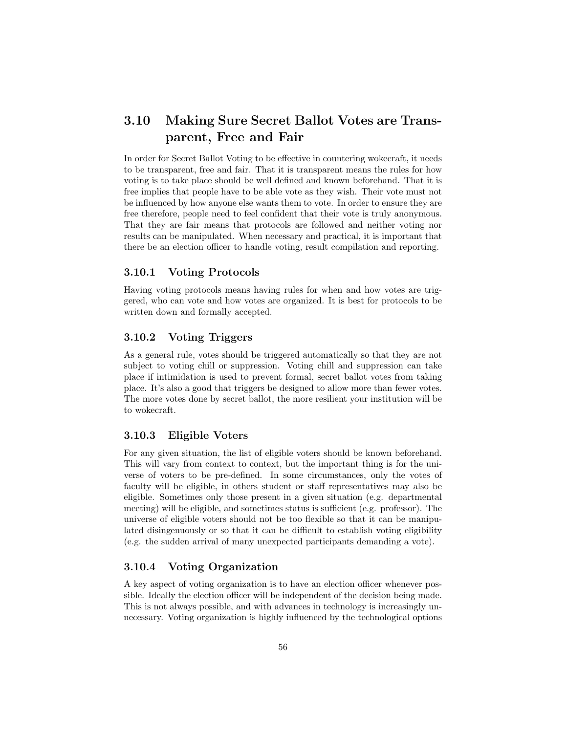## <span id="page-56-0"></span>3.10 Making Sure Secret Ballot Votes are Transparent, Free and Fair

In order for Secret Ballot Voting to be effective in countering wokecraft, it needs to be transparent, free and fair. That it is transparent means the rules for how voting is to take place should be well defined and known beforehand. That it is free implies that people have to be able vote as they wish. Their vote must not be influenced by how anyone else wants them to vote. In order to ensure they are free therefore, people need to feel confident that their vote is truly anonymous. That they are fair means that protocols are followed and neither voting nor results can be manipulated. When necessary and practical, it is important that there be an election officer to handle voting, result compilation and reporting.

#### <span id="page-56-1"></span>3.10.1 Voting Protocols

Having voting protocols means having rules for when and how votes are triggered, who can vote and how votes are organized. It is best for protocols to be written down and formally accepted.

#### <span id="page-56-2"></span>3.10.2 Voting Triggers

As a general rule, votes should be triggered automatically so that they are not subject to voting chill or suppression. Voting chill and suppression can take place if intimidation is used to prevent formal, secret ballot votes from taking place. It's also a good that triggers be designed to allow more than fewer votes. The more votes done by secret ballot, the more resilient your institution will be to wokecraft.

#### <span id="page-56-3"></span>3.10.3 Eligible Voters

For any given situation, the list of eligible voters should be known beforehand. This will vary from context to context, but the important thing is for the universe of voters to be pre-defined. In some circumstances, only the votes of faculty will be eligible, in others student or staff representatives may also be eligible. Sometimes only those present in a given situation (e.g. departmental meeting) will be eligible, and sometimes status is sufficient (e.g. professor). The universe of eligible voters should not be too flexible so that it can be manipulated disingenuously or so that it can be difficult to establish voting eligibility (e.g. the sudden arrival of many unexpected participants demanding a vote).

#### <span id="page-56-4"></span>3.10.4 Voting Organization

A key aspect of voting organization is to have an election officer whenever possible. Ideally the election officer will be independent of the decision being made. This is not always possible, and with advances in technology is increasingly unnecessary. Voting organization is highly influenced by the technological options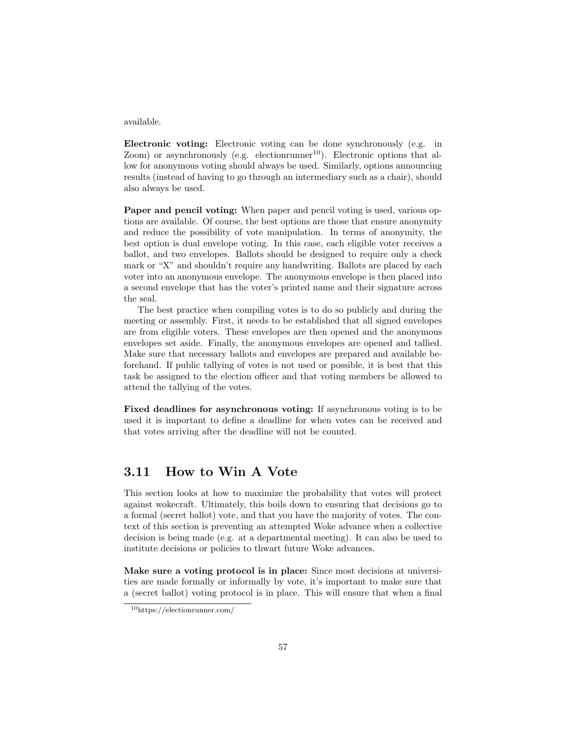#### available.

Electronic voting: Electronic voting can be done synchronously (e.g. in Zoom) or asynchronously (e.g. electionrunner<sup>[10](#page-57-1)</sup>). Electronic options that allow for anonymous voting should always be used. Similarly, options announcing results (instead of having to go through an intermediary such as a chair), should also always be used.

Paper and pencil voting: When paper and pencil voting is used, various options are available. Of course, the best options are those that ensure anonymity and reduce the possibility of vote manipulation. In terms of anonymity, the best option is dual envelope voting. In this case, each eligible voter receives a ballot, and two envelopes. Ballots should be designed to require only a check mark or "X" and shouldn't require any handwriting. Ballots are placed by each voter into an anonymous envelope. The anonymous envelope is then placed into a second envelope that has the voter's printed name and their signature across the seal.

The best practice when compiling votes is to do so publicly and during the meeting or assembly. First, it needs to be established that all signed envelopes are from eligible voters. These envelopes are then opened and the anonymous envelopes set aside. Finally, the anonymous envelopes are opened and tallied. Make sure that necessary ballots and envelopes are prepared and available beforehand. If public tallying of votes is not used or possible, it is best that this task be assigned to the election officer and that voting members be allowed to attend the tallying of the votes.

Fixed deadlines for asynchronous voting: If asynchronous voting is to be used it is important to define a deadline for when votes can be received and that votes arriving after the deadline will not be counted.

## <span id="page-57-0"></span>3.11 How to Win A Vote

This section looks at how to maximize the probability that votes will protect against wokecraft. Ultimately, this boils down to ensuring that decisions go to a formal (secret ballot) vote, and that you have the majority of votes. The context of this section is preventing an attempted Woke advance when a collective decision is being made (e.g. at a departmental meeting). It can also be used to institute decisions or policies to thwart future Woke advances.

Make sure a voting protocol is in place: Since most decisions at universities are made formally or informally by vote, it's important to make sure that a (secret ballot) voting protocol is in place. This will ensure that when a final

<span id="page-57-1"></span><sup>10</sup>https://electionrunner.com/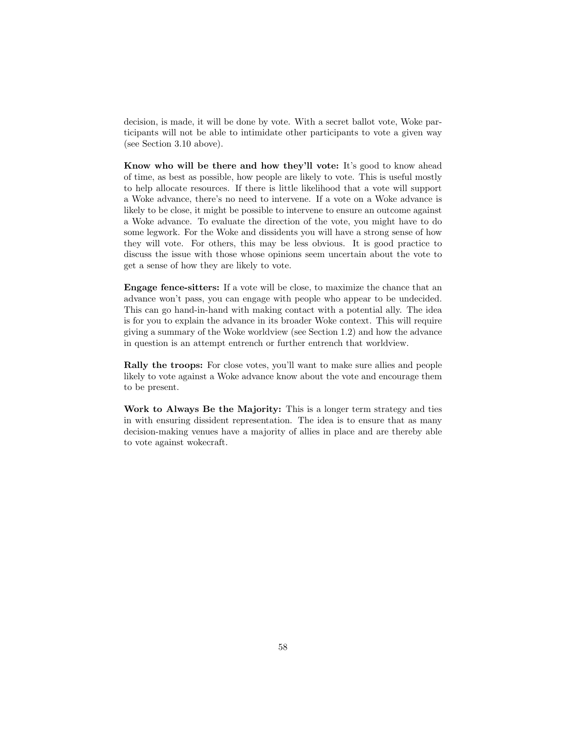decision, is made, it will be done by vote. With a secret ballot vote, Woke participants will not be able to intimidate other participants to vote a given way (see Section [3.10](#page-56-0) above).

Know who will be there and how they'll vote: It's good to know ahead of time, as best as possible, how people are likely to vote. This is useful mostly to help allocate resources. If there is little likelihood that a vote will support a Woke advance, there's no need to intervene. If a vote on a Woke advance is likely to be close, it might be possible to intervene to ensure an outcome against a Woke advance. To evaluate the direction of the vote, you might have to do some legwork. For the Woke and dissidents you will have a strong sense of how they will vote. For others, this may be less obvious. It is good practice to discuss the issue with those whose opinions seem uncertain about the vote to get a sense of how they are likely to vote.

Engage fence-sitters: If a vote will be close, to maximize the chance that an advance won't pass, you can engage with people who appear to be undecided. This can go hand-in-hand with making contact with a potential ally. The idea is for you to explain the advance in its broader Woke context. This will require giving a summary of the Woke worldview (see Section [1.2\)](#page-5-2) and how the advance in question is an attempt entrench or further entrench that worldview.

Rally the troops: For close votes, you'll want to make sure allies and people likely to vote against a Woke advance know about the vote and encourage them to be present.

Work to Always Be the Majority: This is a longer term strategy and ties in with ensuring dissident representation. The idea is to ensure that as many decision-making venues have a majority of allies in place and are thereby able to vote against wokecraft.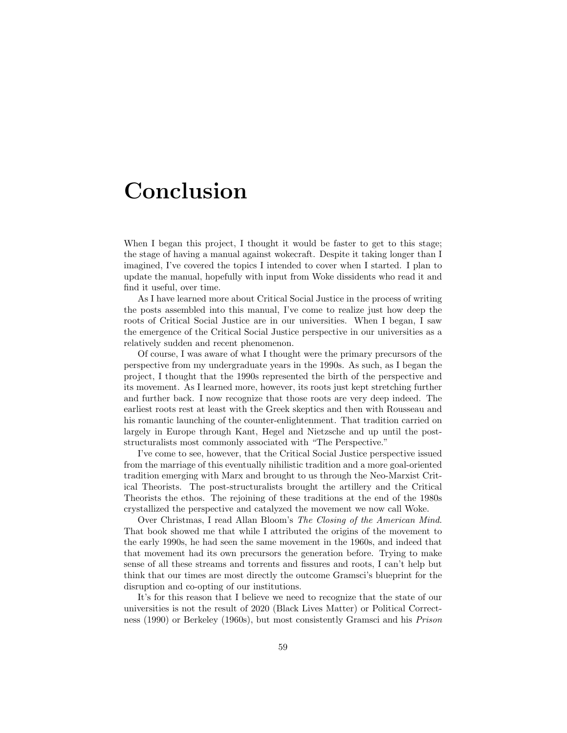# <span id="page-59-0"></span>Conclusion

When I began this project, I thought it would be faster to get to this stage; the stage of having a manual against wokecraft. Despite it taking longer than I imagined, I've covered the topics I intended to cover when I started. I plan to update the manual, hopefully with input from Woke dissidents who read it and find it useful, over time.

As I have learned more about Critical Social Justice in the process of writing the posts assembled into this manual, I've come to realize just how deep the roots of Critical Social Justice are in our universities. When I began, I saw the emergence of the Critical Social Justice perspective in our universities as a relatively sudden and recent phenomenon.

Of course, I was aware of what I thought were the primary precursors of the perspective from my undergraduate years in the 1990s. As such, as I began the project, I thought that the 1990s represented the birth of the perspective and its movement. As I learned more, however, its roots just kept stretching further and further back. I now recognize that those roots are very deep indeed. The earliest roots rest at least with the Greek skeptics and then with Rousseau and his romantic launching of the counter-enlightenment. That tradition carried on largely in Europe through Kant, Hegel and Nietzsche and up until the poststructuralists most commonly associated with "The Perspective."

I've come to see, however, that the Critical Social Justice perspective issued from the marriage of this eventually nihilistic tradition and a more goal-oriented tradition emerging with Marx and brought to us through the Neo-Marxist Critical Theorists. The post-structuralists brought the artillery and the Critical Theorists the ethos. The rejoining of these traditions at the end of the 1980s crystallized the perspective and catalyzed the movement we now call Woke.

Over Christmas, I read Allan Bloom's The Closing of the American Mind. That book showed me that while I attributed the origins of the movement to the early 1990s, he had seen the same movement in the 1960s, and indeed that that movement had its own precursors the generation before. Trying to make sense of all these streams and torrents and fissures and roots, I can't help but think that our times are most directly the outcome Gramsci's blueprint for the disruption and co-opting of our institutions.

It's for this reason that I believe we need to recognize that the state of our universities is not the result of 2020 (Black Lives Matter) or Political Correctness (1990) or Berkeley (1960s), but most consistently Gramsci and his Prison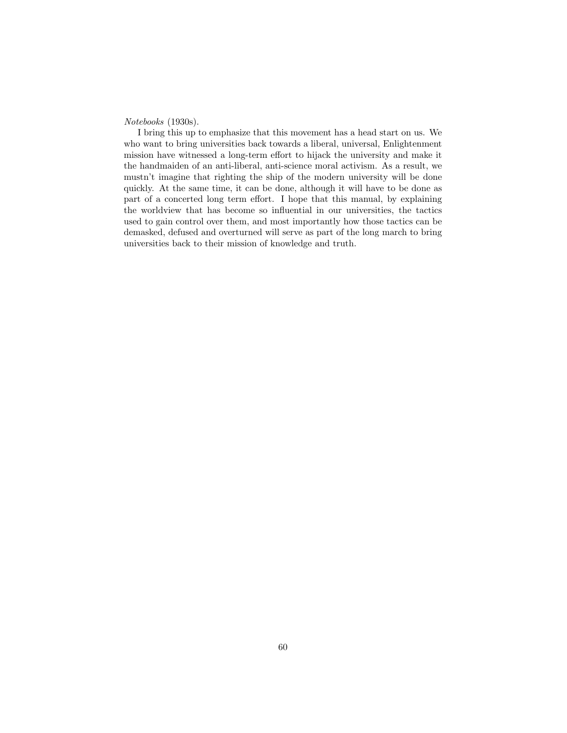Notebooks (1930s).

I bring this up to emphasize that this movement has a head start on us. We who want to bring universities back towards a liberal, universal, Enlightenment mission have witnessed a long-term effort to hijack the university and make it the handmaiden of an anti-liberal, anti-science moral activism. As a result, we mustn't imagine that righting the ship of the modern university will be done quickly. At the same time, it can be done, although it will have to be done as part of a concerted long term effort. I hope that this manual, by explaining the worldview that has become so influential in our universities, the tactics used to gain control over them, and most importantly how those tactics can be demasked, defused and overturned will serve as part of the long march to bring universities back to their mission of knowledge and truth.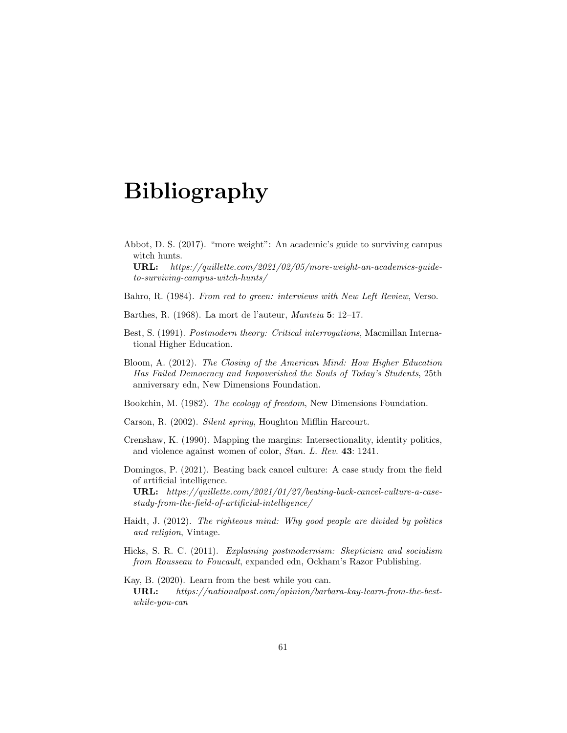# <span id="page-61-0"></span>Bibliography

<span id="page-61-9"></span>Abbot, D. S. (2017). "more weight": An academic's guide to surviving campus witch hunts.

URL: https://quillette.com/2021/02/05/more-weight-an-academics-guideto-surviving-campus-witch-hunts/

<span id="page-61-5"></span>Bahro, R. (1984). From red to green: interviews with New Left Review, Verso.

<span id="page-61-8"></span>Barthes, R. (1968). La mort de l'auteur, Manteia 5: 12–17.

- <span id="page-61-1"></span>Best, S. (1991). Postmodern theory: Critical interrogations, Macmillan International Higher Education.
- <span id="page-61-12"></span>Bloom, A. (2012). The Closing of the American Mind: How Higher Education Has Failed Democracy and Impoverished the Souls of Today's Students, 25th anniversary edn, New Dimensions Foundation.
- <span id="page-61-6"></span>Bookchin, M. (1982). The ecology of freedom, New Dimensions Foundation.
- <span id="page-61-7"></span>Carson, R. (2002). Silent spring, Houghton Mifflin Harcourt.
- <span id="page-61-4"></span>Crenshaw, K. (1990). Mapping the margins: Intersectionality, identity politics, and violence against women of color, Stan. L. Rev. 43: 1241.
- <span id="page-61-10"></span>Domingos, P. (2021). Beating back cancel culture: A case study from the field of artificial intelligence.

URL: https://quillette.com/2021/01/27/beating-back-cancel-culture-a-casestudy-from-the-field-of-artificial-intelligence/

- <span id="page-61-3"></span>Haidt, J. (2012). The righteous mind: Why good people are divided by politics and religion, Vintage.
- <span id="page-61-2"></span>Hicks, S. R. C. (2011). Explaining postmodernism: Skepticism and socialism from Rousseau to Foucault, expanded edn, Ockham's Razor Publishing.
- <span id="page-61-11"></span>Kay, B. (2020). Learn from the best while you can. URL: https://nationalpost.com/opinion/barbara-kay-learn-from-the-bestwhile-you-can